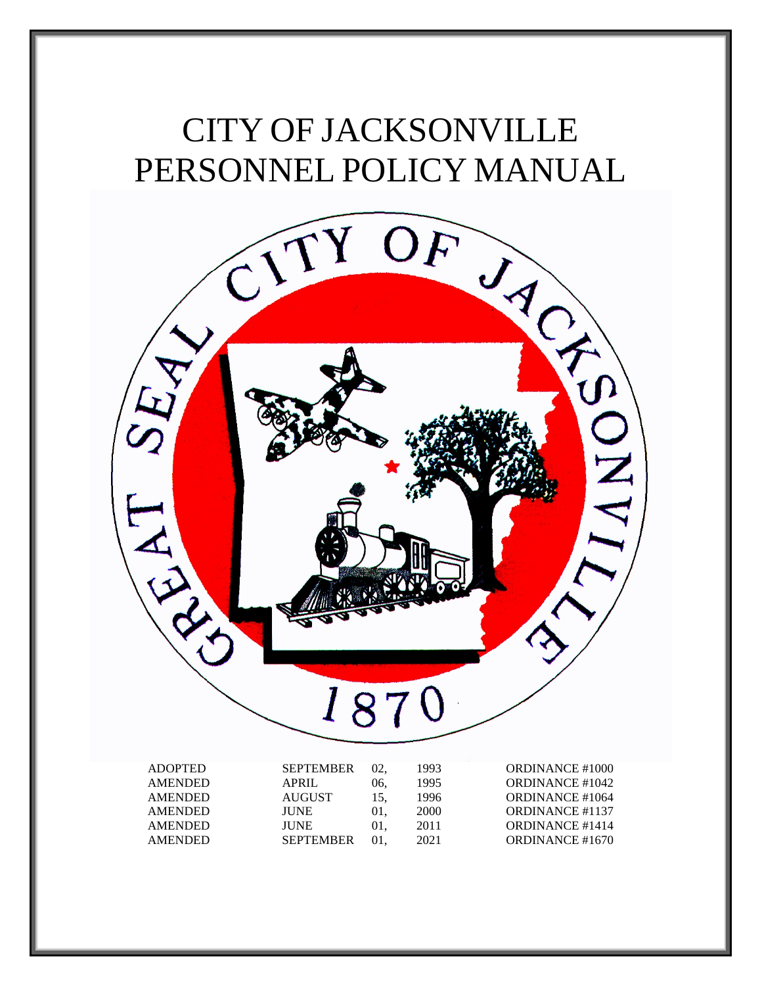# PERSONNEL POLICY MANUAL



| <b>ADOPTED</b> | <b>SEPTEMBER</b> |     | 1993 | <b>ORDINANCE #1000</b> |
|----------------|------------------|-----|------|------------------------|
| <b>AMENDED</b> | APRIL            | 06. | 1995 | <b>ORDINANCE #1042</b> |
| <b>AMENDED</b> | AUGUST           | 15. | 1996 | <b>ORDINANCE #1064</b> |
| <b>AMENDED</b> | <b>IUNE</b>      | 01. | 2000 | <b>ORDINANCE #1137</b> |
| <b>AMENDED</b> | <b>JUNE</b>      | 01. | 2011 | <b>ORDINANCE #1414</b> |
| <b>AMENDED</b> | <b>SEPTEMBER</b> | 01. | 2021 | ORDINANCE #1670        |
|                |                  |     |      |                        |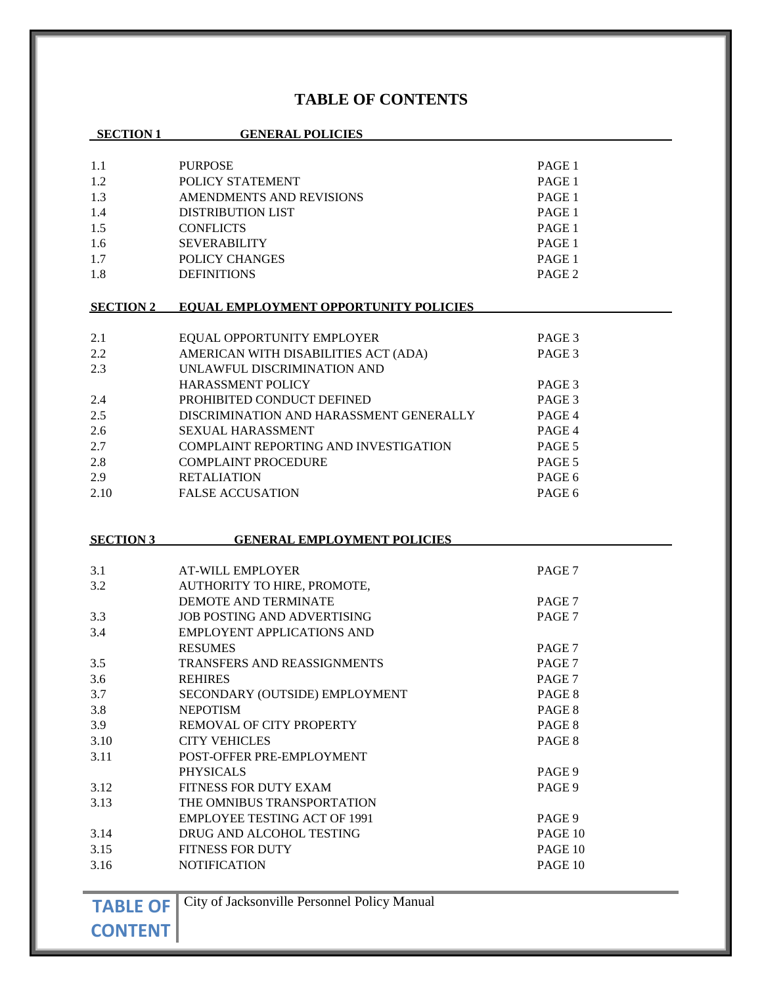# **TABLE OF CONTENTS**

| <b>SECTION 1</b> | <b>GENERAL POLICIES</b>                      |                   |
|------------------|----------------------------------------------|-------------------|
|                  |                                              |                   |
| 1.1              | <b>PURPOSE</b>                               | PAGE 1            |
| 1.2              | POLICY STATEMENT                             | PAGE 1            |
| 1.3              | AMENDMENTS AND REVISIONS                     | PAGE 1            |
| 1.4              | <b>DISTRIBUTION LIST</b>                     | PAGE 1            |
| 1.5              | <b>CONFLICTS</b>                             | PAGE 1            |
| 1.6              | <b>SEVERABILITY</b>                          | PAGE 1            |
| 1.7              | POLICY CHANGES                               | PAGE 1            |
| 1.8              | <b>DEFINITIONS</b>                           | PAGE <sub>2</sub> |
| <b>SECTION 2</b> | EOUAL EMPLOYMENT OPPORTUNITY POLICIES        |                   |
| 2.1              | EQUAL OPPORTUNITY EMPLOYER                   | PAGE 3            |
| 2.2              | AMERICAN WITH DISABILITIES ACT (ADA)         | PAGE 3            |
| 2.3              | UNLAWFUL DISCRIMINATION AND                  |                   |
|                  | HARASSMENT POLICY                            | PAGE 3            |
| 2.4              | PROHIBITED CONDUCT DEFINED                   | PAGE 3            |
| 2.5              | DISCRIMINATION AND HARASSMENT GENERALLY      | PAGE 4            |
| 2.6              | <b>SEXUAL HARASSMENT</b>                     | PAGE 4            |
| 2.7              | <b>COMPLAINT REPORTING AND INVESTIGATION</b> | PAGE 5            |
| 2.8              | <b>COMPLAINT PROCEDURE</b>                   | PAGE 5            |
| 2.9              | <b>RETALIATION</b>                           | PAGE 6            |
| 2.10             | <b>FALSE ACCUSATION</b>                      | PAGE 6            |
|                  |                                              |                   |
|                  |                                              |                   |
| <b>SECTION 3</b> | <b>GENERAL EMPLOYMENT POLICIES</b>           |                   |
|                  |                                              |                   |
| 3.1              | <b>AT-WILL EMPLOYER</b>                      | PAGE 7            |
| 3.2              | AUTHORITY TO HIRE, PROMOTE,                  |                   |
|                  | DEMOTE AND TERMINATE                         | PAGE 7            |
| 3.3              | <b>JOB POSTING AND ADVERTISING</b>           | PAGE 7            |
| 3.4              | <b>EMPLOYENT APPLICATIONS AND</b>            |                   |
|                  | <b>RESUMES</b>                               | PAGE 7            |
| 3.5              | <b>TRANSFERS AND REASSIGNMENTS</b>           | PAGE <sub>7</sub> |
| 3.6              | <b>REHIRES</b>                               | PAGE 7            |
| 3.7              | SECONDARY (OUTSIDE) EMPLOYMENT               | PAGE 8            |
| 3.8              | <b>NEPOTISM</b>                              | PAGE 8            |
| 3.9              | REMOVAL OF CITY PROPERTY                     | PAGE 8            |
| 3.10             | <b>CITY VEHICLES</b>                         | PAGE 8            |
| 3.11             | POST-OFFER PRE-EMPLOYMENT                    |                   |
|                  | <b>PHYSICALS</b>                             | PAGE 9            |
| 3.12             | FITNESS FOR DUTY EXAM                        | PAGE 9            |
| 3.13             | THE OMNIBUS TRANSPORTATION                   |                   |
|                  | <b>EMPLOYEE TESTING ACT OF 1991</b>          | PAGE 9            |
| 3.14             | DRUG AND ALCOHOL TESTING                     | PAGE 10           |
| 3.15             | FITNESS FOR DUTY                             | PAGE 10           |
| 3.16             | <b>NOTIFICATION</b>                          | PAGE 10           |
|                  |                                              |                   |

**TABLE OF** City of Jacksonville Personnel Policy Manual

**CONTENT**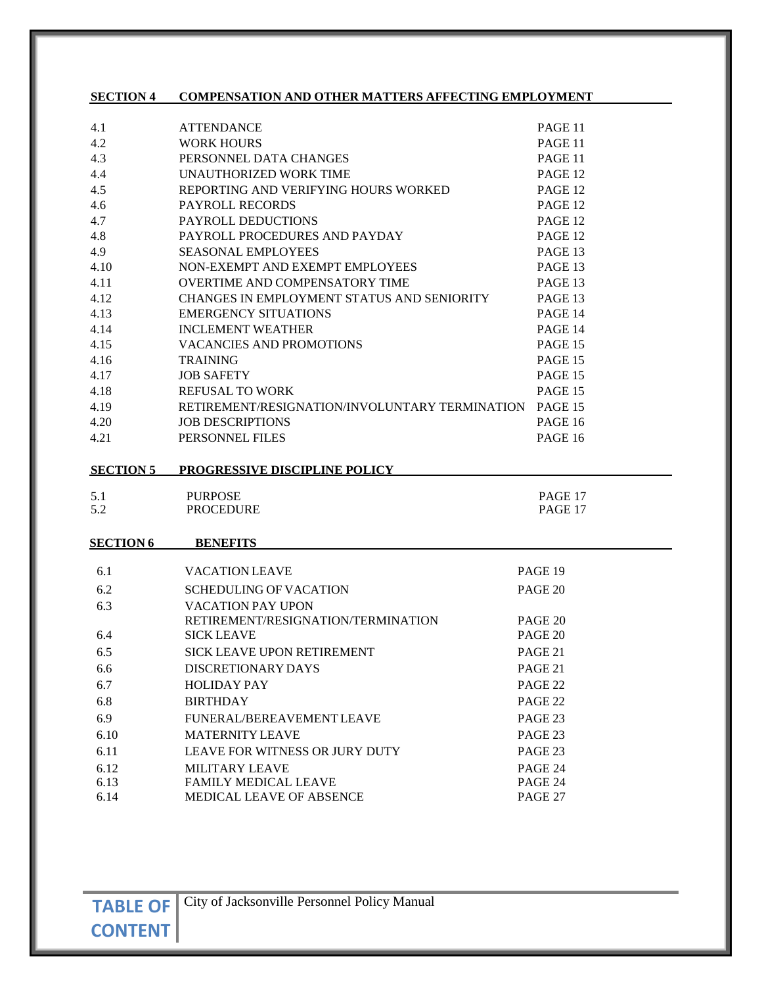# **SECTION 4 COMPENSATION AND OTHER MATTERS AFFECTING EMPLOYMENT**

| <b>ATTENDANCE</b>                                      | PAGE 11        |
|--------------------------------------------------------|----------------|
| <b>WORK HOURS</b>                                      | PAGE 11        |
| PERSONNEL DATA CHANGES                                 | PAGE 11        |
| UNAUTHORIZED WORK TIME                                 | PAGE 12        |
| REPORTING AND VERIFYING HOURS WORKED                   | PAGE 12        |
| <b>PAYROLL RECORDS</b>                                 | PAGE 12        |
| PAYROLL DEDUCTIONS                                     | PAGE 12        |
| PAYROLL PROCEDURES AND PAYDAY                          | PAGE 12        |
| <b>SEASONAL EMPLOYEES</b>                              | PAGE 13        |
| NON-EXEMPT AND EXEMPT EMPLOYEES                        | PAGE 13        |
| <b>OVERTIME AND COMPENSATORY TIME</b>                  | PAGE 13        |
| CHANGES IN EMPLOYMENT STATUS AND SENIORITY             | PAGE 13        |
| <b>EMERGENCY SITUATIONS</b>                            | PAGE 14        |
| <b>INCLEMENT WEATHER</b>                               | PAGE 14        |
| <b>VACANCIES AND PROMOTIONS</b>                        | PAGE 15        |
| <b>TRAINING</b>                                        | <b>PAGE 15</b> |
| <b>JOB SAFETY</b>                                      | PAGE 15        |
| <b>REFUSAL TO WORK</b>                                 | <b>PAGE 15</b> |
| RETIREMENT/RESIGNATION/INVOLUNTARY TERMINATION PAGE 15 |                |
| <b>JOB DESCRIPTIONS</b>                                | <b>PAGE 16</b> |
| PERSONNEL FILES                                        | <b>PAGE 16</b> |
|                                                        |                |

**SECTION 5 PROGRESSIVE DISCIPLINE POLICY**

| 5.1 | <b>PURPOSE</b>   | PAGE 17 |
|-----|------------------|---------|
| 5.2 | <b>PROCEDURE</b> | PAGE 17 |
|     |                  |         |

# **SECTION 6 BENEFITS**

| VACATION LEAVE                     | PAGE 19 |
|------------------------------------|---------|
| SCHEDULING OF VACATION             | PAGE 20 |
| VACATION PAY UPON                  |         |
| RETIREMENT/RESIGNATION/TERMINATION | PAGE 20 |
| <b>SICK LEAVE</b>                  | PAGE 20 |
| SICK LEAVE UPON RETIREMENT         | PAGE 21 |
| DISCRETIONARY DAYS                 | PAGE 21 |
| <b>HOLIDAY PAY</b>                 | PAGE 22 |
| <b>BIRTHDAY</b>                    | PAGE 22 |
| FUNERAL/BEREAVEMENT LEAVE          | PAGE 23 |
| <b>MATERNITY LEAVE</b>             | PAGE 23 |
| LEAVE FOR WITNESS OR JURY DUTY     | PAGE 23 |
| <b>MILITARY LEAVE</b>              | PAGE 24 |
| <b>FAMILY MEDICAL LEAVE</b>        | PAGE 24 |
| <b>MEDICAL LEAVE OF ABSENCE</b>    | PAGE 27 |
|                                    |         |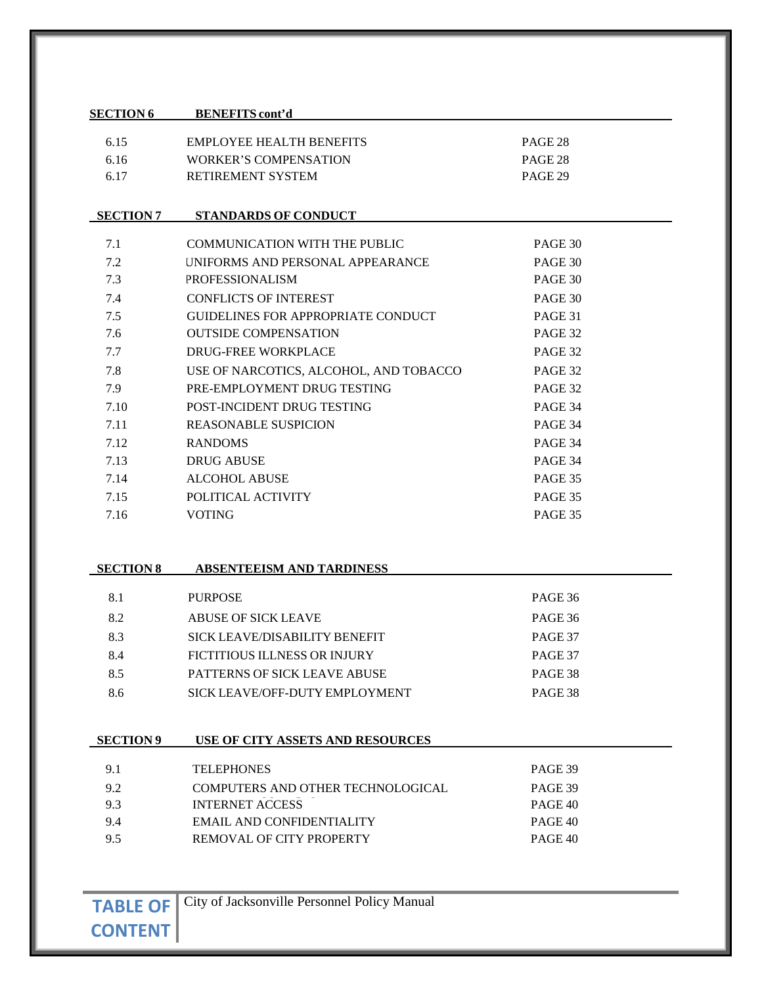# **SECTION 6 BENEFITS cont'd**

| 6.15 | EMPLOYEE HEALTH BENEFITS     | PAGE 28 |
|------|------------------------------|---------|
| 6.16 | <b>WORKER'S COMPENSATION</b> | PAGE 28 |
| 6.17 | <b>RETIREMENT SYSTEM</b>     | PAGE 29 |

#### **SECTION 7 STANDARDS OF CONDUCT**

| 7.1  | COMMUNICATION WITH THE PUBLIC          | PAGE 30 |
|------|----------------------------------------|---------|
| 7.2  | UNIFORMS AND PERSONAL APPEARANCE       | PAGE 30 |
| 7.3  | <b>PROFESSIONALISM</b>                 | PAGE 30 |
| 7.4  | <b>CONFLICTS OF INTEREST</b>           | PAGE 30 |
| 7.5  | GUIDELINES FOR APPROPRIATE CONDUCT     | PAGE 31 |
| 7.6  | <b>OUTSIDE COMPENSATION</b>            | PAGE 32 |
| 7.7  | DRUG-FREE WORKPLACE                    | PAGE 32 |
| 7.8  | USE OF NARCOTICS, ALCOHOL, AND TOBACCO | PAGE 32 |
| 7.9  | PRE-EMPLOYMENT DRUG TESTING            | PAGE 32 |
| 7.10 | POST-INCIDENT DRUG TESTING             | PAGE 34 |
| 7.11 | <b>REASONABLE SUSPICION</b>            | PAGE 34 |
| 7.12 | <b>RANDOMS</b>                         | PAGE 34 |
| 7.13 | <b>DRUG ABUSE</b>                      | PAGE 34 |
| 7.14 | <b>ALCOHOL ABUSE</b>                   | PAGE 35 |
| 7.15 | POLITICAL ACTIVITY                     | PAGE 35 |
| 7.16 | <b>VOTING</b>                          | PAGE 35 |

| <b>SECTION 8</b> | <b>ABSENTEEISM AND TARDINESS</b>    |         |
|------------------|-------------------------------------|---------|
|                  |                                     |         |
| 8.1              | <b>PURPOSE</b>                      | PAGE 36 |
| 8.2              | ABUSE OF SICK LEAVE                 | PAGE 36 |
| 8.3              | SICK LEAVE/DISABILITY BENEFIT       | PAGE 37 |
| 8.4              | FICTITIOUS ILLNESS OR INJURY        | PAGE 37 |
| 8.5              | <b>PATTERNS OF SICK LEAVE ABUSE</b> | PAGE 38 |
| 8.6              | SICK LEAVE/OFF-DUTY EMPLOYMENT      | PAGE 38 |

| ^*CTn+. | m<br>۱T<br>,, |  |
|---------|---------------|--|
|         |               |  |

#### **SECTION 9 USE OF CITY ASSETS AND RESOURCES**

| 9.1 | <b>TELEPHONES</b>                 | PAGE 39 |
|-----|-----------------------------------|---------|
| 9.2 | COMPUTERS AND OTHER TECHNOLOGICAL | PAGE 39 |
| 9.3 | <b>INTERNET ACCESS</b>            | PAGE 40 |
| 9.4 | EMAIL AND CONFIDENTIALITY         | PAGE 40 |
| 9.5 | REMOVAL OF CITY PROPERTY          | PAGE 40 |
|     |                                   |         |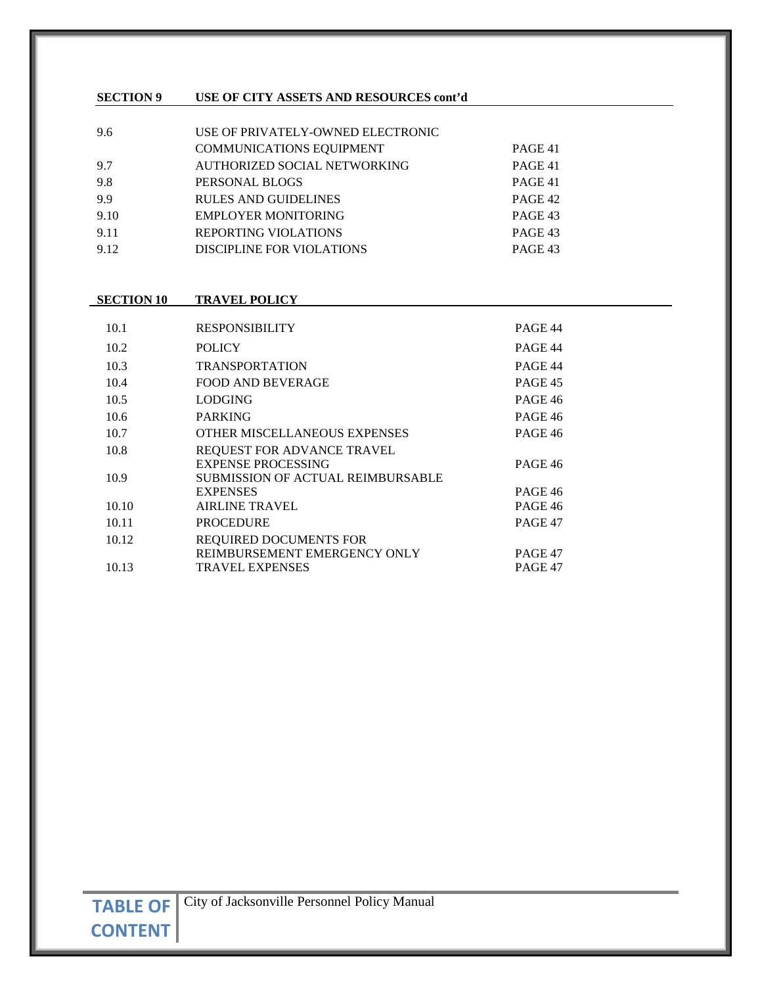#### **SECTION 9 USE OF CITY ASSETS AND RESOURCES cont'd**

| 9.6  | USE OF PRIVATELY-OWNED ELECTRONIC |         |
|------|-----------------------------------|---------|
|      | <b>COMMUNICATIONS EQUIPMENT</b>   | PAGE 41 |
| 9.7  | AUTHORIZED SOCIAL NETWORKING      | PAGE 41 |
| 9.8  | PERSONAL BLOGS                    | PAGE 41 |
| 9.9  | <b>RULES AND GUIDELINES</b>       | PAGE 42 |
| 9.10 | EMPLOYER MONITORING               | PAGE 43 |
| 9.11 | <b>REPORTING VIOLATIONS</b>       | PAGE 43 |
| 9.12 | DISCIPLINE FOR VIOLATIONS         | PAGE 43 |

## **SECTION 10 TRAVEL POLICY**

| 10.1  | <b>RESPONSIBILITY</b>             | PAGE 44        |
|-------|-----------------------------------|----------------|
| 10.2  | <b>POLICY</b>                     | PAGE 44        |
| 10.3  | <b>TRANSPORTATION</b>             | PAGE 44        |
| 10.4  | <b>FOOD AND BEVERAGE</b>          | PAGE 45        |
| 10.5  | <b>LODGING</b>                    | PAGE 46        |
| 10.6  | <b>PARKING</b>                    | <b>PAGE 46</b> |
| 10.7  | OTHER MISCELLANEOUS EXPENSES      | <b>PAGE 46</b> |
| 10.8  | REQUEST FOR ADVANCE TRAVEL        |                |
|       | <b>EXPENSE PROCESSING</b>         | <b>PAGE 46</b> |
| 10.9  | SUBMISSION OF ACTUAL REIMBURSABLE |                |
|       | <b>EXPENSES</b>                   | <b>PAGE 46</b> |
| 10.10 | <b>AIRLINE TRAVEL</b>             | <b>PAGE 46</b> |
| 10.11 | <b>PROCEDURE</b>                  | PAGE 47        |
| 10.12 | REQUIRED DOCUMENTS FOR            |                |
|       | REIMBURSEMENT EMERGENCY ONLY      | PAGE 47        |
| 10.13 | <b>TRAVEL EXPENSES</b>            | PAGE 47        |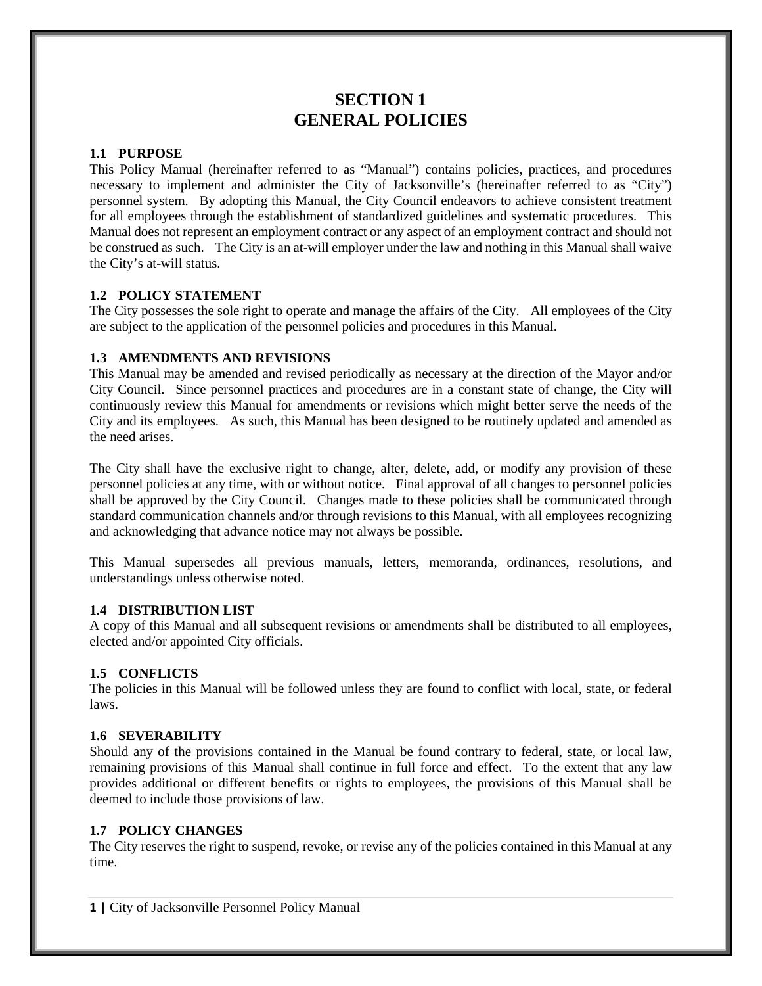# **SECTION 1 GENERAL POLICIES**

# **1.1 PURPOSE**

This Policy Manual (hereinafter referred to as "Manual") contains policies, practices, and procedures necessary to implement and administer the City of Jacksonville's (hereinafter referred to as "City") personnel system. By adopting this Manual, the City Council endeavors to achieve consistent treatment for all employees through the establishment of standardized guidelines and systematic procedures. This Manual does not represent an employment contract or any aspect of an employment contract and should not be construed as such. The City is an at-will employer under the law and nothing in this Manual shall waive the City's at-will status.

# **1.2 POLICY STATEMENT**

The City possesses the sole right to operate and manage the affairs of the City. All employees of the City are subject to the application of the personnel policies and procedures in this Manual.

## **1.3 AMENDMENTS AND REVISIONS**

This Manual may be amended and revised periodically as necessary at the direction of the Mayor and/or City Council. Since personnel practices and procedures are in a constant state of change, the City will continuously review this Manual for amendments or revisions which might better serve the needs of the City and its employees. As such, this Manual has been designed to be routinely updated and amended as the need arises.

The City shall have the exclusive right to change, alter, delete, add, or modify any provision of these personnel policies at any time, with or without notice. Final approval of all changes to personnel policies shall be approved by the City Council. Changes made to these policies shall be communicated through standard communication channels and/or through revisions to this Manual, with all employees recognizing and acknowledging that advance notice may not always be possible.

This Manual supersedes all previous manuals, letters, memoranda, ordinances, resolutions, and understandings unless otherwise noted.

## **1.4 DISTRIBUTION LIST**

A copy of this Manual and all subsequent revisions or amendments shall be distributed to all employees, elected and/or appointed City officials.

## **1.5 CONFLICTS**

The policies in this Manual will be followed unless they are found to conflict with local, state, or federal laws.

## **1.6 SEVERABILITY**

Should any of the provisions contained in the Manual be found contrary to federal, state, or local law, remaining provisions of this Manual shall continue in full force and effect. To the extent that any law provides additional or different benefits or rights to employees, the provisions of this Manual shall be deemed to include those provisions of law.

# **1.7 POLICY CHANGES**

The City reserves the right to suspend, revoke, or revise any of the policies contained in this Manual at any time.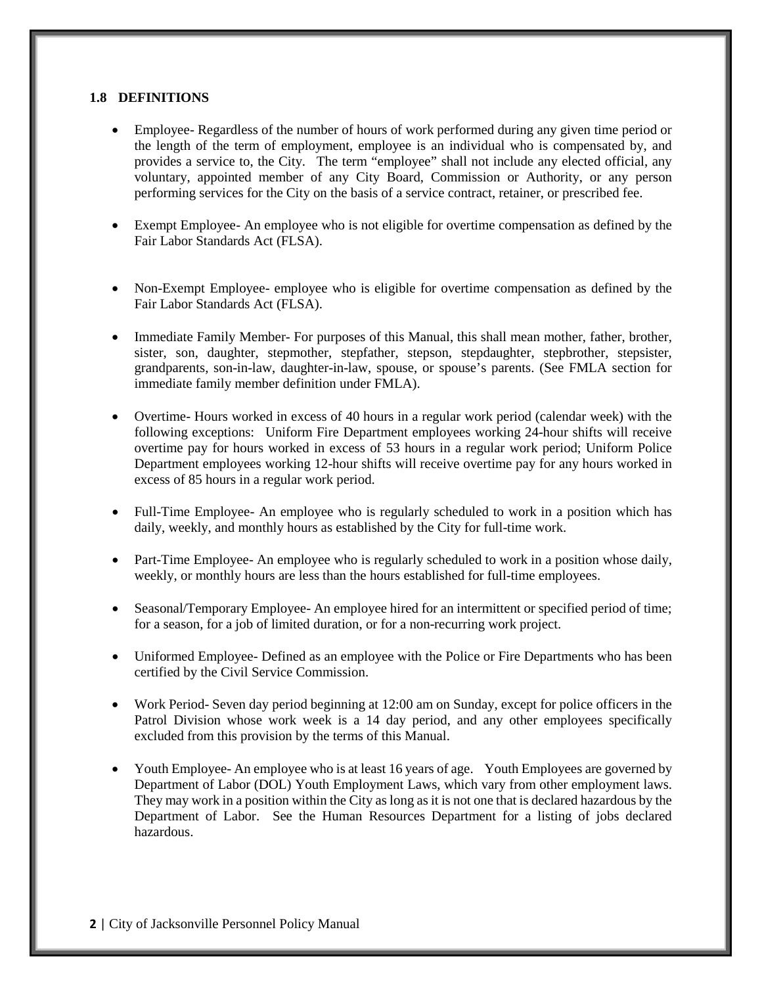#### **1.8 DEFINITIONS**

- Employee- Regardless of the number of hours of work performed during any given time period or the length of the term of employment, employee is an individual who is compensated by, and provides a service to, the City. The term "employee" shall not include any elected official, any voluntary, appointed member of any City Board, Commission or Authority, or any person performing services for the City on the basis of a service contract, retainer, or prescribed fee.
- Exempt Employee- An employee who is not eligible for overtime compensation as defined by the Fair Labor Standards Act (FLSA).
- Non-Exempt Employee- employee who is eligible for overtime compensation as defined by the Fair Labor Standards Act (FLSA).
- Immediate Family Member- For purposes of this Manual, this shall mean mother, father, brother, sister, son, daughter, stepmother, stepfather, stepson, stepdaughter, stepbrother, stepsister, grandparents, son-in-law, daughter-in-law, spouse, or spouse's parents. (See FMLA section for immediate family member definition under FMLA).
- Overtime- Hours worked in excess of 40 hours in a regular work period (calendar week) with the following exceptions: Uniform Fire Department employees working 24-hour shifts will receive overtime pay for hours worked in excess of 53 hours in a regular work period; Uniform Police Department employees working 12-hour shifts will receive overtime pay for any hours worked in excess of 85 hours in a regular work period.
- Full-Time Employee- An employee who is regularly scheduled to work in a position which has daily, weekly, and monthly hours as established by the City for full-time work.
- Part-Time Employee- An employee who is regularly scheduled to work in a position whose daily, weekly, or monthly hours are less than the hours established for full-time employees.
- Seasonal/Temporary Employee- An employee hired for an intermittent or specified period of time; for a season, for a job of limited duration, or for a non-recurring work project.
- Uniformed Employee- Defined as an employee with the Police or Fire Departments who has been certified by the Civil Service Commission.
- Work Period- Seven day period beginning at 12:00 am on Sunday, except for police officers in the Patrol Division whose work week is a 14 day period, and any other employees specifically excluded from this provision by the terms of this Manual.
- Youth Employee- An employee who is at least 16 years of age. Youth Employees are governed by Department of Labor (DOL) Youth Employment Laws, which vary from other employment laws. They may work in a position within the City as long as it is not one that is declared hazardous by the Department of Labor. See the Human Resources Department for a listing of jobs declared hazardous.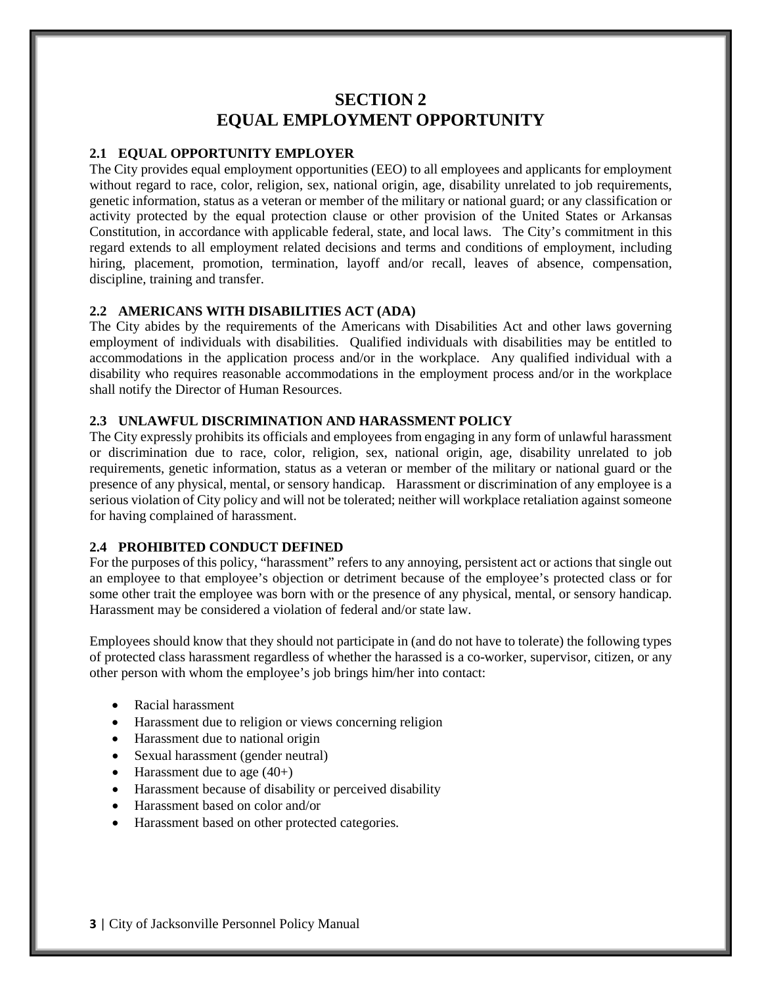# **SECTION 2 EQUAL EMPLOYMENT OPPORTUNITY**

#### **2.1 EQUAL OPPORTUNITY EMPLOYER**

The City provides equal employment opportunities (EEO) to all employees and applicants for employment without regard to race, color, religion, sex, national origin, age, disability unrelated to job requirements, genetic information, status as a veteran or member of the military or national guard; or any classification or activity protected by the equal protection clause or other provision of the United States or Arkansas Constitution, in accordance with applicable federal, state, and local laws. The City's commitment in this regard extends to all employment related decisions and terms and conditions of employment, including hiring, placement, promotion, termination, layoff and/or recall, leaves of absence, compensation, discipline, training and transfer.

#### **2.2 AMERICANS WITH DISABILITIES ACT (ADA)**

The City abides by the requirements of the Americans with Disabilities Act and other laws governing employment of individuals with disabilities. Qualified individuals with disabilities may be entitled to accommodations in the application process and/or in the workplace. Any qualified individual with a disability who requires reasonable accommodations in the employment process and/or in the workplace shall notify the Director of Human Resources.

#### **2.3 UNLAWFUL DISCRIMINATION AND HARASSMENT POLICY**

The City expressly prohibits its officials and employees from engaging in any form of unlawful harassment or discrimination due to race, color, religion, sex, national origin, age, disability unrelated to job requirements, genetic information, status as a veteran or member of the military or national guard or the presence of any physical, mental, or sensory handicap. Harassment or discrimination of any employee is a serious violation of City policy and will not be tolerated; neither will workplace retaliation against someone for having complained of harassment.

## **2.4 PROHIBITED CONDUCT DEFINED**

For the purposes of this policy, "harassment" refers to any annoying, persistent act or actions that single out an employee to that employee's objection or detriment because of the employee's protected class or for some other trait the employee was born with or the presence of any physical, mental, or sensory handicap. Harassment may be considered a violation of federal and/or state law.

Employees should know that they should not participate in (and do not have to tolerate) the following types of protected class harassment regardless of whether the harassed is a co-worker, supervisor, citizen, or any other person with whom the employee's job brings him/her into contact:

- Racial harassment
- Harassment due to religion or views concerning religion
- Harassment due to national origin
- Sexual harassment (gender neutral)
- Harassment due to age  $(40+)$
- Harassment because of disability or perceived disability
- Harassment based on color and/or
- Harassment based on other protected categories.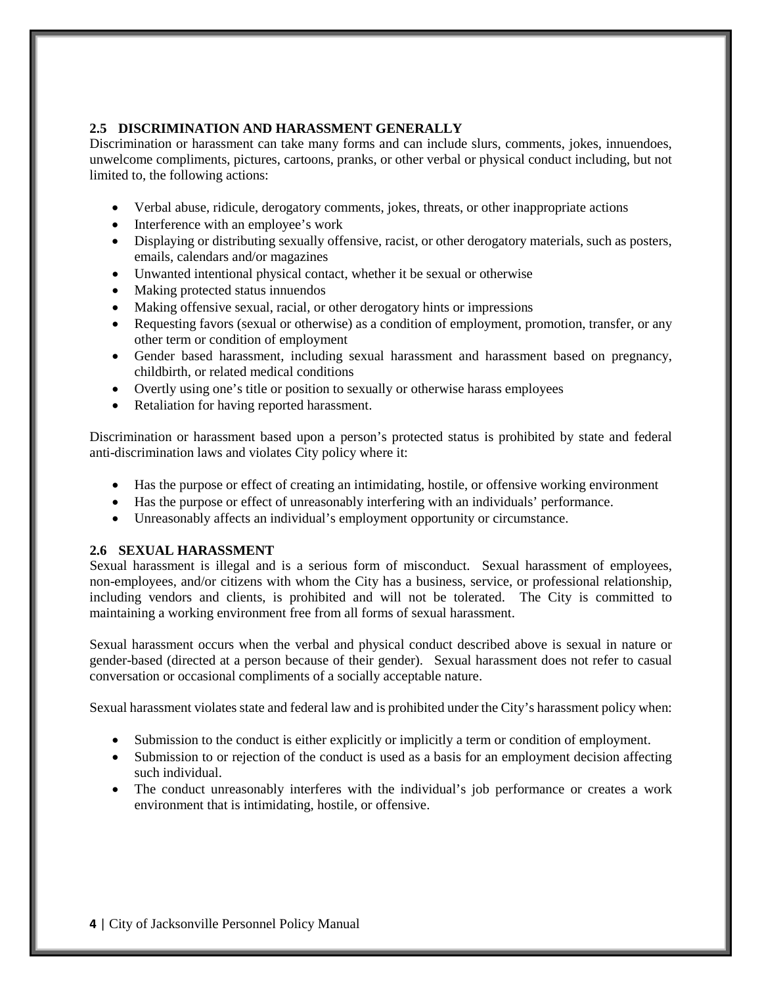## **2.5 DISCRIMINATION AND HARASSMENT GENERALLY**

Discrimination or harassment can take many forms and can include slurs, comments, jokes, innuendoes, unwelcome compliments, pictures, cartoons, pranks, or other verbal or physical conduct including, but not limited to, the following actions:

- Verbal abuse, ridicule, derogatory comments, jokes, threats, or other inappropriate actions
- Interference with an employee's work
- Displaying or distributing sexually offensive, racist, or other derogatory materials, such as posters, emails, calendars and/or magazines
- Unwanted intentional physical contact, whether it be sexual or otherwise
- Making protected status innuendos
- Making offensive sexual, racial, or other derogatory hints or impressions
- Requesting favors (sexual or otherwise) as a condition of employment, promotion, transfer, or any other term or condition of employment
- Gender based harassment, including sexual harassment and harassment based on pregnancy, childbirth, or related medical conditions
- Overtly using one's title or position to sexually or otherwise harass employees
- Retaliation for having reported harassment.

Discrimination or harassment based upon a person's protected status is prohibited by state and federal anti-discrimination laws and violates City policy where it:

- Has the purpose or effect of creating an intimidating, hostile, or offensive working environment
- Has the purpose or effect of unreasonably interfering with an individuals' performance.
- Unreasonably affects an individual's employment opportunity or circumstance.

## **2.6 SEXUAL HARASSMENT**

Sexual harassment is illegal and is a serious form of misconduct. Sexual harassment of employees, non-employees, and/or citizens with whom the City has a business, service, or professional relationship, including vendors and clients, is prohibited and will not be tolerated. The City is committed to maintaining a working environment free from all forms of sexual harassment.

Sexual harassment occurs when the verbal and physical conduct described above is sexual in nature or gender-based (directed at a person because of their gender). Sexual harassment does not refer to casual conversation or occasional compliments of a socially acceptable nature.

Sexual harassment violates state and federal law and is prohibited under the City's harassment policy when:

- Submission to the conduct is either explicitly or implicitly a term or condition of employment.
- Submission to or rejection of the conduct is used as a basis for an employment decision affecting such individual.
- The conduct unreasonably interferes with the individual's job performance or creates a work environment that is intimidating, hostile, or offensive.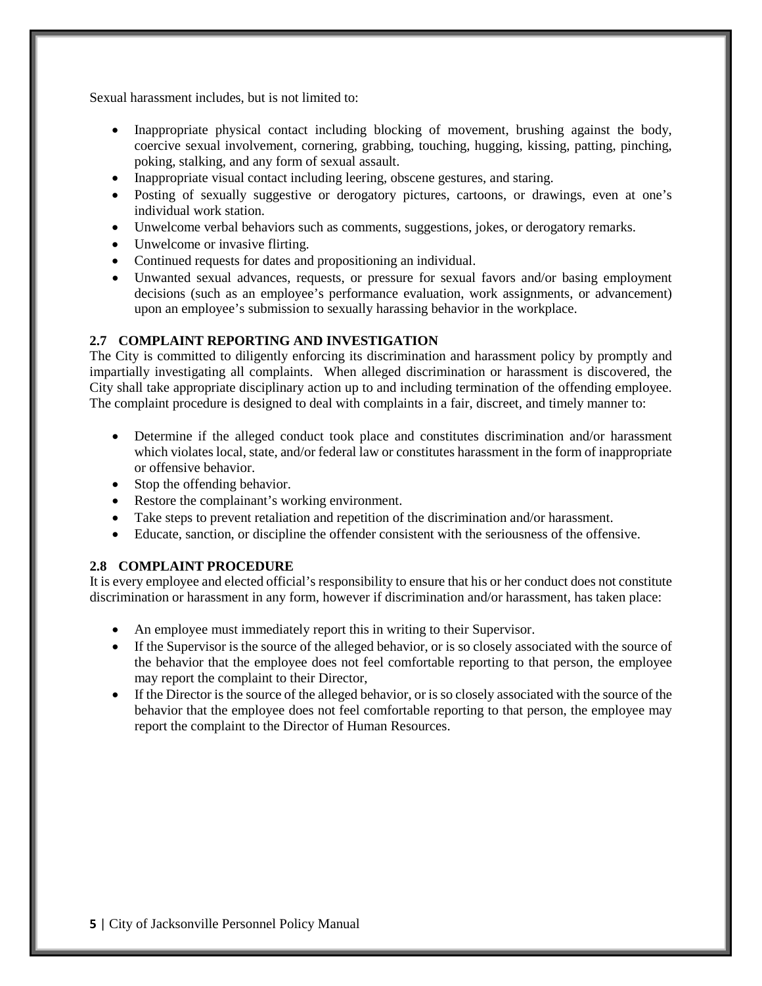Sexual harassment includes, but is not limited to:

- Inappropriate physical contact including blocking of movement, brushing against the body, coercive sexual involvement, cornering, grabbing, touching, hugging, kissing, patting, pinching, poking, stalking, and any form of sexual assault.
- Inappropriate visual contact including leering, obscene gestures, and staring.
- Posting of sexually suggestive or derogatory pictures, cartoons, or drawings, even at one's individual work station.
- Unwelcome verbal behaviors such as comments, suggestions, jokes, or derogatory remarks.
- Unwelcome or invasive flirting.
- Continued requests for dates and propositioning an individual.
- Unwanted sexual advances, requests, or pressure for sexual favors and/or basing employment decisions (such as an employee's performance evaluation, work assignments, or advancement) upon an employee's submission to sexually harassing behavior in the workplace.

# **2.7 COMPLAINT REPORTING AND INVESTIGATION**

The City is committed to diligently enforcing its discrimination and harassment policy by promptly and impartially investigating all complaints. When alleged discrimination or harassment is discovered, the City shall take appropriate disciplinary action up to and including termination of the offending employee. The complaint procedure is designed to deal with complaints in a fair, discreet, and timely manner to:

- Determine if the alleged conduct took place and constitutes discrimination and/or harassment which violates local, state, and/or federal law or constitutes harassment in the form of inappropriate or offensive behavior.
- Stop the offending behavior.
- Restore the complainant's working environment.
- Take steps to prevent retaliation and repetition of the discrimination and/or harassment.
- Educate, sanction, or discipline the offender consistent with the seriousness of the offensive.

# **2.8 COMPLAINT PROCEDURE**

It is every employee and elected official's responsibility to ensure that his or her conduct does not constitute discrimination or harassment in any form, however if discrimination and/or harassment, has taken place:

- An employee must immediately report this in writing to their Supervisor.
- If the Supervisor is the source of the alleged behavior, or is so closely associated with the source of the behavior that the employee does not feel comfortable reporting to that person, the employee may report the complaint to their Director,
- If the Director is the source of the alleged behavior, or is so closely associated with the source of the behavior that the employee does not feel comfortable reporting to that person, the employee may report the complaint to the Director of Human Resources.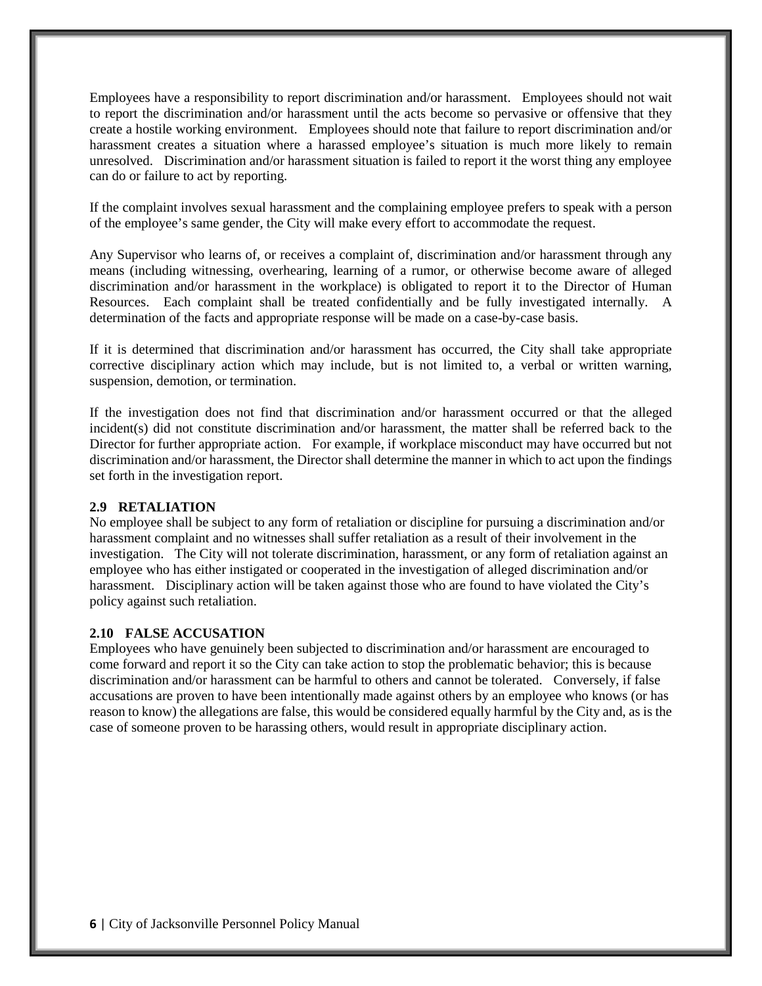Employees have a responsibility to report discrimination and/or harassment. Employees should not wait to report the discrimination and/or harassment until the acts become so pervasive or offensive that they create a hostile working environment. Employees should note that failure to report discrimination and/or harassment creates a situation where a harassed employee's situation is much more likely to remain unresolved. Discrimination and/or harassment situation is failed to report it the worst thing any employee can do or failure to act by reporting.

If the complaint involves sexual harassment and the complaining employee prefers to speak with a person of the employee's same gender, the City will make every effort to accommodate the request.

Any Supervisor who learns of, or receives a complaint of, discrimination and/or harassment through any means (including witnessing, overhearing, learning of a rumor, or otherwise become aware of alleged discrimination and/or harassment in the workplace) is obligated to report it to the Director of Human Resources. Each complaint shall be treated confidentially and be fully investigated internally. A determination of the facts and appropriate response will be made on a case-by-case basis.

If it is determined that discrimination and/or harassment has occurred, the City shall take appropriate corrective disciplinary action which may include, but is not limited to, a verbal or written warning, suspension, demotion, or termination.

If the investigation does not find that discrimination and/or harassment occurred or that the alleged incident(s) did not constitute discrimination and/or harassment, the matter shall be referred back to the Director for further appropriate action. For example, if workplace misconduct may have occurred but not discrimination and/or harassment, the Director shall determine the manner in which to act upon the findings set forth in the investigation report.

# **2.9 RETALIATION**

No employee shall be subject to any form of retaliation or discipline for pursuing a discrimination and/or harassment complaint and no witnesses shall suffer retaliation as a result of their involvement in the investigation. The City will not tolerate discrimination, harassment, or any form of retaliation against an employee who has either instigated or cooperated in the investigation of alleged discrimination and/or harassment. Disciplinary action will be taken against those who are found to have violated the City's policy against such retaliation.

#### **2.10 FALSE ACCUSATION**

Employees who have genuinely been subjected to discrimination and/or harassment are encouraged to come forward and report it so the City can take action to stop the problematic behavior; this is because discrimination and/or harassment can be harmful to others and cannot be tolerated. Conversely, if false accusations are proven to have been intentionally made against others by an employee who knows (or has reason to know) the allegations are false, this would be considered equally harmful by the City and, as is the case of someone proven to be harassing others, would result in appropriate disciplinary action.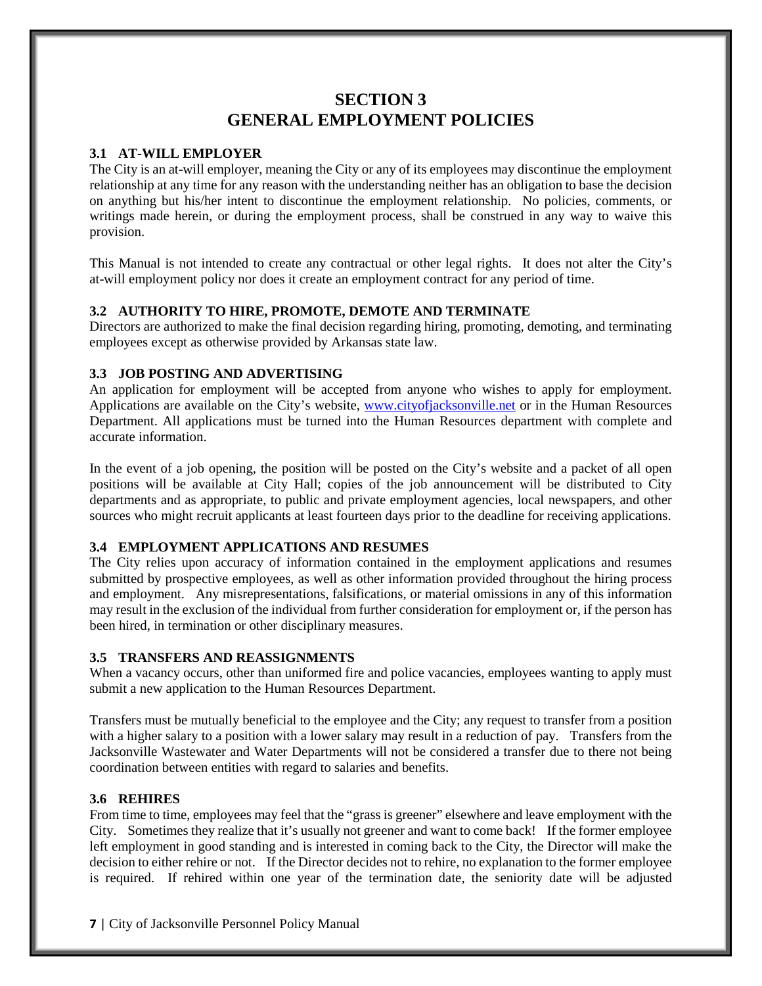# **SECTION 3 GENERAL EMPLOYMENT POLICIES**

# **3.1 AT-WILL EMPLOYER**

The City is an at-will employer, meaning the City or any of its employees may discontinue the employment relationship at any time for any reason with the understanding neither has an obligation to base the decision on anything but his/her intent to discontinue the employment relationship. No policies, comments, or writings made herein, or during the employment process, shall be construed in any way to waive this provision.

This Manual is not intended to create any contractual or other legal rights. It does not alter the City's at-will employment policy nor does it create an employment contract for any period of time.

# **3.2 AUTHORITY TO HIRE, PROMOTE, DEMOTE AND TERMINATE**

Directors are authorized to make the final decision regarding hiring, promoting, demoting, and terminating employees except as otherwise provided by Arkansas state law.

## **3.3 JOB POSTING AND ADVERTISING**

An application for employment will be accepted from anyone who wishes to apply for employment. Applications are available on the City's website, [www.cityofjacksonville.net](http://www.cityofjacksonville.net/) or in the Human Resources Department. All applications must be turned into the Human Resources department with complete and accurate information.

In the event of a job opening, the position will be posted on the City's website and a packet of all open positions will be available at City Hall; copies of the job announcement will be distributed to City departments and as appropriate, to public and private employment agencies, local newspapers, and other sources who might recruit applicants at least fourteen days prior to the deadline for receiving applications.

## **3.4 EMPLOYMENT APPLICATIONS AND RESUMES**

The City relies upon accuracy of information contained in the employment applications and resumes submitted by prospective employees, as well as other information provided throughout the hiring process and employment. Any misrepresentations, falsifications, or material omissions in any of this information may result in the exclusion of the individual from further consideration for employment or, if the person has been hired, in termination or other disciplinary measures.

## **3.5 TRANSFERS AND REASSIGNMENTS**

When a vacancy occurs, other than uniformed fire and police vacancies, employees wanting to apply must submit a new application to the Human Resources Department.

Transfers must be mutually beneficial to the employee and the City; any request to transfer from a position with a higher salary to a position with a lower salary may result in a reduction of pay. Transfers from the Jacksonville Wastewater and Water Departments will not be considered a transfer due to there not being coordination between entities with regard to salaries and benefits.

## **3.6 REHIRES**

From time to time, employees may feel that the "grass is greener" elsewhere and leave employment with the City. Sometimes they realize that it's usually not greener and want to come back! If the former employee left employment in good standing and is interested in coming back to the City, the Director will make the decision to either rehire or not. If the Director decides not to rehire, no explanation to the former employee is required. If rehired within one year of the termination date, the seniority date will be adjusted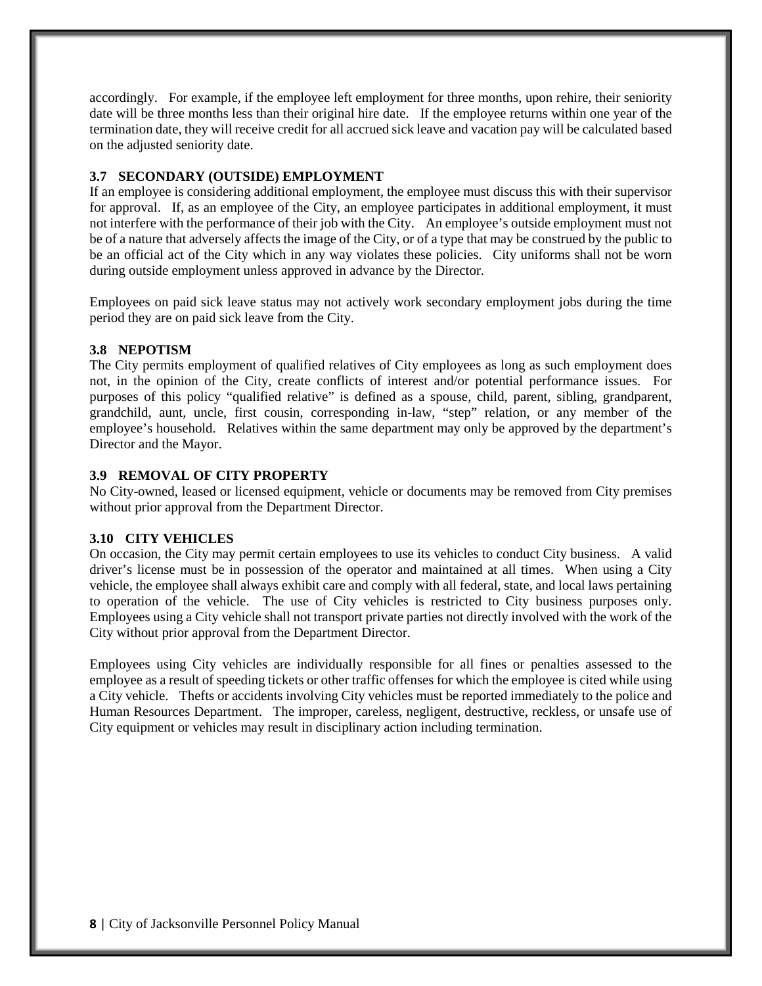accordingly. For example, if the employee left employment for three months, upon rehire, their seniority date will be three months less than their original hire date. If the employee returns within one year of the termination date, they will receive credit for all accrued sick leave and vacation pay will be calculated based on the adjusted seniority date.

## **3.7 SECONDARY (OUTSIDE) EMPLOYMENT**

If an employee is considering additional employment, the employee must discuss this with their supervisor for approval. If, as an employee of the City, an employee participates in additional employment, it must not interfere with the performance of their job with the City. An employee's outside employment must not be of a nature that adversely affects the image of the City, or of a type that may be construed by the public to be an official act of the City which in any way violates these policies. City uniforms shall not be worn during outside employment unless approved in advance by the Director.

Employees on paid sick leave status may not actively work secondary employment jobs during the time period they are on paid sick leave from the City.

# **3.8 NEPOTISM**

The City permits employment of qualified relatives of City employees as long as such employment does not, in the opinion of the City, create conflicts of interest and/or potential performance issues. For purposes of this policy "qualified relative" is defined as a spouse, child, parent, sibling, grandparent, grandchild, aunt, uncle, first cousin, corresponding in-law, "step" relation, or any member of the employee's household. Relatives within the same department may only be approved by the department's Director and the Mayor.

# **3.9 REMOVAL OF CITY PROPERTY**

No City-owned, leased or licensed equipment, vehicle or documents may be removed from City premises without prior approval from the Department Director.

## **3.10 CITY VEHICLES**

On occasion, the City may permit certain employees to use its vehicles to conduct City business. A valid driver's license must be in possession of the operator and maintained at all times. When using a City vehicle, the employee shall always exhibit care and comply with all federal, state, and local laws pertaining to operation of the vehicle. The use of City vehicles is restricted to City business purposes only. Employees using a City vehicle shall not transport private parties not directly involved with the work of the City without prior approval from the Department Director.

Employees using City vehicles are individually responsible for all fines or penalties assessed to the employee as a result of speeding tickets or other traffic offenses for which the employee is cited while using a City vehicle. Thefts or accidents involving City vehicles must be reported immediately to the police and Human Resources Department. The improper, careless, negligent, destructive, reckless, or unsafe use of City equipment or vehicles may result in disciplinary action including termination.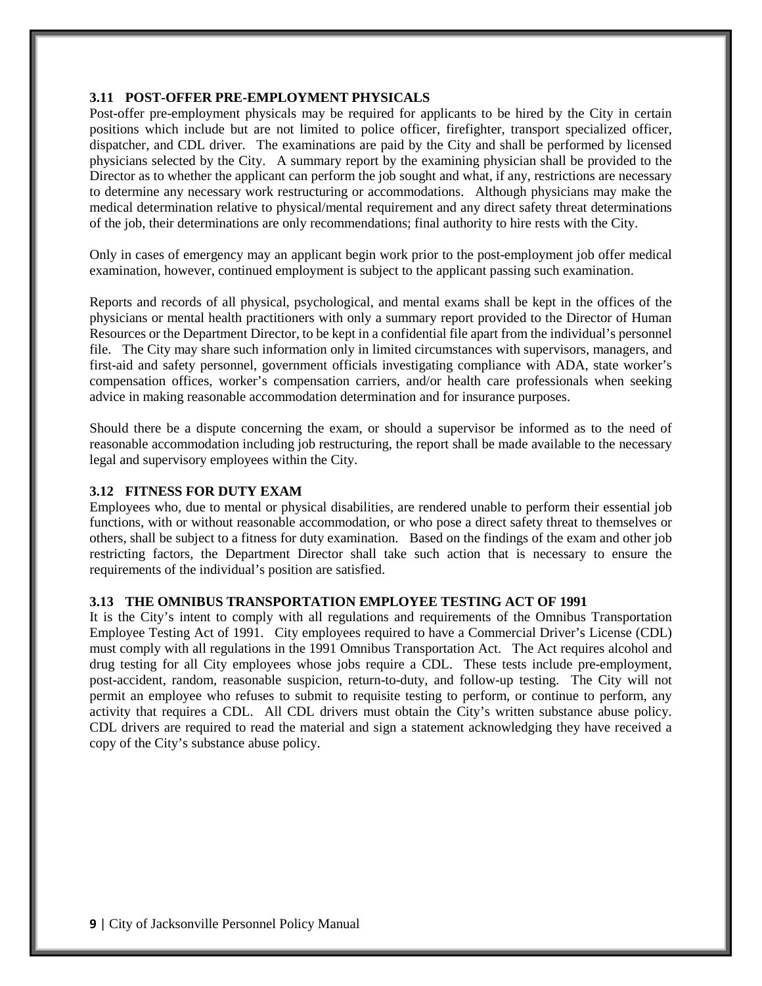#### **3.11 POST-OFFER PRE-EMPLOYMENT PHYSICALS**

Post-offer pre-employment physicals may be required for applicants to be hired by the City in certain positions which include but are not limited to police officer, firefighter, transport specialized officer, dispatcher, and CDL driver. The examinations are paid by the City and shall be performed by licensed physicians selected by the City. A summary report by the examining physician shall be provided to the Director as to whether the applicant can perform the job sought and what, if any, restrictions are necessary to determine any necessary work restructuring or accommodations. Although physicians may make the medical determination relative to physical/mental requirement and any direct safety threat determinations of the job, their determinations are only recommendations; final authority to hire rests with the City.

Only in cases of emergency may an applicant begin work prior to the post-employment job offer medical examination, however, continued employment is subject to the applicant passing such examination.

Reports and records of all physical, psychological, and mental exams shall be kept in the offices of the physicians or mental health practitioners with only a summary report provided to the Director of Human Resources or the Department Director, to be kept in a confidential file apart from the individual's personnel file. The City may share such information only in limited circumstances with supervisors, managers, and first-aid and safety personnel, government officials investigating compliance with ADA, state worker's compensation offices, worker's compensation carriers, and/or health care professionals when seeking advice in making reasonable accommodation determination and for insurance purposes.

Should there be a dispute concerning the exam, or should a supervisor be informed as to the need of reasonable accommodation including job restructuring, the report shall be made available to the necessary legal and supervisory employees within the City.

#### **3.12 FITNESS FOR DUTY EXAM**

Employees who, due to mental or physical disabilities, are rendered unable to perform their essential job functions, with or without reasonable accommodation, or who pose a direct safety threat to themselves or others, shall be subject to a fitness for duty examination. Based on the findings of the exam and other job restricting factors, the Department Director shall take such action that is necessary to ensure the requirements of the individual's position are satisfied.

#### **3.13 THE OMNIBUS TRANSPORTATION EMPLOYEE TESTING ACT OF 1991**

It is the City's intent to comply with all regulations and requirements of the Omnibus Transportation Employee Testing Act of 1991. City employees required to have a Commercial Driver's License (CDL) must comply with all regulations in the 1991 Omnibus Transportation Act. The Act requires alcohol and drug testing for all City employees whose jobs require a CDL. These tests include pre-employment, post-accident, random, reasonable suspicion, return-to-duty, and follow-up testing. The City will not permit an employee who refuses to submit to requisite testing to perform, or continue to perform, any activity that requires a CDL. All CDL drivers must obtain the City's written substance abuse policy. CDL drivers are required to read the material and sign a statement acknowledging they have received a copy of the City's substance abuse policy.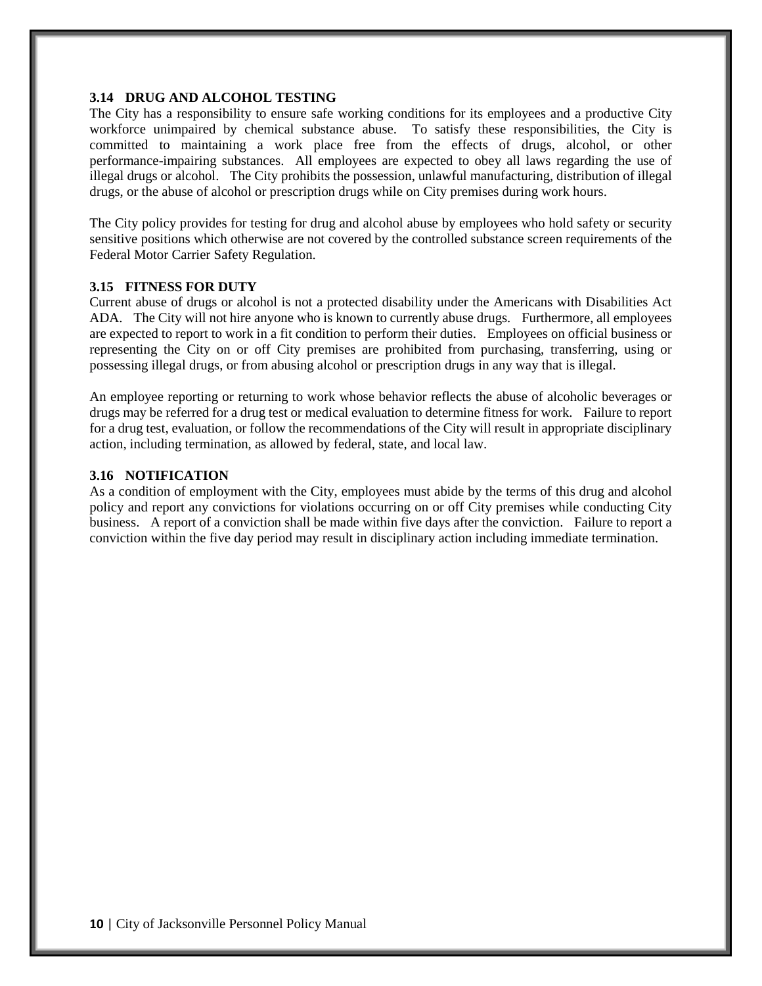#### **3.14 DRUG AND ALCOHOL TESTING**

The City has a responsibility to ensure safe working conditions for its employees and a productive City workforce unimpaired by chemical substance abuse. To satisfy these responsibilities, the City is committed to maintaining a work place free from the effects of drugs, alcohol, or other performance-impairing substances. All employees are expected to obey all laws regarding the use of illegal drugs or alcohol. The City prohibits the possession, unlawful manufacturing, distribution of illegal drugs, or the abuse of alcohol or prescription drugs while on City premises during work hours.

The City policy provides for testing for drug and alcohol abuse by employees who hold safety or security sensitive positions which otherwise are not covered by the controlled substance screen requirements of the Federal Motor Carrier Safety Regulation.

#### **3.15 FITNESS FOR DUTY**

Current abuse of drugs or alcohol is not a protected disability under the Americans with Disabilities Act ADA. The City will not hire anyone who is known to currently abuse drugs. Furthermore, all employees are expected to report to work in a fit condition to perform their duties. Employees on official business or representing the City on or off City premises are prohibited from purchasing, transferring, using or possessing illegal drugs, or from abusing alcohol or prescription drugs in any way that is illegal.

An employee reporting or returning to work whose behavior reflects the abuse of alcoholic beverages or drugs may be referred for a drug test or medical evaluation to determine fitness for work. Failure to report for a drug test, evaluation, or follow the recommendations of the City will result in appropriate disciplinary action, including termination, as allowed by federal, state, and local law.

#### **3.16 NOTIFICATION**

As a condition of employment with the City, employees must abide by the terms of this drug and alcohol policy and report any convictions for violations occurring on or off City premises while conducting City business. A report of a conviction shall be made within five days after the conviction. Failure to report a conviction within the five day period may result in disciplinary action including immediate termination.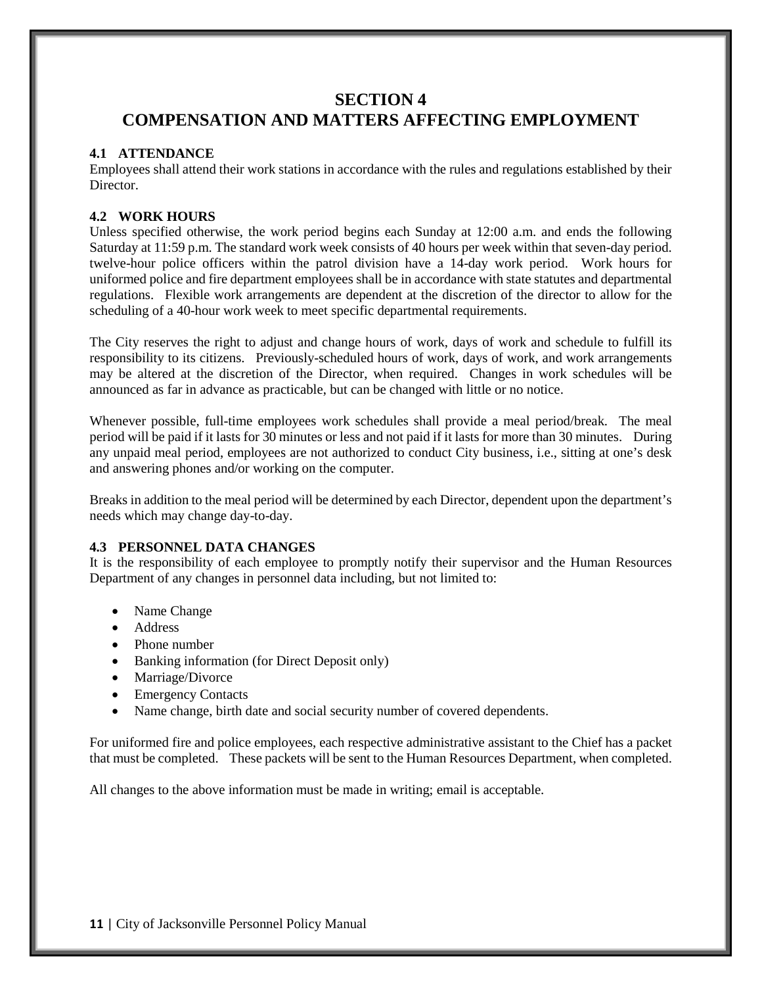# **SECTION 4 COMPENSATION AND MATTERS AFFECTING EMPLOYMENT**

## **4.1 ATTENDANCE**

Employees shall attend their work stations in accordance with the rules and regulations established by their Director.

# **4.2 WORK HOURS**

Unless specified otherwise, the work period begins each Sunday at 12:00 a.m. and ends the following Saturday at 11:59 p.m. The standard work week consists of 40 hours per week within that seven-day period. twelve-hour police officers within the patrol division have a 14-day work period. Work hours for uniformed police and fire department employees shall be in accordance with state statutes and departmental regulations. Flexible work arrangements are dependent at the discretion of the director to allow for the scheduling of a 40-hour work week to meet specific departmental requirements.

The City reserves the right to adjust and change hours of work, days of work and schedule to fulfill its responsibility to its citizens. Previously-scheduled hours of work, days of work, and work arrangements may be altered at the discretion of the Director, when required. Changes in work schedules will be announced as far in advance as practicable, but can be changed with little or no notice.

Whenever possible, full-time employees work schedules shall provide a meal period/break. The meal period will be paid if it lasts for 30 minutes or less and not paid if it lasts for more than 30 minutes. During any unpaid meal period, employees are not authorized to conduct City business, i.e., sitting at one's desk and answering phones and/or working on the computer.

Breaks in addition to the meal period will be determined by each Director, dependent upon the department's needs which may change day-to-day.

## **4.3 PERSONNEL DATA CHANGES**

It is the responsibility of each employee to promptly notify their supervisor and the Human Resources Department of any changes in personnel data including, but not limited to:

- Name Change
- Address
- Phone number
- Banking information (for Direct Deposit only)
- Marriage/Divorce
- Emergency Contacts
- Name change, birth date and social security number of covered dependents.

For uniformed fire and police employees, each respective administrative assistant to the Chief has a packet that must be completed. These packets will be sent to the Human Resources Department, when completed.

All changes to the above information must be made in writing; email is acceptable.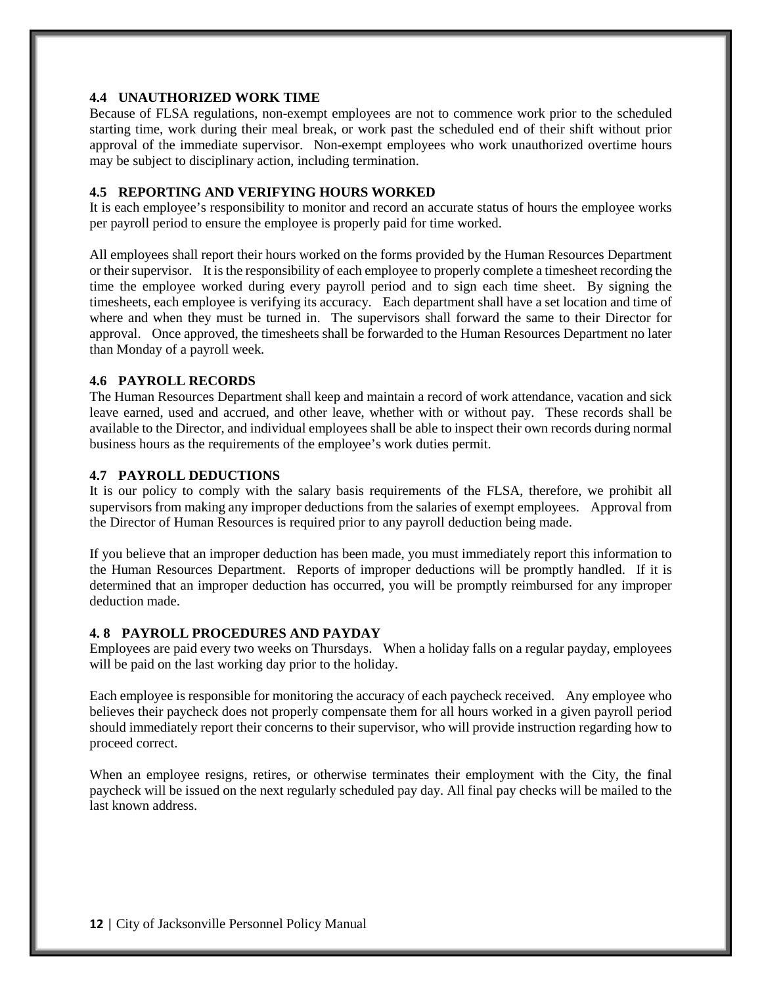#### **4.4 UNAUTHORIZED WORK TIME**

Because of FLSA regulations, non-exempt employees are not to commence work prior to the scheduled starting time, work during their meal break, or work past the scheduled end of their shift without prior approval of the immediate supervisor. Non-exempt employees who work unauthorized overtime hours may be subject to disciplinary action, including termination.

## **4.5 REPORTING AND VERIFYING HOURS WORKED**

It is each employee's responsibility to monitor and record an accurate status of hours the employee works per payroll period to ensure the employee is properly paid for time worked.

All employees shall report their hours worked on the forms provided by the Human Resources Department or their supervisor. It is the responsibility of each employee to properly complete a timesheet recording the time the employee worked during every payroll period and to sign each time sheet. By signing the timesheets, each employee is verifying its accuracy. Each department shall have a set location and time of where and when they must be turned in. The supervisors shall forward the same to their Director for approval. Once approved, the timesheets shall be forwarded to the Human Resources Department no later than Monday of a payroll week.

## **4.6 PAYROLL RECORDS**

The Human Resources Department shall keep and maintain a record of work attendance, vacation and sick leave earned, used and accrued, and other leave, whether with or without pay. These records shall be available to the Director, and individual employees shall be able to inspect their own records during normal business hours as the requirements of the employee's work duties permit.

#### **4.7 PAYROLL DEDUCTIONS**

It is our policy to comply with the salary basis requirements of the FLSA, therefore, we prohibit all supervisors from making any improper deductions from the salaries of exempt employees. Approval from the Director of Human Resources is required prior to any payroll deduction being made.

If you believe that an improper deduction has been made, you must immediately report this information to the Human Resources Department. Reports of improper deductions will be promptly handled. If it is determined that an improper deduction has occurred, you will be promptly reimbursed for any improper deduction made.

#### **4. 8 PAYROLL PROCEDURES AND PAYDAY**

Employees are paid every two weeks on Thursdays. When a holiday falls on a regular payday, employees will be paid on the last working day prior to the holiday.

Each employee is responsible for monitoring the accuracy of each paycheck received. Any employee who believes their paycheck does not properly compensate them for all hours worked in a given payroll period should immediately report their concerns to their supervisor, who will provide instruction regarding how to proceed correct.

When an employee resigns, retires, or otherwise terminates their employment with the City, the final paycheck will be issued on the next regularly scheduled pay day. All final pay checks will be mailed to the last known address.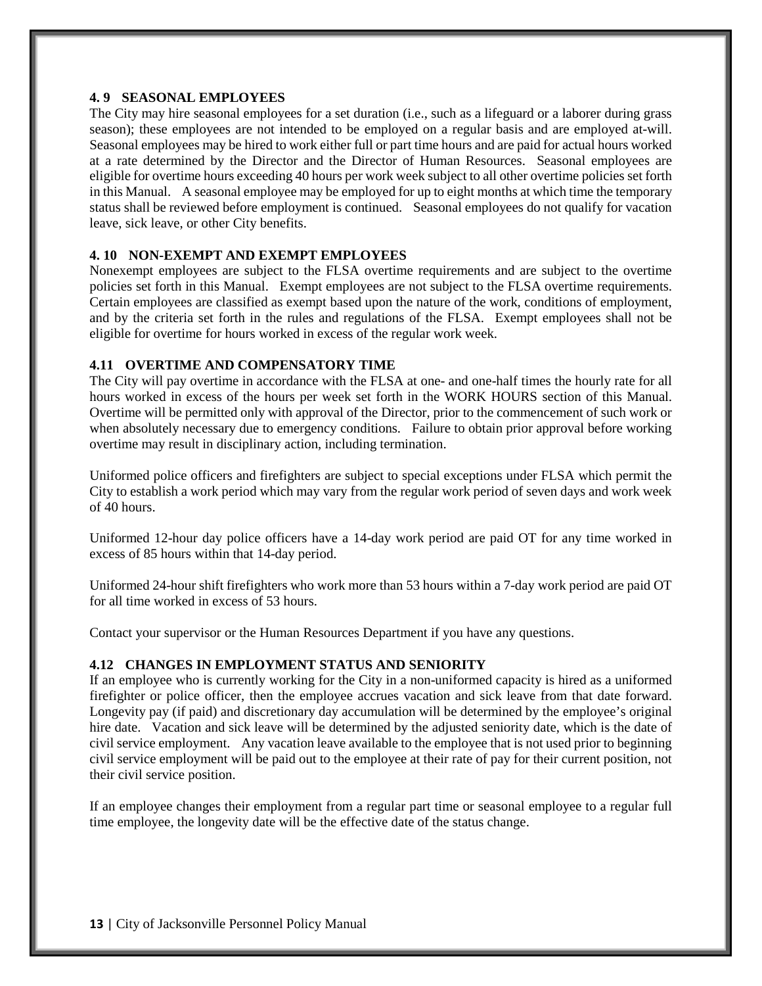# **4. 9 SEASONAL EMPLOYEES**

The City may hire seasonal employees for a set duration (i.e., such as a lifeguard or a laborer during grass season); these employees are not intended to be employed on a regular basis and are employed at-will. Seasonal employees may be hired to work either full or part time hours and are paid for actual hours worked at a rate determined by the Director and the Director of Human Resources. Seasonal employees are eligible for overtime hours exceeding 40 hours per work week subject to all other overtime policies set forth in this Manual. A seasonal employee may be employed for up to eight months at which time the temporary status shall be reviewed before employment is continued. Seasonal employees do not qualify for vacation leave, sick leave, or other City benefits.

#### **4. 10 NON-EXEMPT AND EXEMPT EMPLOYEES**

Nonexempt employees are subject to the FLSA overtime requirements and are subject to the overtime policies set forth in this Manual. Exempt employees are not subject to the FLSA overtime requirements. Certain employees are classified as exempt based upon the nature of the work, conditions of employment, and by the criteria set forth in the rules and regulations of the FLSA. Exempt employees shall not be eligible for overtime for hours worked in excess of the regular work week.

#### **4.11 OVERTIME AND COMPENSATORY TIME**

The City will pay overtime in accordance with the FLSA at one- and one-half times the hourly rate for all hours worked in excess of the hours per week set forth in the WORK HOURS section of this Manual. Overtime will be permitted only with approval of the Director, prior to the commencement of such work or when absolutely necessary due to emergency conditions. Failure to obtain prior approval before working overtime may result in disciplinary action, including termination.

Uniformed police officers and firefighters are subject to special exceptions under FLSA which permit the City to establish a work period which may vary from the regular work period of seven days and work week of 40 hours.

Uniformed 12-hour day police officers have a 14-day work period are paid OT for any time worked in excess of 85 hours within that 14-day period.

Uniformed 24-hour shift firefighters who work more than 53 hours within a 7-day work period are paid OT for all time worked in excess of 53 hours.

Contact your supervisor or the Human Resources Department if you have any questions.

## **4.12 CHANGES IN EMPLOYMENT STATUS AND SENIORITY**

If an employee who is currently working for the City in a non-uniformed capacity is hired as a uniformed firefighter or police officer, then the employee accrues vacation and sick leave from that date forward. Longevity pay (if paid) and discretionary day accumulation will be determined by the employee's original hire date. Vacation and sick leave will be determined by the adjusted seniority date, which is the date of civil service employment. Any vacation leave available to the employee that is not used prior to beginning civil service employment will be paid out to the employee at their rate of pay for their current position, not their civil service position.

If an employee changes their employment from a regular part time or seasonal employee to a regular full time employee, the longevity date will be the effective date of the status change.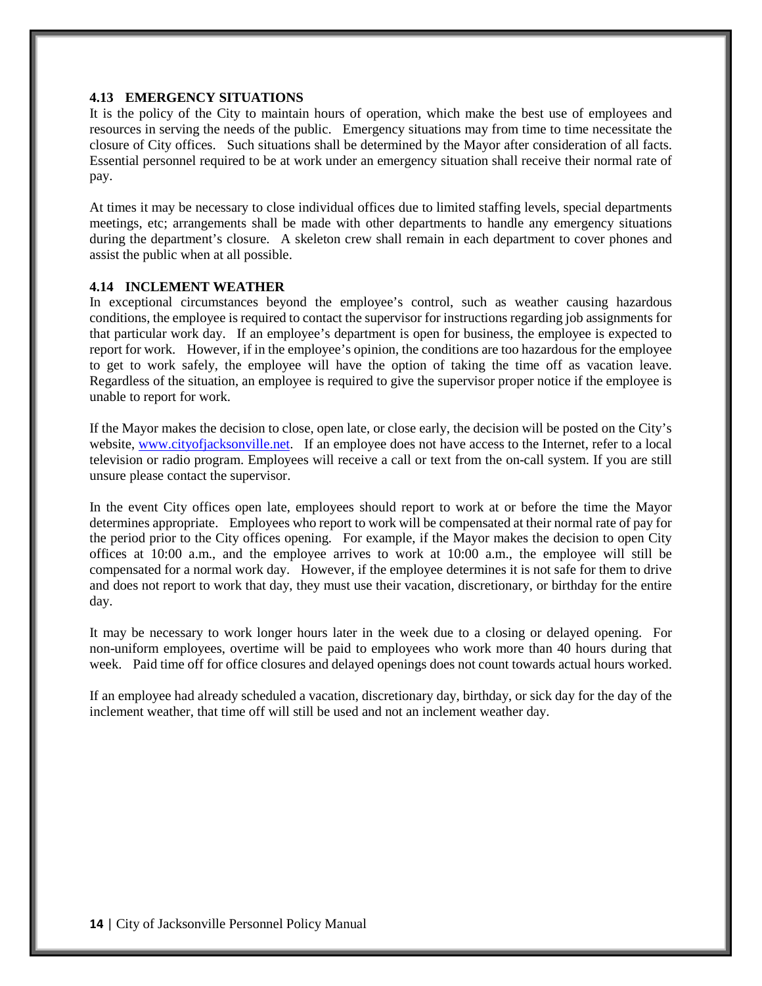# **4.13 EMERGENCY SITUATIONS**

It is the policy of the City to maintain hours of operation, which make the best use of employees and resources in serving the needs of the public. Emergency situations may from time to time necessitate the closure of City offices. Such situations shall be determined by the Mayor after consideration of all facts. Essential personnel required to be at work under an emergency situation shall receive their normal rate of pay.

At times it may be necessary to close individual offices due to limited staffing levels, special departments meetings, etc; arrangements shall be made with other departments to handle any emergency situations during the department's closure. A skeleton crew shall remain in each department to cover phones and assist the public when at all possible.

#### **4.14 INCLEMENT WEATHER**

In exceptional circumstances beyond the employee's control, such as weather causing hazardous conditions, the employee is required to contact the supervisor for instructions regarding job assignments for that particular work day. If an employee's department is open for business, the employee is expected to report for work. However, if in the employee's opinion, the conditions are too hazardous for the employee to get to work safely, the employee will have the option of taking the time off as vacation leave. Regardless of the situation, an employee is required to give the supervisor proper notice if the employee is unable to report for work.

If the Mayor makes the decision to close, open late, or close early, the decision will be posted on the City's website, [www.cityofjacksonville.net.](http://www.cityofjacksonville.net/) If an employee does not have access to the Internet, refer to a local television or radio program. Employees will receive a call or text from the on-call system. If you are still unsure please contact the supervisor.

In the event City offices open late, employees should report to work at or before the time the Mayor determines appropriate. Employees who report to work will be compensated at their normal rate of pay for the period prior to the City offices opening. For example, if the Mayor makes the decision to open City offices at 10:00 a.m., and the employee arrives to work at 10:00 a.m., the employee will still be compensated for a normal work day. However, if the employee determines it is not safe for them to drive and does not report to work that day, they must use their vacation, discretionary, or birthday for the entire day.

It may be necessary to work longer hours later in the week due to a closing or delayed opening. For non-uniform employees, overtime will be paid to employees who work more than 40 hours during that week. Paid time off for office closures and delayed openings does not count towards actual hours worked.

If an employee had already scheduled a vacation, discretionary day, birthday, or sick day for the day of the inclement weather, that time off will still be used and not an inclement weather day.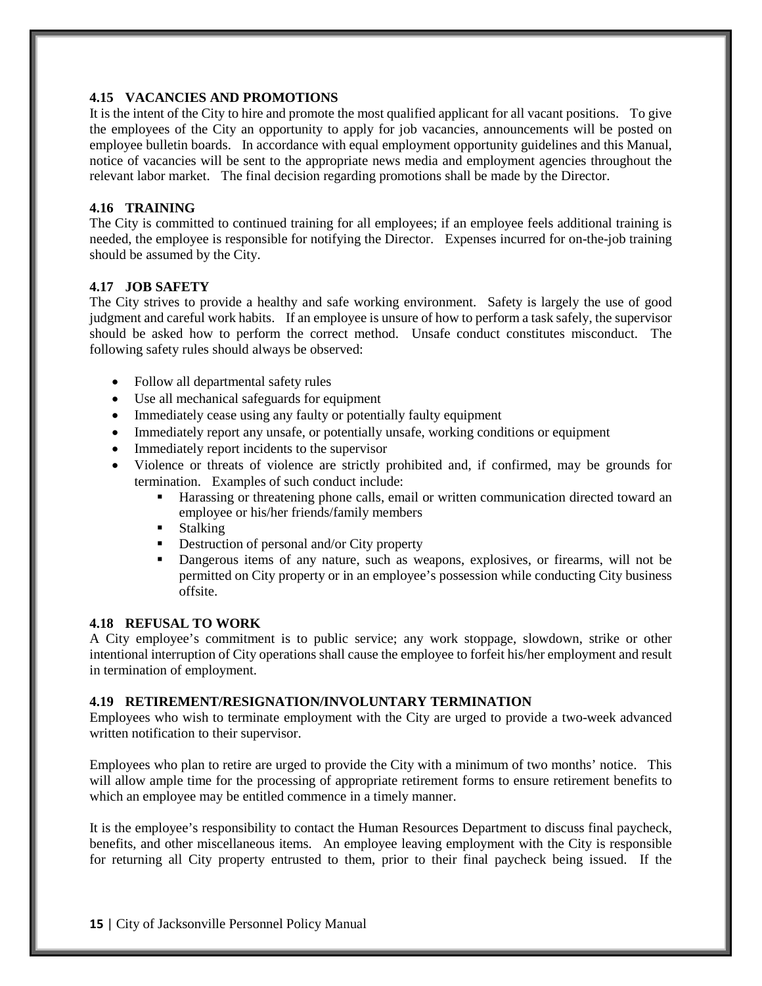## **4.15 VACANCIES AND PROMOTIONS**

It is the intent of the City to hire and promote the most qualified applicant for all vacant positions. To give the employees of the City an opportunity to apply for job vacancies, announcements will be posted on employee bulletin boards. In accordance with equal employment opportunity guidelines and this Manual, notice of vacancies will be sent to the appropriate news media and employment agencies throughout the relevant labor market. The final decision regarding promotions shall be made by the Director.

## **4.16 TRAINING**

The City is committed to continued training for all employees; if an employee feels additional training is needed, the employee is responsible for notifying the Director. Expenses incurred for on-the-job training should be assumed by the City.

## **4.17 JOB SAFETY**

The City strives to provide a healthy and safe working environment. Safety is largely the use of good judgment and careful work habits. If an employee is unsure of how to perform a task safely, the supervisor should be asked how to perform the correct method. Unsafe conduct constitutes misconduct. The following safety rules should always be observed:

- Follow all departmental safety rules
- Use all mechanical safeguards for equipment
- Immediately cease using any faulty or potentially faulty equipment
- Immediately report any unsafe, or potentially unsafe, working conditions or equipment
- Immediately report incidents to the supervisor
- Violence or threats of violence are strictly prohibited and, if confirmed, may be grounds for termination. Examples of such conduct include:
	- Harassing or threatening phone calls, email or written communication directed toward an employee or his/her friends/family members
	- **Stalking**
	- Destruction of personal and/or City property
	- Dangerous items of any nature, such as weapons, explosives, or firearms, will not be permitted on City property or in an employee's possession while conducting City business offsite.

## **4.18 REFUSAL TO WORK**

A City employee's commitment is to public service; any work stoppage, slowdown, strike or other intentional interruption of City operations shall cause the employee to forfeit his/her employment and result in termination of employment.

## **4.19 RETIREMENT/RESIGNATION/INVOLUNTARY TERMINATION**

Employees who wish to terminate employment with the City are urged to provide a two-week advanced written notification to their supervisor.

Employees who plan to retire are urged to provide the City with a minimum of two months' notice. This will allow ample time for the processing of appropriate retirement forms to ensure retirement benefits to which an employee may be entitled commence in a timely manner.

It is the employee's responsibility to contact the Human Resources Department to discuss final paycheck, benefits, and other miscellaneous items. An employee leaving employment with the City is responsible for returning all City property entrusted to them, prior to their final paycheck being issued. If the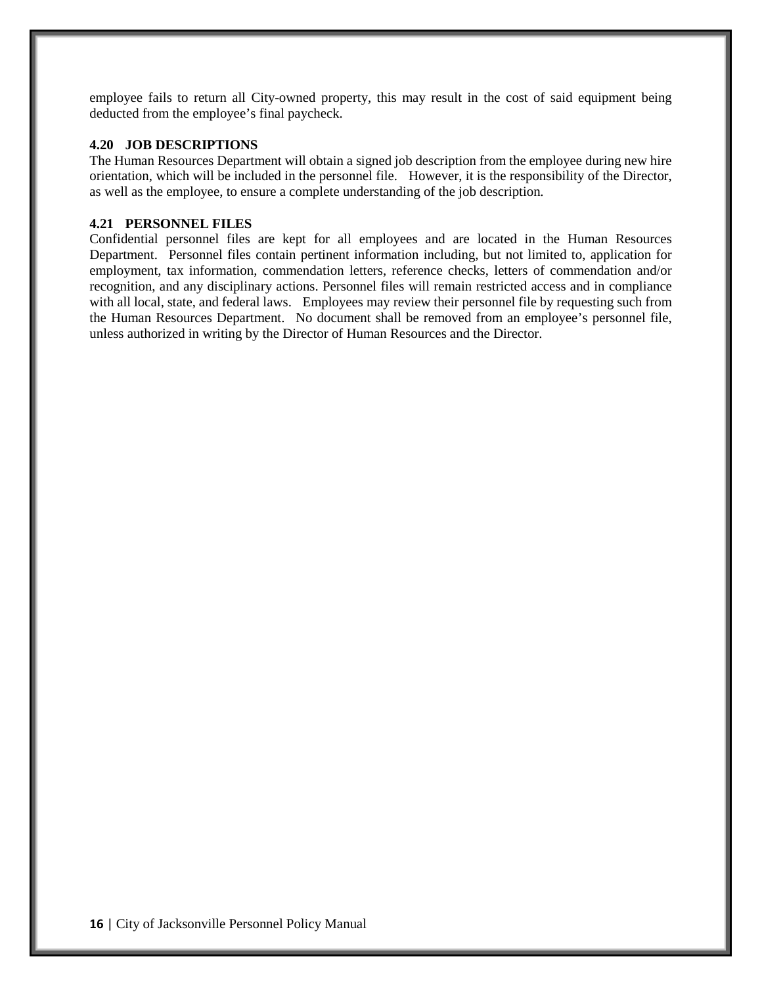employee fails to return all City-owned property, this may result in the cost of said equipment being deducted from the employee's final paycheck.

#### **4.20 JOB DESCRIPTIONS**

The Human Resources Department will obtain a signed job description from the employee during new hire orientation, which will be included in the personnel file. However, it is the responsibility of the Director, as well as the employee, to ensure a complete understanding of the job description.

#### **4.21 PERSONNEL FILES**

Confidential personnel files are kept for all employees and are located in the Human Resources Department. Personnel files contain pertinent information including, but not limited to, application for employment, tax information, commendation letters, reference checks, letters of commendation and/or recognition, and any disciplinary actions. Personnel files will remain restricted access and in compliance with all local, state, and federal laws. Employees may review their personnel file by requesting such from the Human Resources Department. No document shall be removed from an employee's personnel file, unless authorized in writing by the Director of Human Resources and the Director.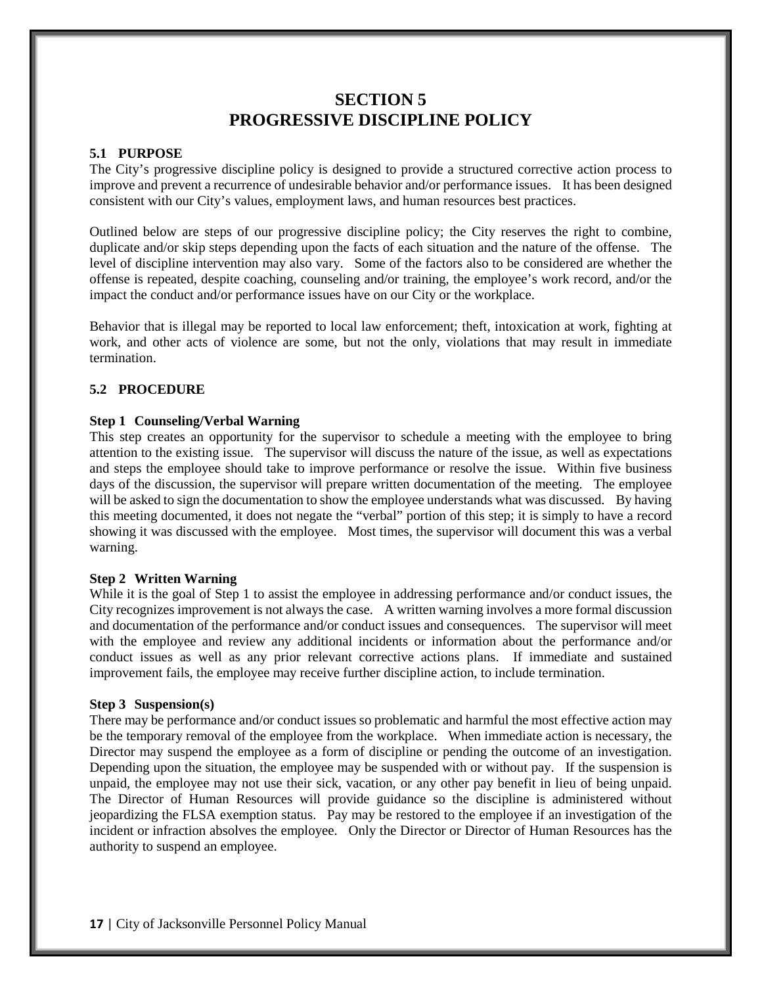# **SECTION 5 PROGRESSIVE DISCIPLINE POLICY**

#### **5.1 PURPOSE**

The City's progressive discipline policy is designed to provide a structured corrective action process to improve and prevent a recurrence of undesirable behavior and/or performance issues. It has been designed consistent with our City's values, employment laws, and human resources best practices.

Outlined below are steps of our progressive discipline policy; the City reserves the right to combine, duplicate and/or skip steps depending upon the facts of each situation and the nature of the offense. The level of discipline intervention may also vary. Some of the factors also to be considered are whether the offense is repeated, despite coaching, counseling and/or training, the employee's work record, and/or the impact the conduct and/or performance issues have on our City or the workplace.

Behavior that is illegal may be reported to local law enforcement; theft, intoxication at work, fighting at work, and other acts of violence are some, but not the only, violations that may result in immediate termination.

# **5.2 PROCEDURE**

#### **Step 1 Counseling/Verbal Warning**

This step creates an opportunity for the supervisor to schedule a meeting with the employee to bring attention to the existing issue. The supervisor will discuss the nature of the issue, as well as expectations and steps the employee should take to improve performance or resolve the issue. Within five business days of the discussion, the supervisor will prepare written documentation of the meeting. The employee will be asked to sign the documentation to show the employee understands what was discussed. By having this meeting documented, it does not negate the "verbal" portion of this step; it is simply to have a record showing it was discussed with the employee. Most times, the supervisor will document this was a verbal warning.

#### **Step 2 Written Warning**

While it is the goal of Step 1 to assist the employee in addressing performance and/or conduct issues, the City recognizes improvement is not always the case. A written warning involves a more formal discussion and documentation of the performance and/or conduct issues and consequences. The supervisor will meet with the employee and review any additional incidents or information about the performance and/or conduct issues as well as any prior relevant corrective actions plans. If immediate and sustained improvement fails, the employee may receive further discipline action, to include termination.

#### **Step 3 Suspension(s)**

There may be performance and/or conduct issues so problematic and harmful the most effective action may be the temporary removal of the employee from the workplace. When immediate action is necessary, the Director may suspend the employee as a form of discipline or pending the outcome of an investigation. Depending upon the situation, the employee may be suspended with or without pay. If the suspension is unpaid, the employee may not use their sick, vacation, or any other pay benefit in lieu of being unpaid. The Director of Human Resources will provide guidance so the discipline is administered without jeopardizing the FLSA exemption status. Pay may be restored to the employee if an investigation of the incident or infraction absolves the employee. Only the Director or Director of Human Resources has the authority to suspend an employee.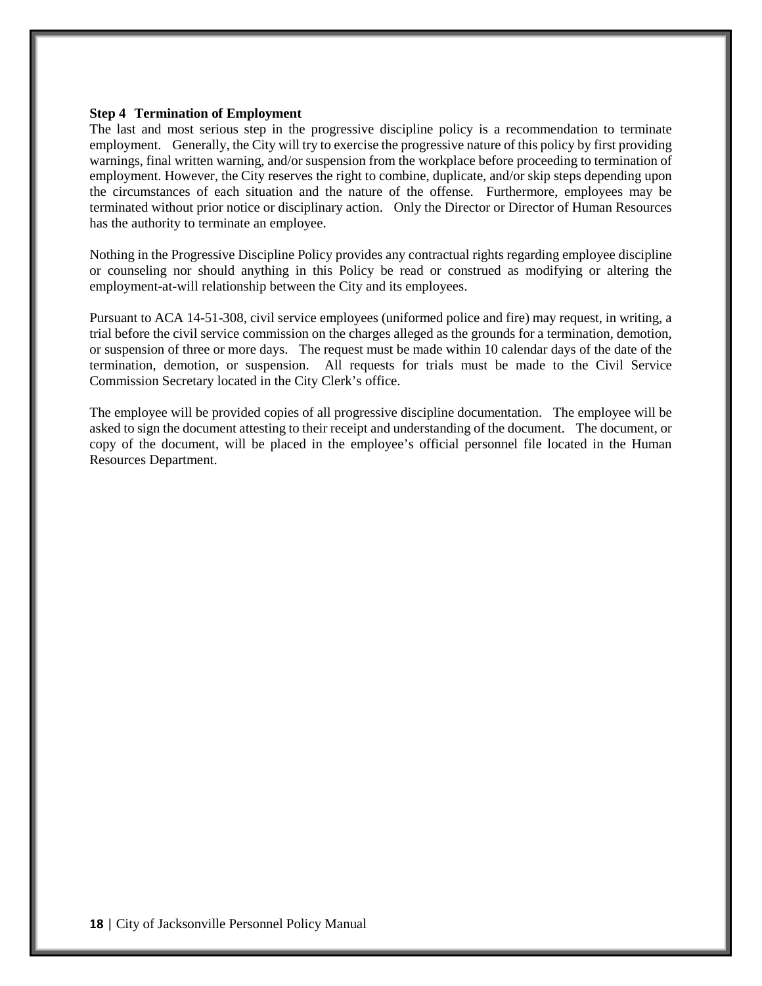#### **Step 4 Termination of Employment**

The last and most serious step in the progressive discipline policy is a recommendation to terminate employment. Generally, the City will try to exercise the progressive nature of this policy by first providing warnings, final written warning, and/or suspension from the workplace before proceeding to termination of employment. However, the City reserves the right to combine, duplicate, and/or skip steps depending upon the circumstances of each situation and the nature of the offense. Furthermore, employees may be terminated without prior notice or disciplinary action. Only the Director or Director of Human Resources has the authority to terminate an employee.

Nothing in the Progressive Discipline Policy provides any contractual rights regarding employee discipline or counseling nor should anything in this Policy be read or construed as modifying or altering the employment-at-will relationship between the City and its employees.

Pursuant to ACA 14-51-308, civil service employees (uniformed police and fire) may request, in writing, a trial before the civil service commission on the charges alleged as the grounds for a termination, demotion, or suspension of three or more days. The request must be made within 10 calendar days of the date of the termination, demotion, or suspension. All requests for trials must be made to the Civil Service Commission Secretary located in the City Clerk's office.

The employee will be provided copies of all progressive discipline documentation. The employee will be asked to sign the document attesting to their receipt and understanding of the document. The document, or copy of the document, will be placed in the employee's official personnel file located in the Human Resources Department.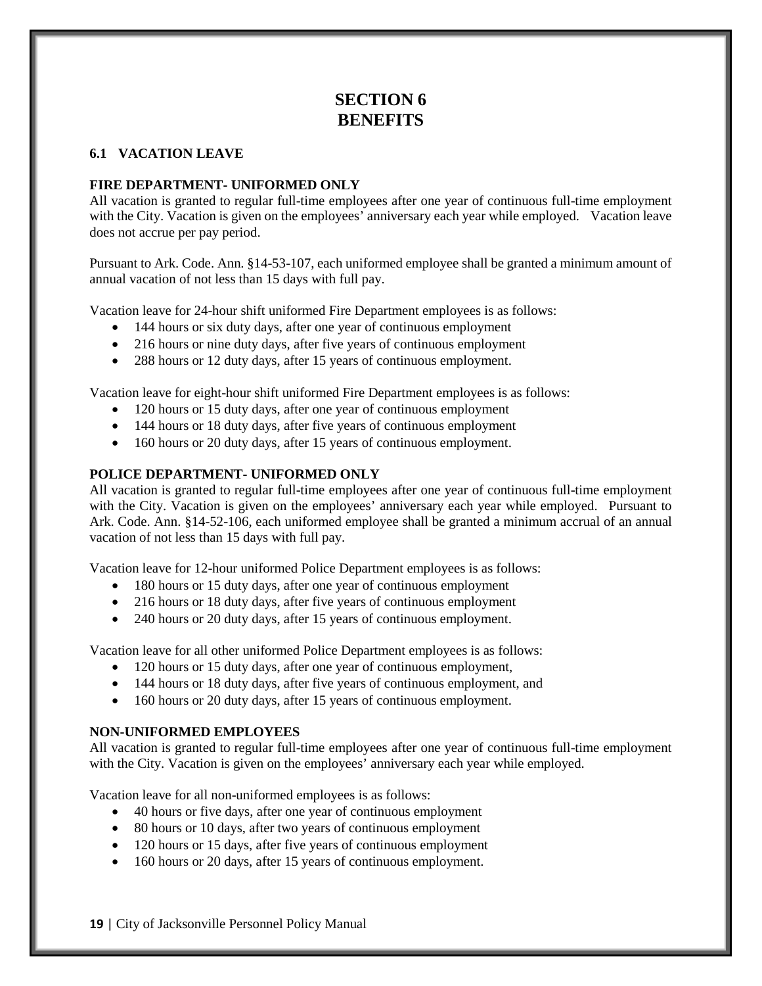# **SECTION 6 BENEFITS**

# **6.1 VACATION LEAVE**

#### **FIRE DEPARTMENT- UNIFORMED ONLY**

All vacation is granted to regular full-time employees after one year of continuous full-time employment with the City. Vacation is given on the employees' anniversary each year while employed. Vacation leave does not accrue per pay period.

Pursuant to Ark. Code. Ann. §14-53-107, each uniformed employee shall be granted a minimum amount of annual vacation of not less than 15 days with full pay.

Vacation leave for 24-hour shift uniformed Fire Department employees is as follows:

- 144 hours or six duty days, after one year of continuous employment
- 216 hours or nine duty days, after five years of continuous employment
- 288 hours or 12 duty days, after 15 years of continuous employment.

Vacation leave for eight-hour shift uniformed Fire Department employees is as follows:

- 120 hours or 15 duty days, after one year of continuous employment
- 144 hours or 18 duty days, after five years of continuous employment
- 160 hours or 20 duty days, after 15 years of continuous employment.

#### **POLICE DEPARTMENT- UNIFORMED ONLY**

All vacation is granted to regular full-time employees after one year of continuous full-time employment with the City. Vacation is given on the employees' anniversary each year while employed. Pursuant to Ark. Code. Ann. §14-52-106, each uniformed employee shall be granted a minimum accrual of an annual vacation of not less than 15 days with full pay.

Vacation leave for 12-hour uniformed Police Department employees is as follows:

- 180 hours or 15 duty days, after one year of continuous employment
- 216 hours or 18 duty days, after five years of continuous employment
- 240 hours or 20 duty days, after 15 years of continuous employment.

Vacation leave for all other uniformed Police Department employees is as follows:

- 120 hours or 15 duty days, after one year of continuous employment,
- 144 hours or 18 duty days, after five years of continuous employment, and
- 160 hours or 20 duty days, after 15 years of continuous employment.

## **NON-UNIFORMED EMPLOYEES**

All vacation is granted to regular full-time employees after one year of continuous full-time employment with the City. Vacation is given on the employees' anniversary each year while employed.

Vacation leave for all non-uniformed employees is as follows:

- 40 hours or five days, after one year of continuous employment
- 80 hours or 10 days, after two years of continuous employment
- 120 hours or 15 days, after five years of continuous employment
- 160 hours or 20 days, after 15 years of continuous employment.

**19** | City of Jacksonville Personnel Policy Manual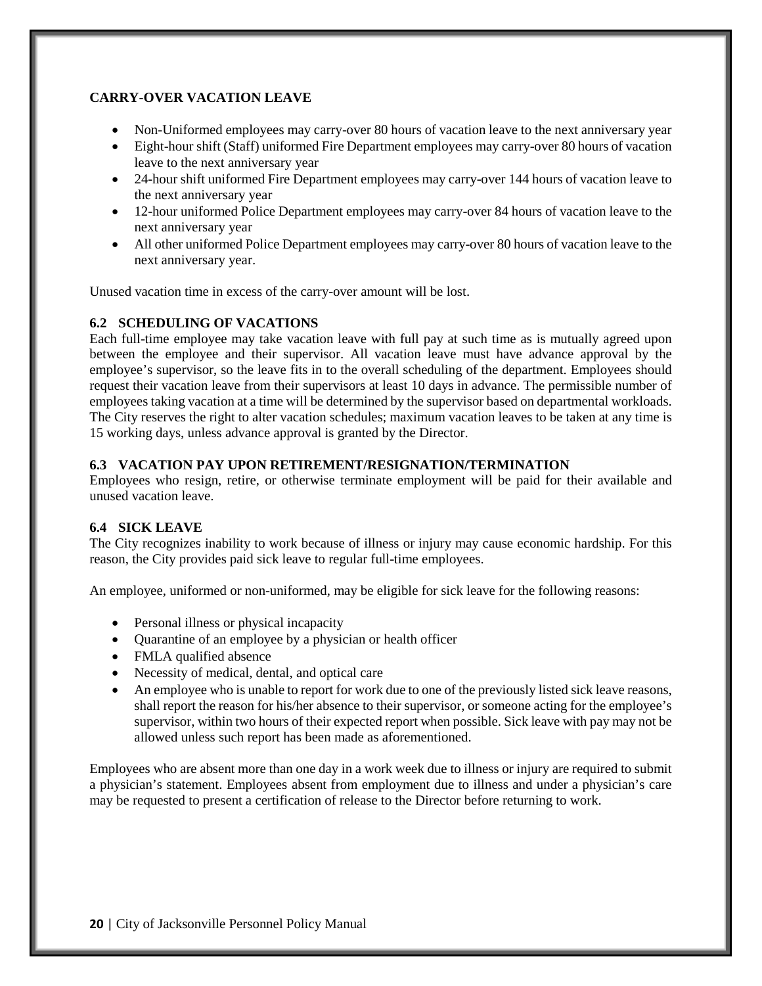# **CARRY-OVER VACATION LEAVE**

- Non-Uniformed employees may carry-over 80 hours of vacation leave to the next anniversary year
- Eight-hour shift (Staff) uniformed Fire Department employees may carry-over 80 hours of vacation leave to the next anniversary year
- 24-hour shift uniformed Fire Department employees may carry-over 144 hours of vacation leave to the next anniversary year
- 12-hour uniformed Police Department employees may carry-over 84 hours of vacation leave to the next anniversary year
- All other uniformed Police Department employees may carry-over 80 hours of vacation leave to the next anniversary year.

Unused vacation time in excess of the carry-over amount will be lost.

# **6.2 SCHEDULING OF VACATIONS**

Each full-time employee may take vacation leave with full pay at such time as is mutually agreed upon between the employee and their supervisor. All vacation leave must have advance approval by the employee's supervisor, so the leave fits in to the overall scheduling of the department. Employees should request their vacation leave from their supervisors at least 10 days in advance. The permissible number of employees taking vacation at a time will be determined by the supervisor based on departmental workloads. The City reserves the right to alter vacation schedules; maximum vacation leaves to be taken at any time is 15 working days, unless advance approval is granted by the Director.

## **6.3 VACATION PAY UPON RETIREMENT/RESIGNATION/TERMINATION**

Employees who resign, retire, or otherwise terminate employment will be paid for their available and unused vacation leave.

## **6.4 SICK LEAVE**

The City recognizes inability to work because of illness or injury may cause economic hardship. For this reason, the City provides paid sick leave to regular full-time employees.

An employee, uniformed or non-uniformed, may be eligible for sick leave for the following reasons:

- Personal illness or physical incapacity
- Quarantine of an employee by a physician or health officer
- FMLA qualified absence
- Necessity of medical, dental, and optical care
- An employee who is unable to report for work due to one of the previously listed sick leave reasons, shall report the reason for his/her absence to their supervisor, or someone acting for the employee's supervisor, within two hours of their expected report when possible. Sick leave with pay may not be allowed unless such report has been made as aforementioned.

Employees who are absent more than one day in a work week due to illness or injury are required to submit a physician's statement. Employees absent from employment due to illness and under a physician's care may be requested to present a certification of release to the Director before returning to work.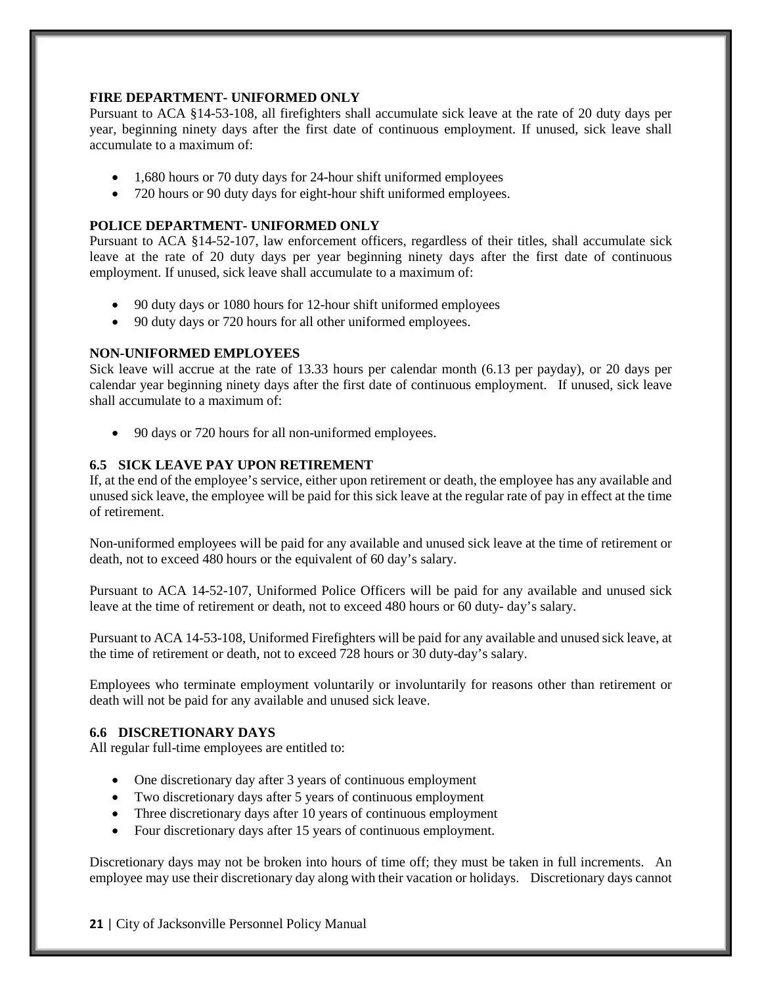#### **FIRE DEPARTMENT- UNIFORMED ONLY**

Pursuant to ACA §14-53-108, all firefighters shall accumulate sick leave at the rate of 20 duty days per year, beginning ninety days after the first date of continuous employment. If unused, sick leave shall accumulate to a maximum of:

- 1,680 hours or 70 duty days for 24-hour shift uniformed employees
- 720 hours or 90 duty days for eight-hour shift uniformed employees.

# **POLICE DEPARTMENT- UNIFORMED ONLY**

Pursuant to ACA §14-52-107, law enforcement officers, regardless of their titles, shall accumulate sick leave at the rate of 20 duty days per year beginning ninety days after the first date of continuous employment. If unused, sick leave shall accumulate to a maximum of:

- 90 duty days or 1080 hours for 12-hour shift uniformed employees
- 90 duty days or 720 hours for all other uniformed employees.

#### **NON-UNIFORMED EMPLOYEES**

Sick leave will accrue at the rate of 13.33 hours per calendar month (6.13 per payday), or 20 days per calendar year beginning ninety days after the first date of continuous employment. If unused, sick leave shall accumulate to a maximum of:

• 90 days or 720 hours for all non-uniformed employees.

#### **6.5 SICK LEAVE PAY UPON RETIREMENT**

If, at the end of the employee's service, either upon retirement or death, the employee has any available and unused sick leave, the employee will be paid for this sick leave at the regular rate of pay in effect at the time of retirement.

Non-uniformed employees will be paid for any available and unused sick leave at the time of retirement or death, not to exceed 480 hours or the equivalent of 60 day's salary.

Pursuant to ACA 14-52-107, Uniformed Police Officers will be paid for any available and unused sick leave at the time of retirement or death, not to exceed 480 hours or 60 duty- day's salary.

Pursuant to ACA 14-53-108, Uniformed Firefighters will be paid for any available and unused sick leave, at the time of retirement or death, not to exceed 728 hours or 30 duty-day's salary.

Employees who terminate employment voluntarily or involuntarily for reasons other than retirement or death will not be paid for any available and unused sick leave.

# **6.6 DISCRETIONARY DAYS**

All regular full-time employees are entitled to:

- One discretionary day after 3 years of continuous employment
- Two discretionary days after 5 years of continuous employment
- Three discretionary days after 10 years of continuous employment
- Four discretionary days after 15 years of continuous employment.

Discretionary days may not be broken into hours of time off; they must be taken in full increments. An employee may use their discretionary day along with their vacation or holidays. Discretionary days cannot

#### **21** | City of Jacksonville Personnel Policy Manual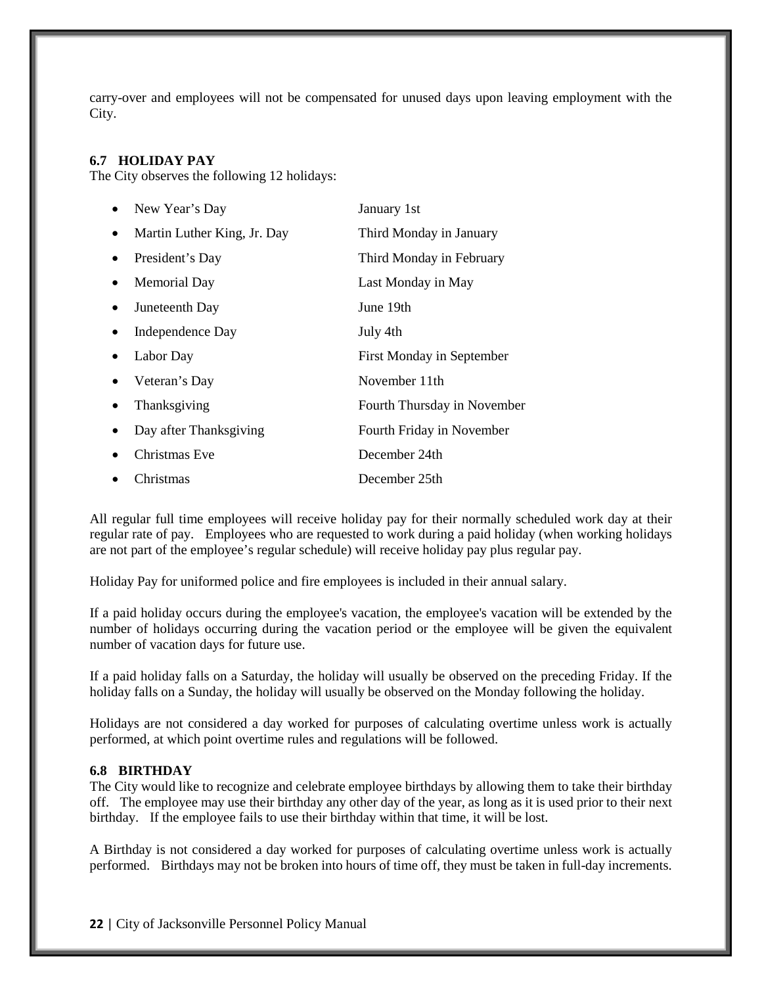carry-over and employees will not be compensated for unused days upon leaving employment with the City.

#### **6.7 HOLIDAY PAY**

The City observes the following 12 holidays:

|           | New Year's Day              | January 1st                 |
|-----------|-----------------------------|-----------------------------|
| $\bullet$ | Martin Luther King, Jr. Day | Third Monday in January     |
| $\bullet$ | President's Day             | Third Monday in February    |
| $\bullet$ | Memorial Day                | Last Monday in May          |
|           | Juneteenth Day              | June 19th                   |
|           | Independence Day            | July 4th                    |
|           | Labor Day                   | First Monday in September   |
|           | Veteran's Day               | November 11th               |
| $\bullet$ | Thanksgiving                | Fourth Thursday in November |
|           | Day after Thanksgiving      | Fourth Friday in November   |
|           | Christmas Eve               | December 24th               |
|           | Christmas                   | December 25th               |

All regular full time employees will receive holiday pay for their normally scheduled work day at their regular rate of pay. Employees who are requested to work during a paid holiday (when working holidays are not part of the employee's regular schedule) will receive holiday pay plus regular pay.

Holiday Pay for uniformed police and fire employees is included in their annual salary.

If a paid holiday occurs during the employee's vacation, the employee's vacation will be extended by the number of holidays occurring during the vacation period or the employee will be given the equivalent number of vacation days for future use.

If a paid holiday falls on a Saturday, the holiday will usually be observed on the preceding Friday. If the holiday falls on a Sunday, the holiday will usually be observed on the Monday following the holiday.

Holidays are not considered a day worked for purposes of calculating overtime unless work is actually performed, at which point overtime rules and regulations will be followed.

#### **6.8 BIRTHDAY**

The City would like to recognize and celebrate employee birthdays by allowing them to take their birthday off. The employee may use their birthday any other day of the year, as long as it is used prior to their next birthday. If the employee fails to use their birthday within that time, it will be lost.

A Birthday is not considered a day worked for purposes of calculating overtime unless work is actually performed. Birthdays may not be broken into hours of time off, they must be taken in full-day increments.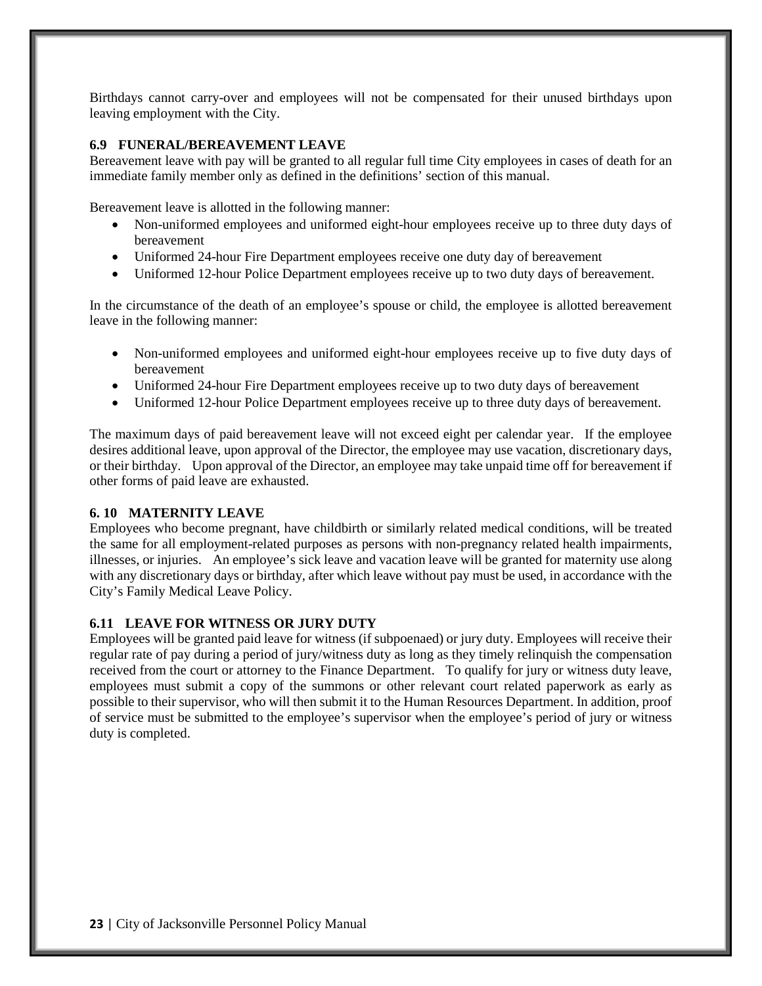Birthdays cannot carry-over and employees will not be compensated for their unused birthdays upon leaving employment with the City.

### **6.9 FUNERAL/BEREAVEMENT LEAVE**

Bereavement leave with pay will be granted to all regular full time City employees in cases of death for an immediate family member only as defined in the definitions' section of this manual.

Bereavement leave is allotted in the following manner:

- Non-uniformed employees and uniformed eight-hour employees receive up to three duty days of bereavement
- Uniformed 24-hour Fire Department employees receive one duty day of bereavement
- Uniformed 12-hour Police Department employees receive up to two duty days of bereavement.

In the circumstance of the death of an employee's spouse or child, the employee is allotted bereavement leave in the following manner:

- Non-uniformed employees and uniformed eight-hour employees receive up to five duty days of bereavement
- Uniformed 24-hour Fire Department employees receive up to two duty days of bereavement
- Uniformed 12-hour Police Department employees receive up to three duty days of bereavement.

The maximum days of paid bereavement leave will not exceed eight per calendar year. If the employee desires additional leave, upon approval of the Director, the employee may use vacation, discretionary days, or their birthday. Upon approval of the Director, an employee may take unpaid time off for bereavement if other forms of paid leave are exhausted.

## **6. 10 MATERNITY LEAVE**

Employees who become pregnant, have childbirth or similarly related medical conditions, will be treated the same for all employment-related purposes as persons with non-pregnancy related health impairments, illnesses, or injuries. An employee's sick leave and vacation leave will be granted for maternity use along with any discretionary days or birthday, after which leave without pay must be used, in accordance with the City's Family Medical Leave Policy.

## **6.11 LEAVE FOR WITNESS OR JURY DUTY**

Employees will be granted paid leave for witness (if subpoenaed) or jury duty. Employees will receive their regular rate of pay during a period of jury/witness duty as long as they timely relinquish the compensation received from the court or attorney to the Finance Department. To qualify for jury or witness duty leave, employees must submit a copy of the summons or other relevant court related paperwork as early as possible to their supervisor, who will then submit it to the Human Resources Department. In addition, proof of service must be submitted to the employee's supervisor when the employee's period of jury or witness duty is completed.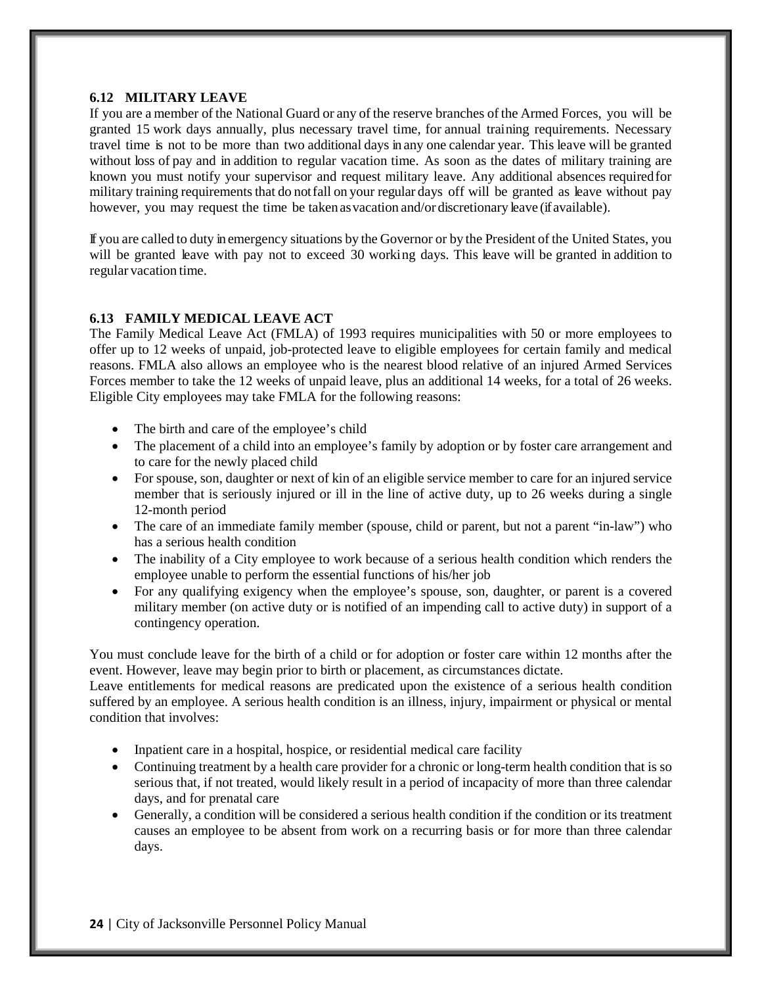#### **6.12 MILITARY LEAVE**

If you are a member of the National Guard or any of the reserve branches of the Armed Forces, you will be granted 15 work days annually, plus necessary travel time, for annual training requirements. Necessary travel time is not to be more than two additional days in any one calendar year. This leave will be granted without loss of pay and in addition to regular vacation time. As soon as the dates of military training are known you must notify your supervisor and request military leave. Any additional absences requiredfor military training requirements that do not fall on your regular days off will be granted as leave without pay however, you may request the time be taken as vacation and/or discretionary leave (if available).

If you are called to duty in emergency situations by the Governor or by the President of the United States, you will be granted leave with pay not to exceed 30 working days. This leave will be granted in addition to regular vacation time.

# **6.13 FAMILY MEDICAL LEAVE ACT**

The Family Medical Leave Act (FMLA) of 1993 requires municipalities with 50 or more employees to offer up to 12 weeks of unpaid, job-protected leave to eligible employees for certain family and medical reasons. FMLA also allows an employee who is the nearest blood relative of an injured Armed Services Forces member to take the 12 weeks of unpaid leave, plus an additional 14 weeks, for a total of 26 weeks. Eligible City employees may take FMLA for the following reasons:

- The birth and care of the employee's child
- The placement of a child into an employee's family by adoption or by foster care arrangement and to care for the newly placed child
- For spouse, son, daughter or next of kin of an eligible service member to care for an injured service member that is seriously injured or ill in the line of active duty, up to 26 weeks during a single 12-month period
- The care of an immediate family member (spouse, child or parent, but not a parent "in-law") who has a serious health condition
- The inability of a City employee to work because of a serious health condition which renders the employee unable to perform the essential functions of his/her job
- For any qualifying exigency when the employee's spouse, son, daughter, or parent is a covered military member (on active duty or is notified of an impending call to active duty) in support of a contingency operation.

You must conclude leave for the birth of a child or for adoption or foster care within 12 months after the event. However, leave may begin prior to birth or placement, as circumstances dictate.

Leave entitlements for medical reasons are predicated upon the existence of a serious health condition suffered by an employee. A serious health condition is an illness, injury, impairment or physical or mental condition that involves:

- Inpatient care in a hospital, hospice, or residential medical care facility
- Continuing treatment by a health care provider for a chronic or long-term health condition that is so serious that, if not treated, would likely result in a period of incapacity of more than three calendar days, and for prenatal care
- Generally, a condition will be considered a serious health condition if the condition or its treatment causes an employee to be absent from work on a recurring basis or for more than three calendar days.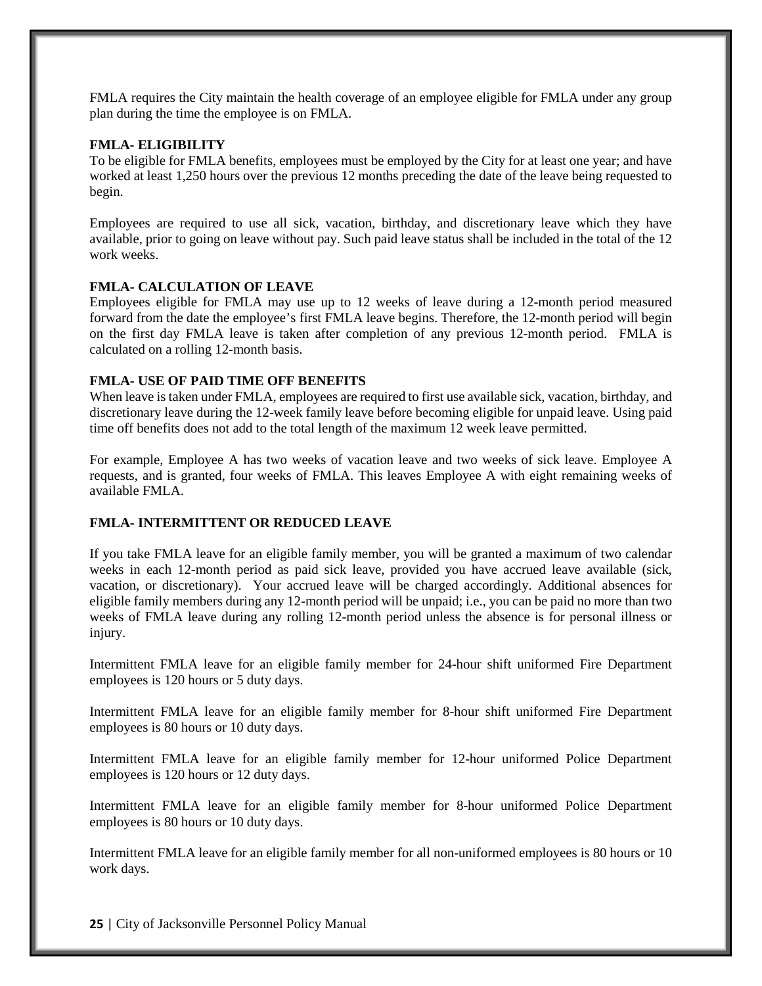FMLA requires the City maintain the health coverage of an employee eligible for FMLA under any group plan during the time the employee is on FMLA.

#### **FMLA- ELIGIBILITY**

To be eligible for FMLA benefits, employees must be employed by the City for at least one year; and have worked at least 1,250 hours over the previous 12 months preceding the date of the leave being requested to begin.

Employees are required to use all sick, vacation, birthday, and discretionary leave which they have available, prior to going on leave without pay. Such paid leave status shall be included in the total of the 12 work weeks.

#### **FMLA- CALCULATION OF LEAVE**

Employees eligible for FMLA may use up to 12 weeks of leave during a 12-month period measured forward from the date the employee's first FMLA leave begins. Therefore, the 12-month period will begin on the first day FMLA leave is taken after completion of any previous 12-month period. FMLA is calculated on a rolling 12-month basis.

#### **FMLA- USE OF PAID TIME OFF BENEFITS**

When leave is taken under FMLA, employees are required to first use available sick, vacation, birthday, and discretionary leave during the 12-week family leave before becoming eligible for unpaid leave. Using paid time off benefits does not add to the total length of the maximum 12 week leave permitted.

For example, Employee A has two weeks of vacation leave and two weeks of sick leave. Employee A requests, and is granted, four weeks of FMLA. This leaves Employee A with eight remaining weeks of available FMLA.

## **FMLA- INTERMITTENT OR REDUCED LEAVE**

If you take FMLA leave for an eligible family member, you will be granted a maximum of two calendar weeks in each 12-month period as paid sick leave, provided you have accrued leave available (sick, vacation, or discretionary). Your accrued leave will be charged accordingly. Additional absences for eligible family members during any 12-month period will be unpaid; i.e., you can be paid no more than two weeks of FMLA leave during any rolling 12-month period unless the absence is for personal illness or injury.

Intermittent FMLA leave for an eligible family member for 24-hour shift uniformed Fire Department employees is 120 hours or 5 duty days.

Intermittent FMLA leave for an eligible family member for 8-hour shift uniformed Fire Department employees is 80 hours or 10 duty days.

Intermittent FMLA leave for an eligible family member for 12-hour uniformed Police Department employees is 120 hours or 12 duty days.

Intermittent FMLA leave for an eligible family member for 8-hour uniformed Police Department employees is 80 hours or 10 duty days.

Intermittent FMLA leave for an eligible family member for all non-uniformed employees is 80 hours or 10 work days.

**25** | City of Jacksonville Personnel Policy Manual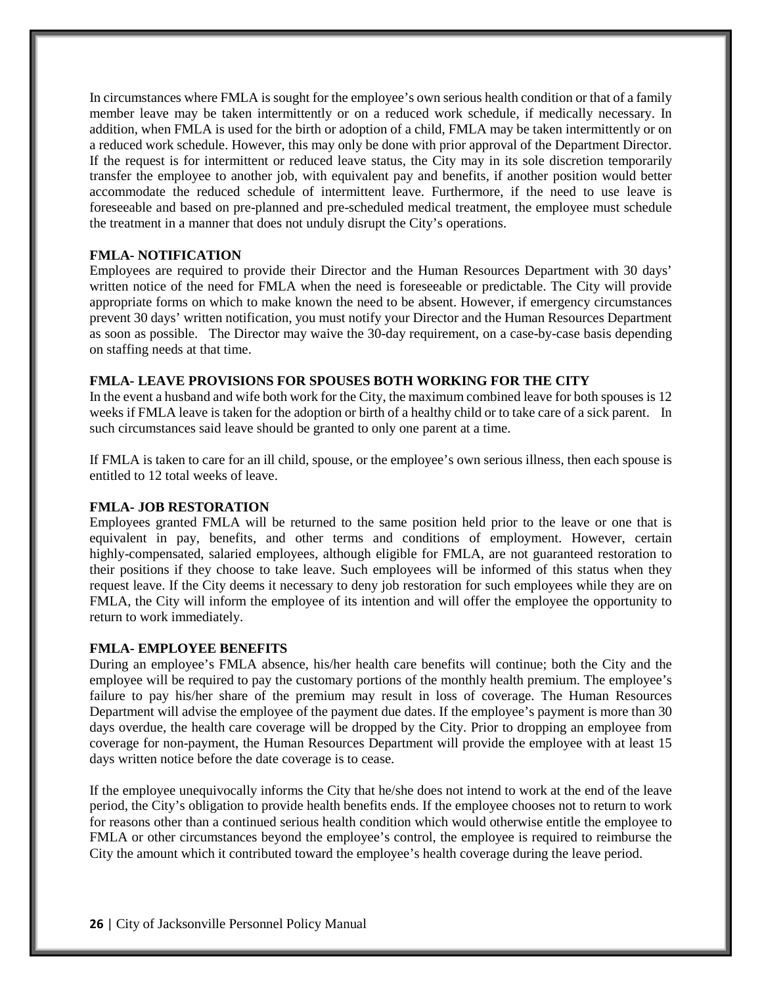In circumstances where FMLA is sought for the employee's own serious health condition or that of a family member leave may be taken intermittently or on a reduced work schedule, if medically necessary. In addition, when FMLA is used for the birth or adoption of a child, FMLA may be taken intermittently or on a reduced work schedule. However, this may only be done with prior approval of the Department Director. If the request is for intermittent or reduced leave status, the City may in its sole discretion temporarily transfer the employee to another job, with equivalent pay and benefits, if another position would better accommodate the reduced schedule of intermittent leave. Furthermore, if the need to use leave is foreseeable and based on pre-planned and pre-scheduled medical treatment, the employee must schedule the treatment in a manner that does not unduly disrupt the City's operations.

#### **FMLA- NOTIFICATION**

Employees are required to provide their Director and the Human Resources Department with 30 days' written notice of the need for FMLA when the need is foreseeable or predictable. The City will provide appropriate forms on which to make known the need to be absent. However, if emergency circumstances prevent 30 days' written notification, you must notify your Director and the Human Resources Department as soon as possible. The Director may waive the 30-day requirement, on a case-by-case basis depending on staffing needs at that time.

#### **FMLA- LEAVE PROVISIONS FOR SPOUSES BOTH WORKING FOR THE CITY**

In the event a husband and wife both work for the City, the maximum combined leave for both spouses is 12 weeks if FMLA leave is taken for the adoption or birth of a healthy child or to take care of a sick parent. In such circumstances said leave should be granted to only one parent at a time.

If FMLA is taken to care for an ill child, spouse, or the employee's own serious illness, then each spouse is entitled to 12 total weeks of leave.

#### **FMLA- JOB RESTORATION**

Employees granted FMLA will be returned to the same position held prior to the leave or one that is equivalent in pay, benefits, and other terms and conditions of employment. However, certain highly-compensated, salaried employees, although eligible for FMLA, are not guaranteed restoration to their positions if they choose to take leave. Such employees will be informed of this status when they request leave. If the City deems it necessary to deny job restoration for such employees while they are on FMLA, the City will inform the employee of its intention and will offer the employee the opportunity to return to work immediately.

#### **FMLA- EMPLOYEE BENEFITS**

During an employee's FMLA absence, his/her health care benefits will continue; both the City and the employee will be required to pay the customary portions of the monthly health premium. The employee's failure to pay his/her share of the premium may result in loss of coverage. The Human Resources Department will advise the employee of the payment due dates. If the employee's payment is more than 30 days overdue, the health care coverage will be dropped by the City. Prior to dropping an employee from coverage for non-payment, the Human Resources Department will provide the employee with at least 15 days written notice before the date coverage is to cease.

If the employee unequivocally informs the City that he/she does not intend to work at the end of the leave period, the City's obligation to provide health benefits ends. If the employee chooses not to return to work for reasons other than a continued serious health condition which would otherwise entitle the employee to FMLA or other circumstances beyond the employee's control, the employee is required to reimburse the City the amount which it contributed toward the employee's health coverage during the leave period.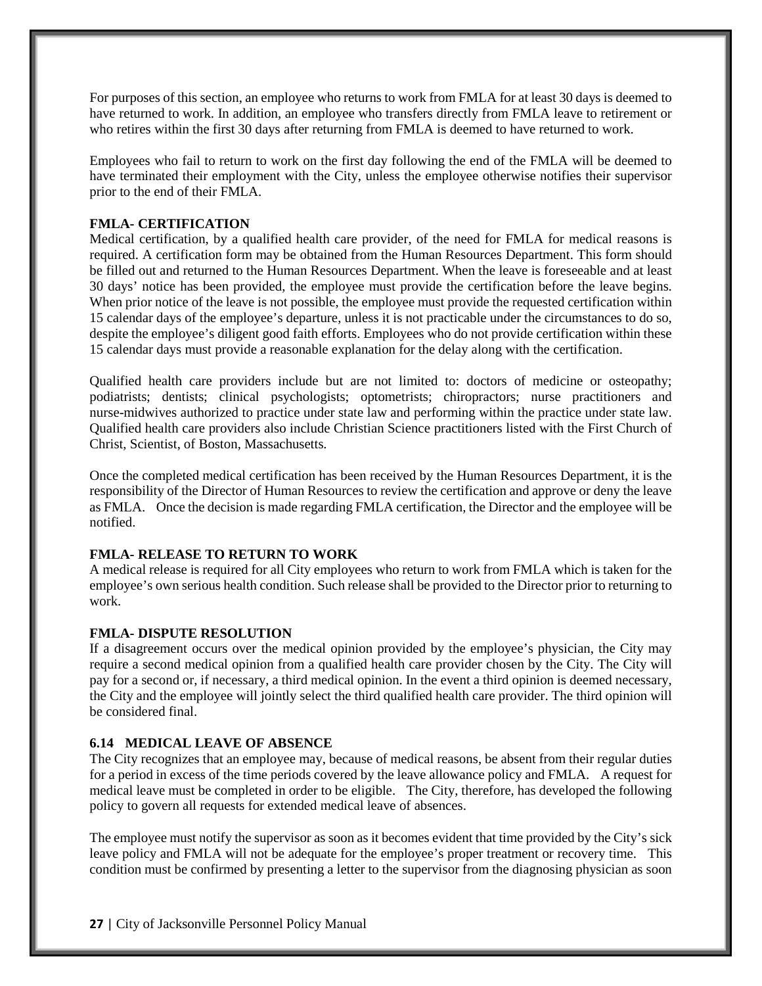For purposes of this section, an employee who returns to work from FMLA for at least 30 days is deemed to have returned to work. In addition, an employee who transfers directly from FMLA leave to retirement or who retires within the first 30 days after returning from FMLA is deemed to have returned to work.

Employees who fail to return to work on the first day following the end of the FMLA will be deemed to have terminated their employment with the City, unless the employee otherwise notifies their supervisor prior to the end of their FMLA.

# **FMLA- CERTIFICATION**

Medical certification, by a qualified health care provider, of the need for FMLA for medical reasons is required. A certification form may be obtained from the Human Resources Department. This form should be filled out and returned to the Human Resources Department. When the leave is foreseeable and at least 30 days' notice has been provided, the employee must provide the certification before the leave begins. When prior notice of the leave is not possible, the employee must provide the requested certification within 15 calendar days of the employee's departure, unless it is not practicable under the circumstances to do so, despite the employee's diligent good faith efforts. Employees who do not provide certification within these 15 calendar days must provide a reasonable explanation for the delay along with the certification.

Qualified health care providers include but are not limited to: doctors of medicine or osteopathy; podiatrists; dentists; clinical psychologists; optometrists; chiropractors; nurse practitioners and nurse-midwives authorized to practice under state law and performing within the practice under state law. Qualified health care providers also include Christian Science practitioners listed with the First Church of Christ, Scientist, of Boston, Massachusetts.

Once the completed medical certification has been received by the Human Resources Department, it is the responsibility of the Director of Human Resources to review the certification and approve or deny the leave as FMLA. Once the decision is made regarding FMLA certification, the Director and the employee will be notified.

## **FMLA- RELEASE TO RETURN TO WORK**

A medical release is required for all City employees who return to work from FMLA which is taken for the employee's own serious health condition. Such release shall be provided to the Director prior to returning to work.

## **FMLA- DISPUTE RESOLUTION**

If a disagreement occurs over the medical opinion provided by the employee's physician, the City may require a second medical opinion from a qualified health care provider chosen by the City. The City will pay for a second or, if necessary, a third medical opinion. In the event a third opinion is deemed necessary, the City and the employee will jointly select the third qualified health care provider. The third opinion will be considered final.

## **6.14 MEDICAL LEAVE OF ABSENCE**

The City recognizes that an employee may, because of medical reasons, be absent from their regular duties for a period in excess of the time periods covered by the leave allowance policy and FMLA. A request for medical leave must be completed in order to be eligible. The City, therefore, has developed the following policy to govern all requests for extended medical leave of absences.

The employee must notify the supervisor as soon as it becomes evident that time provided by the City's sick leave policy and FMLA will not be adequate for the employee's proper treatment or recovery time. This condition must be confirmed by presenting a letter to the supervisor from the diagnosing physician as soon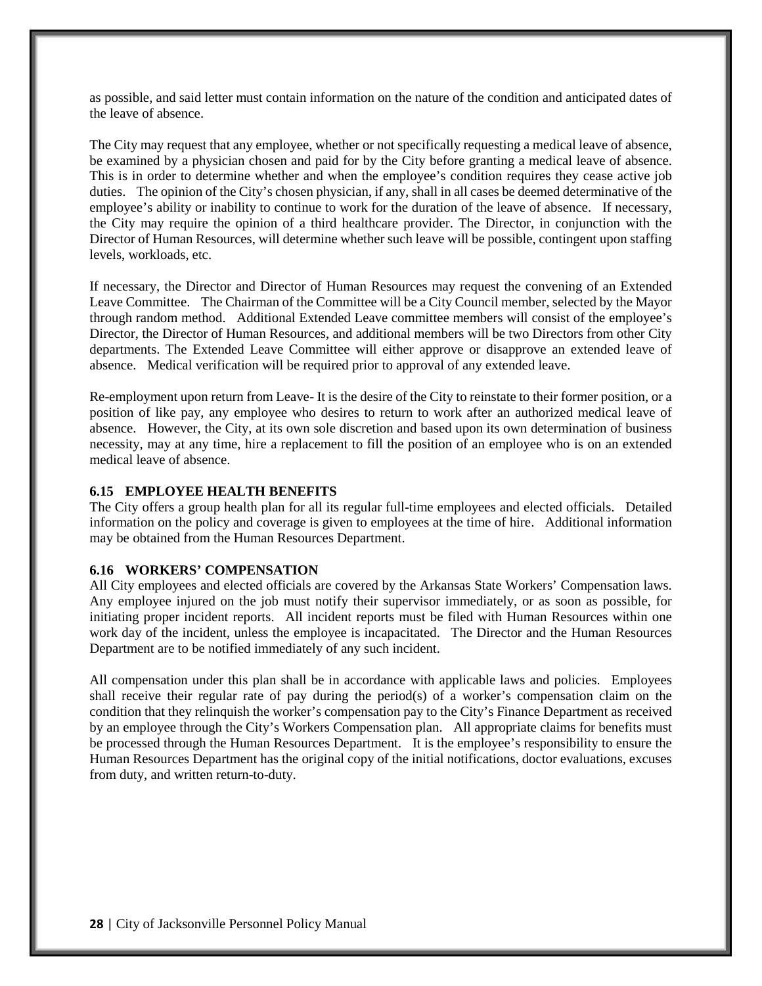as possible, and said letter must contain information on the nature of the condition and anticipated dates of the leave of absence.

The City may request that any employee, whether or not specifically requesting a medical leave of absence, be examined by a physician chosen and paid for by the City before granting a medical leave of absence. This is in order to determine whether and when the employee's condition requires they cease active job duties. The opinion of the City's chosen physician, if any, shall in all cases be deemed determinative of the employee's ability or inability to continue to work for the duration of the leave of absence. If necessary, the City may require the opinion of a third healthcare provider. The Director, in conjunction with the Director of Human Resources, will determine whether such leave will be possible, contingent upon staffing levels, workloads, etc.

If necessary, the Director and Director of Human Resources may request the convening of an Extended Leave Committee. The Chairman of the Committee will be a City Council member, selected by the Mayor through random method. Additional Extended Leave committee members will consist of the employee's Director, the Director of Human Resources, and additional members will be two Directors from other City departments. The Extended Leave Committee will either approve or disapprove an extended leave of absence. Medical verification will be required prior to approval of any extended leave.

Re-employment upon return from Leave- It is the desire of the City to reinstate to their former position, or a position of like pay, any employee who desires to return to work after an authorized medical leave of absence. However, the City, at its own sole discretion and based upon its own determination of business necessity, may at any time, hire a replacement to fill the position of an employee who is on an extended medical leave of absence.

#### **6.15 EMPLOYEE HEALTH BENEFITS**

The City offers a group health plan for all its regular full-time employees and elected officials. Detailed information on the policy and coverage is given to employees at the time of hire. Additional information may be obtained from the Human Resources Department.

#### **6.16 WORKERS' COMPENSATION**

All City employees and elected officials are covered by the Arkansas State Workers' Compensation laws. Any employee injured on the job must notify their supervisor immediately, or as soon as possible, for initiating proper incident reports. All incident reports must be filed with Human Resources within one work day of the incident, unless the employee is incapacitated. The Director and the Human Resources Department are to be notified immediately of any such incident.

All compensation under this plan shall be in accordance with applicable laws and policies. Employees shall receive their regular rate of pay during the period(s) of a worker's compensation claim on the condition that they relinquish the worker's compensation pay to the City's Finance Department as received by an employee through the City's Workers Compensation plan. All appropriate claims for benefits must be processed through the Human Resources Department. It is the employee's responsibility to ensure the Human Resources Department has the original copy of the initial notifications, doctor evaluations, excuses from duty, and written return-to-duty.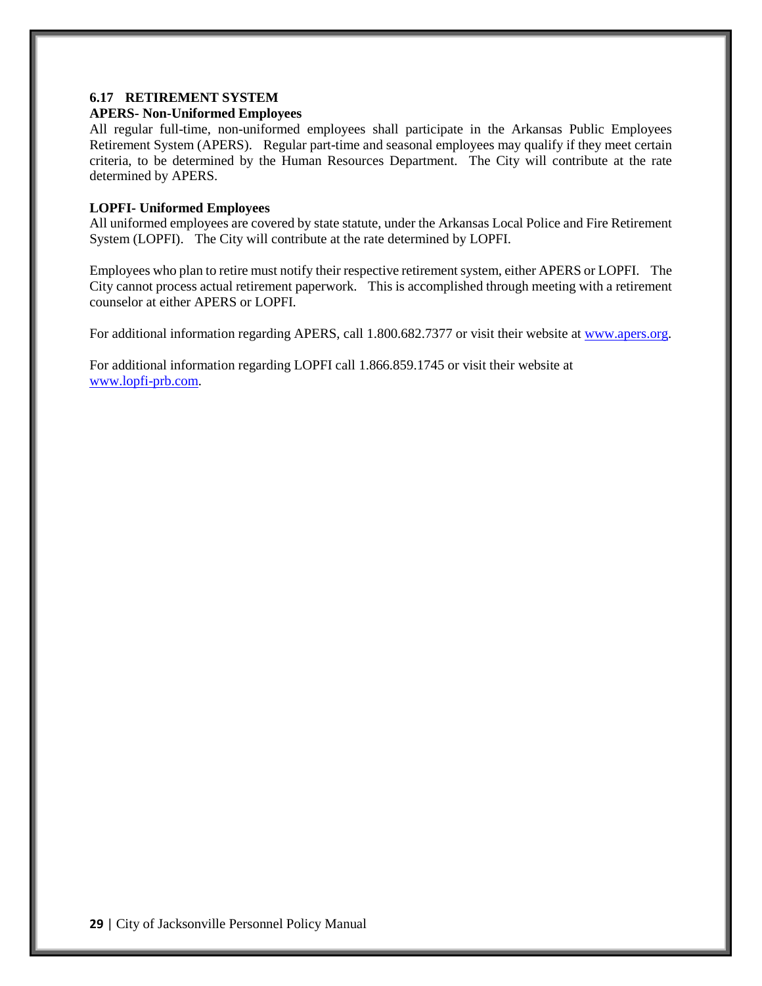# **6.17 RETIREMENT SYSTEM**

#### **APERS- Non-Uniformed Employees**

All regular full-time, non-uniformed employees shall participate in the Arkansas Public Employees Retirement System (APERS). Regular part-time and seasonal employees may qualify if they meet certain criteria, to be determined by the Human Resources Department. The City will contribute at the rate determined by APERS.

#### **LOPFI- Uniformed Employees**

All uniformed employees are covered by state statute, under the Arkansas Local Police and Fire Retirement System (LOPFI). The City will contribute at the rate determined by LOPFI.

Employees who plan to retire must notify their respective retirement system, either APERS or LOPFI. The City cannot process actual retirement paperwork. This is accomplished through meeting with a retirement counselor at either APERS or LOPFI.

For additional information regarding APERS, call 1.800.682.7377 or visit their website at [www.apers.org.](http://www.apers.org/)

For additional information regarding LOPFI call 1.866.859.1745 or visit their website at [www.lopfi-prb.com.](http://www.lopfi-prb.com/)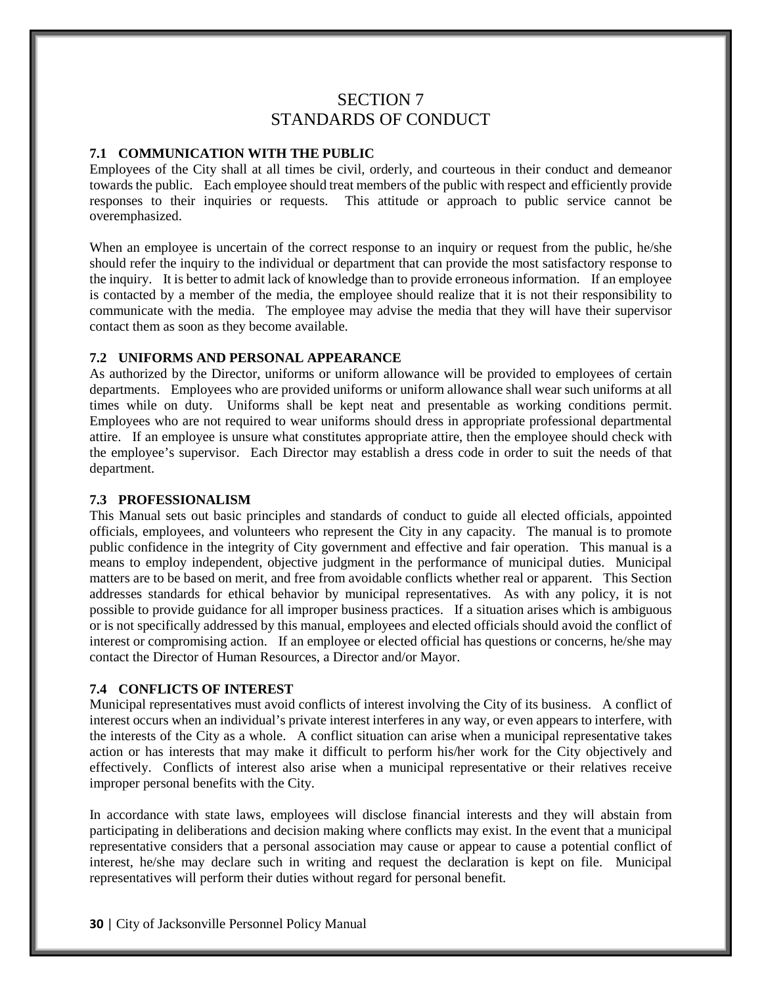# SECTION 7 STANDARDS OF CONDUCT

#### **7.1 COMMUNICATION WITH THE PUBLIC**

Employees of the City shall at all times be civil, orderly, and courteous in their conduct and demeanor towards the public. Each employee should treat members of the public with respect and efficiently provide responses to their inquiries or requests. This attitude or approach to public service cannot be overemphasized.

When an employee is uncertain of the correct response to an inquiry or request from the public, he/she should refer the inquiry to the individual or department that can provide the most satisfactory response to the inquiry. It is better to admit lack of knowledge than to provide erroneous information. If an employee is contacted by a member of the media, the employee should realize that it is not their responsibility to communicate with the media. The employee may advise the media that they will have their supervisor contact them as soon as they become available.

#### **7.2 UNIFORMS AND PERSONAL APPEARANCE**

As authorized by the Director, uniforms or uniform allowance will be provided to employees of certain departments. Employees who are provided uniforms or uniform allowance shall wear such uniforms at all times while on duty. Uniforms shall be kept neat and presentable as working conditions permit. Employees who are not required to wear uniforms should dress in appropriate professional departmental attire. If an employee is unsure what constitutes appropriate attire, then the employee should check with the employee's supervisor. Each Director may establish a dress code in order to suit the needs of that department.

#### **7.3 PROFESSIONALISM**

This Manual sets out basic principles and standards of conduct to guide all elected officials, appointed officials, employees, and volunteers who represent the City in any capacity. The manual is to promote public confidence in the integrity of City government and effective and fair operation. This manual is a means to employ independent, objective judgment in the performance of municipal duties. Municipal matters are to be based on merit, and free from avoidable conflicts whether real or apparent. This Section addresses standards for ethical behavior by municipal representatives. As with any policy, it is not possible to provide guidance for all improper business practices. If a situation arises which is ambiguous or is not specifically addressed by this manual, employees and elected officials should avoid the conflict of interest or compromising action. If an employee or elected official has questions or concerns, he/she may contact the Director of Human Resources, a Director and/or Mayor.

#### **7.4 CONFLICTS OF INTEREST**

Municipal representatives must avoid conflicts of interest involving the City of its business. A conflict of interest occurs when an individual's private interest interferes in any way, or even appears to interfere, with the interests of the City as a whole. A conflict situation can arise when a municipal representative takes action or has interests that may make it difficult to perform his/her work for the City objectively and effectively. Conflicts of interest also arise when a municipal representative or their relatives receive improper personal benefits with the City.

In accordance with state laws, employees will disclose financial interests and they will abstain from participating in deliberations and decision making where conflicts may exist. In the event that a municipal representative considers that a personal association may cause or appear to cause a potential conflict of interest, he/she may declare such in writing and request the declaration is kept on file. Municipal representatives will perform their duties without regard for personal benefit.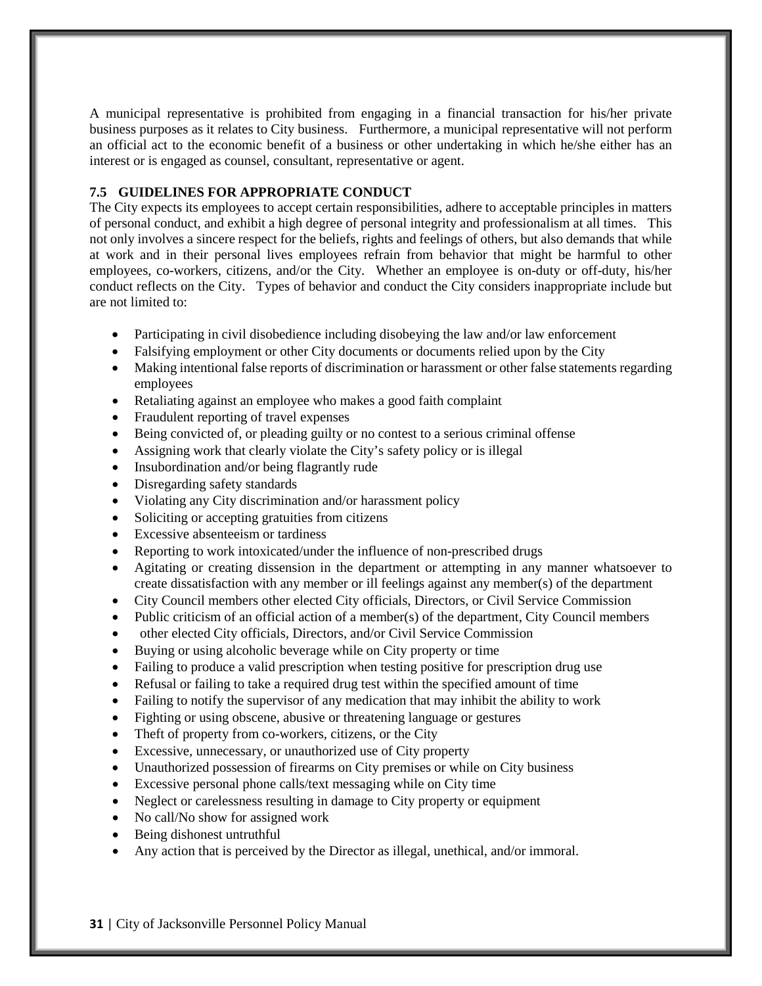A municipal representative is prohibited from engaging in a financial transaction for his/her private business purposes as it relates to City business. Furthermore, a municipal representative will not perform an official act to the economic benefit of a business or other undertaking in which he/she either has an interest or is engaged as counsel, consultant, representative or agent.

# **7.5 GUIDELINES FOR APPROPRIATE CONDUCT**

The City expects its employees to accept certain responsibilities, adhere to acceptable principles in matters of personal conduct, and exhibit a high degree of personal integrity and professionalism at all times. This not only involves a sincere respect for the beliefs, rights and feelings of others, but also demands that while at work and in their personal lives employees refrain from behavior that might be harmful to other employees, co-workers, citizens, and/or the City. Whether an employee is on-duty or off-duty, his/her conduct reflects on the City. Types of behavior and conduct the City considers inappropriate include but are not limited to:

- Participating in civil disobedience including disobeying the law and/or law enforcement
- Falsifying employment or other City documents or documents relied upon by the City
- Making intentional false reports of discrimination or harassment or other false statements regarding employees
- Retaliating against an employee who makes a good faith complaint
- Fraudulent reporting of travel expenses
- Being convicted of, or pleading guilty or no contest to a serious criminal offense
- Assigning work that clearly violate the City's safety policy or is illegal
- Insubordination and/or being flagrantly rude
- Disregarding safety standards
- Violating any City discrimination and/or harassment policy
- Soliciting or accepting gratuities from citizens
- Excessive absenteeism or tardiness
- Reporting to work intoxicated/under the influence of non-prescribed drugs
- Agitating or creating dissension in the department or attempting in any manner whatsoever to create dissatisfaction with any member or ill feelings against any member(s) of the department
- City Council members other elected City officials, Directors, or Civil Service Commission
- Public criticism of an official action of a member(s) of the department, City Council members
- other elected City officials, Directors, and/or Civil Service Commission
- Buying or using alcoholic beverage while on City property or time
- Failing to produce a valid prescription when testing positive for prescription drug use
- Refusal or failing to take a required drug test within the specified amount of time
- Failing to notify the supervisor of any medication that may inhibit the ability to work
- Fighting or using obscene, abusive or threatening language or gestures
- Theft of property from co-workers, citizens, or the City
- Excessive, unnecessary, or unauthorized use of City property
- Unauthorized possession of firearms on City premises or while on City business
- Excessive personal phone calls/text messaging while on City time
- Neglect or carelessness resulting in damage to City property or equipment
- No call/No show for assigned work
- Being dishonest untruthful
- Any action that is perceived by the Director as illegal, unethical, and/or immoral.

**31** | City of Jacksonville Personnel Policy Manual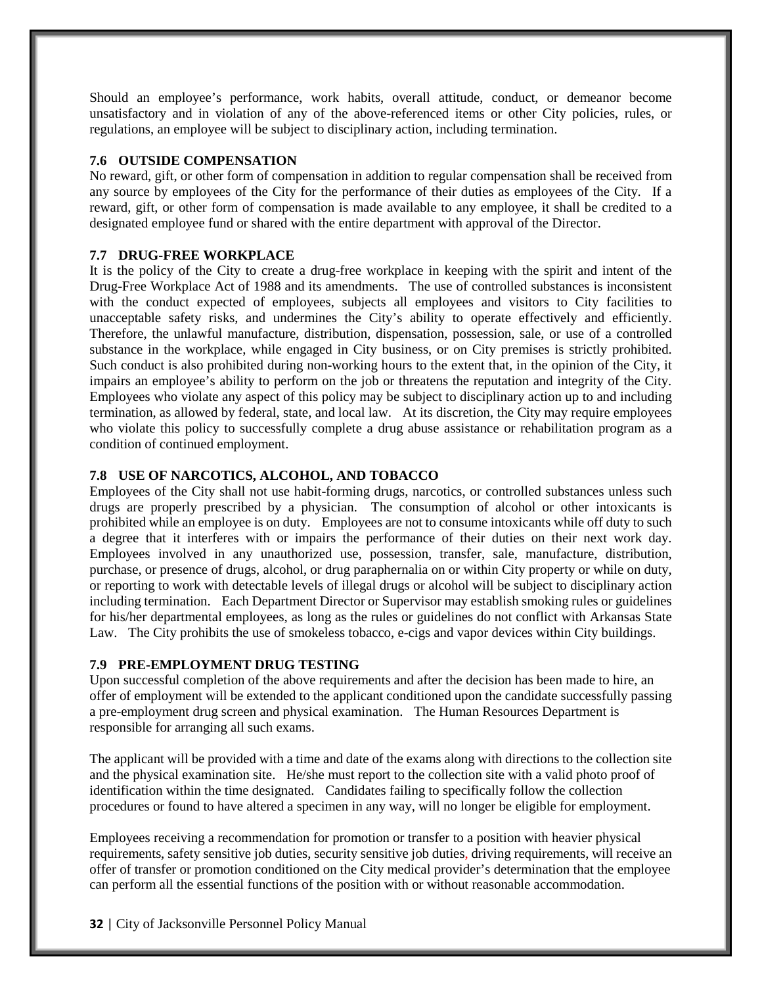Should an employee's performance, work habits, overall attitude, conduct, or demeanor become unsatisfactory and in violation of any of the above-referenced items or other City policies, rules, or regulations, an employee will be subject to disciplinary action, including termination.

#### **7.6 OUTSIDE COMPENSATION**

No reward, gift, or other form of compensation in addition to regular compensation shall be received from any source by employees of the City for the performance of their duties as employees of the City. If a reward, gift, or other form of compensation is made available to any employee, it shall be credited to a designated employee fund or shared with the entire department with approval of the Director.

#### **7.7 DRUG-FREE WORKPLACE**

It is the policy of the City to create a drug-free workplace in keeping with the spirit and intent of the Drug-Free Workplace Act of 1988 and its amendments. The use of controlled substances is inconsistent with the conduct expected of employees, subjects all employees and visitors to City facilities to unacceptable safety risks, and undermines the City's ability to operate effectively and efficiently. Therefore, the unlawful manufacture, distribution, dispensation, possession, sale, or use of a controlled substance in the workplace, while engaged in City business, or on City premises is strictly prohibited. Such conduct is also prohibited during non-working hours to the extent that, in the opinion of the City, it impairs an employee's ability to perform on the job or threatens the reputation and integrity of the City. Employees who violate any aspect of this policy may be subject to disciplinary action up to and including termination, as allowed by federal, state, and local law. At its discretion, the City may require employees who violate this policy to successfully complete a drug abuse assistance or rehabilitation program as a condition of continued employment.

## **7.8 USE OF NARCOTICS, ALCOHOL, AND TOBACCO**

Employees of the City shall not use habit-forming drugs, narcotics, or controlled substances unless such drugs are properly prescribed by a physician. The consumption of alcohol or other intoxicants is prohibited while an employee is on duty. Employees are not to consume intoxicants while off duty to such a degree that it interferes with or impairs the performance of their duties on their next work day. Employees involved in any unauthorized use, possession, transfer, sale, manufacture, distribution, purchase, or presence of drugs, alcohol, or drug paraphernalia on or within City property or while on duty, or reporting to work with detectable levels of illegal drugs or alcohol will be subject to disciplinary action including termination. Each Department Director or Supervisor may establish smoking rules or guidelines for his/her departmental employees, as long as the rules or guidelines do not conflict with Arkansas State Law. The City prohibits the use of smokeless tobacco, e-cigs and vapor devices within City buildings.

## **7.9 PRE-EMPLOYMENT DRUG TESTING**

Upon successful completion of the above requirements and after the decision has been made to hire, an offer of employment will be extended to the applicant conditioned upon the candidate successfully passing a pre-employment drug screen and physical examination. The Human Resources Department is responsible for arranging all such exams.

The applicant will be provided with a time and date of the exams along with directions to the collection site and the physical examination site. He/she must report to the collection site with a valid photo proof of identification within the time designated. Candidates failing to specifically follow the collection procedures or found to have altered a specimen in any way, will no longer be eligible for employment.

Employees receiving a recommendation for promotion or transfer to a position with heavier physical requirements, safety sensitive job duties, security sensitive job duties, driving requirements, will receive an offer of transfer or promotion conditioned on the City medical provider's determination that the employee can perform all the essential functions of the position with or without reasonable accommodation.

**32** | City of Jacksonville Personnel Policy Manual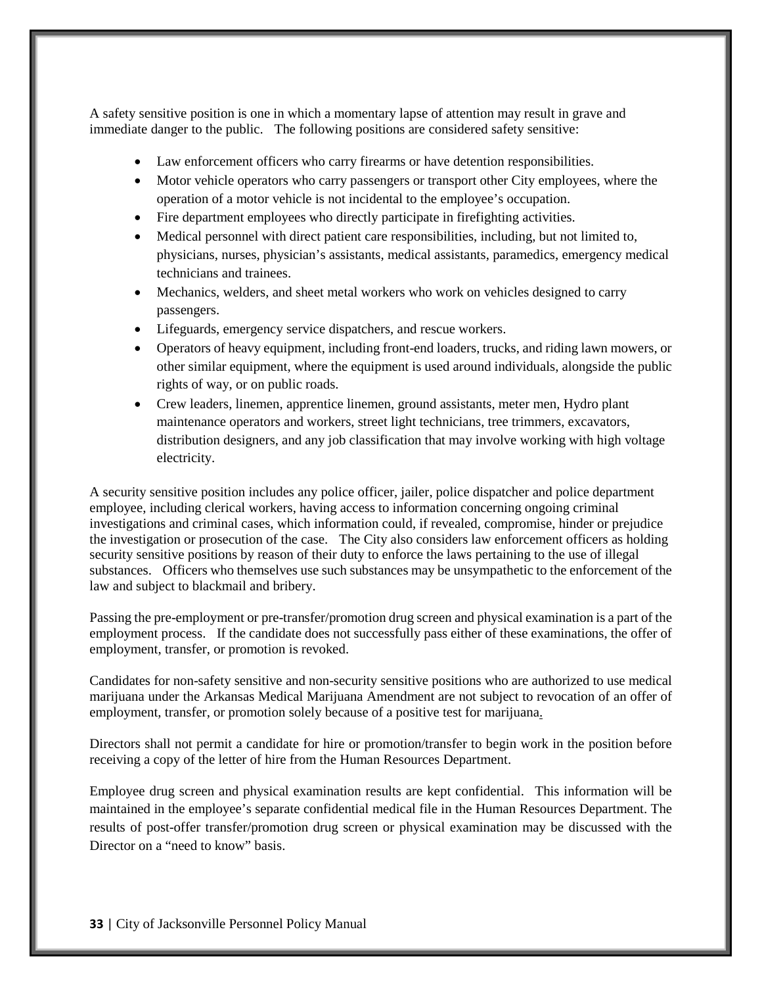A safety sensitive position is one in which a momentary lapse of attention may result in grave and immediate danger to the public. The following positions are considered safety sensitive:

- Law enforcement officers who carry firearms or have detention responsibilities.
- Motor vehicle operators who carry passengers or transport other City employees, where the operation of a motor vehicle is not incidental to the employee's occupation.
- Fire department employees who directly participate in firefighting activities.
- Medical personnel with direct patient care responsibilities, including, but not limited to, physicians, nurses, physician's assistants, medical assistants, paramedics, emergency medical technicians and trainees.
- Mechanics, welders, and sheet metal workers who work on vehicles designed to carry passengers.
- Lifeguards, emergency service dispatchers, and rescue workers.
- Operators of heavy equipment, including front-end loaders, trucks, and riding lawn mowers, or other similar equipment, where the equipment is used around individuals, alongside the public rights of way, or on public roads.
- Crew leaders, linemen, apprentice linemen, ground assistants, meter men, Hydro plant maintenance operators and workers, street light technicians, tree trimmers, excavators, distribution designers, and any job classification that may involve working with high voltage electricity.

A security sensitive position includes any police officer, jailer, police dispatcher and police department employee, including clerical workers, having access to information concerning ongoing criminal investigations and criminal cases, which information could, if revealed, compromise, hinder or prejudice the investigation or prosecution of the case. The City also considers law enforcement officers as holding security sensitive positions by reason of their duty to enforce the laws pertaining to the use of illegal substances. Officers who themselves use such substances may be unsympathetic to the enforcement of the law and subject to blackmail and bribery.

Passing the pre-employment or pre-transfer/promotion drug screen and physical examination is a part of the employment process. If the candidate does not successfully pass either of these examinations, the offer of employment, transfer, or promotion is revoked.

Candidates for non-safety sensitive and non-security sensitive positions who are authorized to use medical marijuana under the Arkansas Medical Marijuana Amendment are not subject to revocation of an offer of employment, transfer, or promotion solely because of a positive test for marijuana.

Directors shall not permit a candidate for hire or promotion/transfer to begin work in the position before receiving a copy of the letter of hire from the Human Resources Department.

Employee drug screen and physical examination results are kept confidential. This information will be maintained in the employee's separate confidential medical file in the Human Resources Department. The results of post-offer transfer/promotion drug screen or physical examination may be discussed with the Director on a "need to know" basis.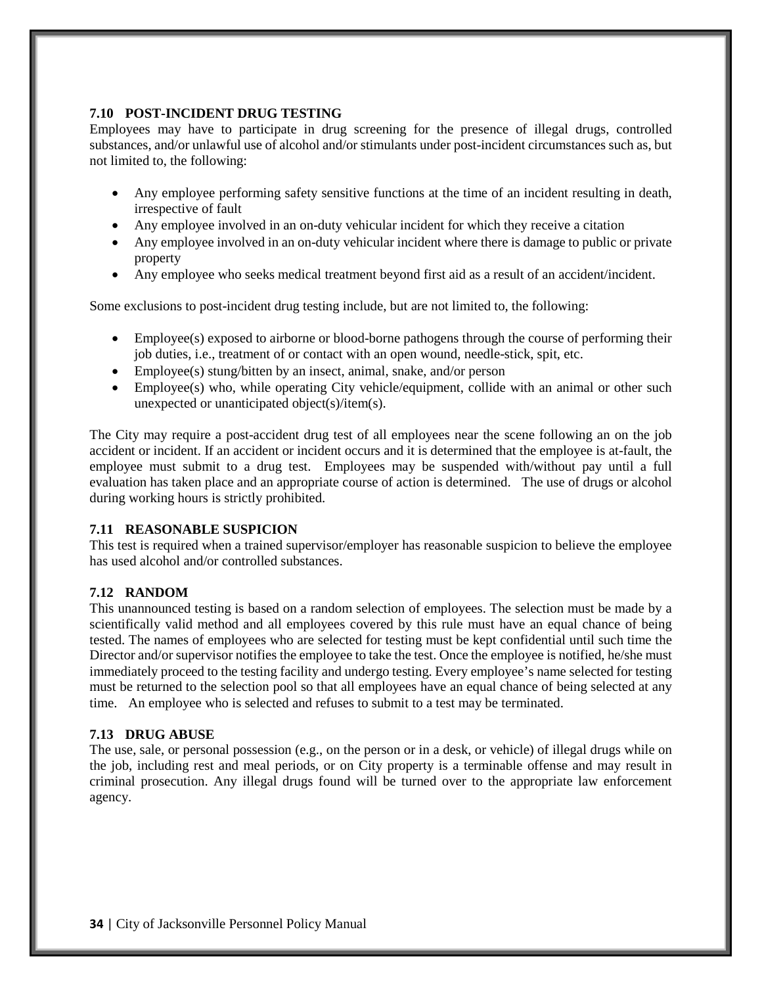# **7.10 POST-INCIDENT DRUG TESTING**

Employees may have to participate in drug screening for the presence of illegal drugs, controlled substances, and/or unlawful use of alcohol and/or stimulants under post-incident circumstances such as, but not limited to, the following:

- Any employee performing safety sensitive functions at the time of an incident resulting in death, irrespective of fault
- Any employee involved in an on-duty vehicular incident for which they receive a citation
- Any employee involved in an on-duty vehicular incident where there is damage to public or private property
- Any employee who seeks medical treatment beyond first aid as a result of an accident/incident.

Some exclusions to post-incident drug testing include, but are not limited to, the following:

- Employee(s) exposed to airborne or blood-borne pathogens through the course of performing their job duties, i.e., treatment of or contact with an open wound, needle-stick, spit, etc.
- Employee(s) stung/bitten by an insect, animal, snake, and/or person
- Employee(s) who, while operating City vehicle/equipment, collide with an animal or other such unexpected or unanticipated object(s)/item(s).

The City may require a post-accident drug test of all employees near the scene following an on the job accident or incident. If an accident or incident occurs and it is determined that the employee is at-fault, the employee must submit to a drug test. Employees may be suspended with/without pay until a full evaluation has taken place and an appropriate course of action is determined. The use of drugs or alcohol during working hours is strictly prohibited.

## **7.11 REASONABLE SUSPICION**

This test is required when a trained supervisor/employer has reasonable suspicion to believe the employee has used alcohol and/or controlled substances.

## **7.12 RANDOM**

This unannounced testing is based on a random selection of employees. The selection must be made by a scientifically valid method and all employees covered by this rule must have an equal chance of being tested. The names of employees who are selected for testing must be kept confidential until such time the Director and/or supervisor notifies the employee to take the test. Once the employee is notified, he/she must immediately proceed to the testing facility and undergo testing. Every employee's name selected for testing must be returned to the selection pool so that all employees have an equal chance of being selected at any time. An employee who is selected and refuses to submit to a test may be terminated.

## **7.13 DRUG ABUSE**

The use, sale, or personal possession (e.g., on the person or in a desk, or vehicle) of illegal drugs while on the job, including rest and meal periods, or on City property is a terminable offense and may result in criminal prosecution. Any illegal drugs found will be turned over to the appropriate law enforcement agency.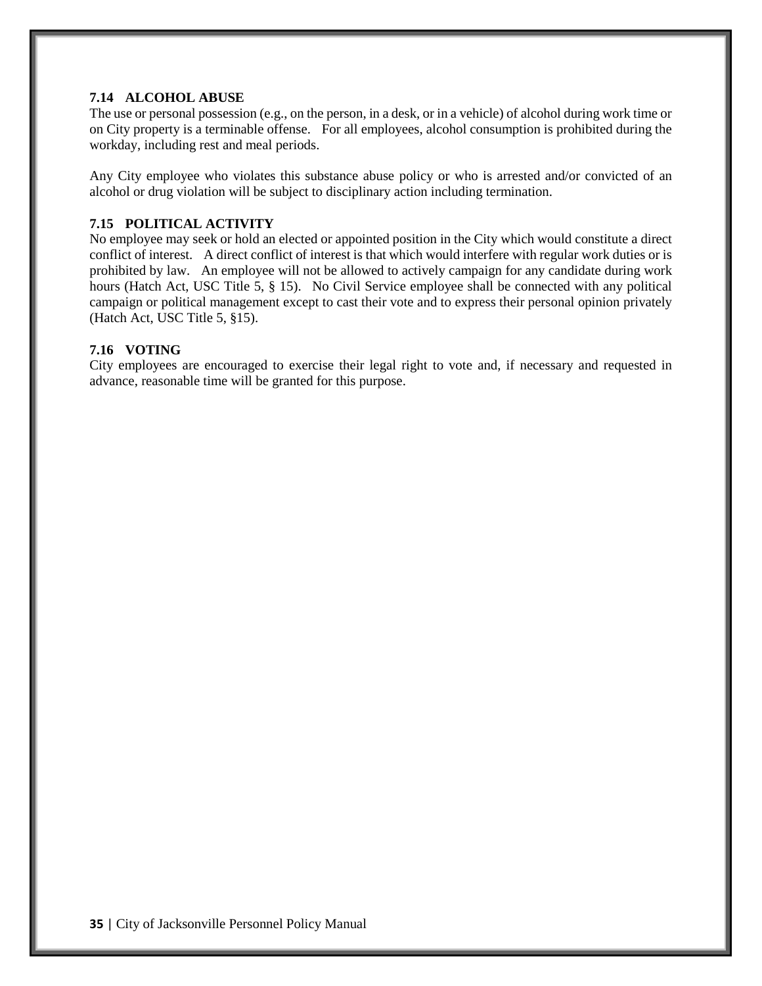#### **7.14 ALCOHOL ABUSE**

The use or personal possession (e.g., on the person, in a desk, or in a vehicle) of alcohol during work time or on City property is a terminable offense. For all employees, alcohol consumption is prohibited during the workday, including rest and meal periods.

Any City employee who violates this substance abuse policy or who is arrested and/or convicted of an alcohol or drug violation will be subject to disciplinary action including termination.

# **7.15 POLITICAL ACTIVITY**

No employee may seek or hold an elected or appointed position in the City which would constitute a direct conflict of interest. A direct conflict of interest is that which would interfere with regular work duties or is prohibited by law. An employee will not be allowed to actively campaign for any candidate during work hours (Hatch Act, USC Title 5, § 15). No Civil Service employee shall be connected with any political campaign or political management except to cast their vote and to express their personal opinion privately (Hatch Act, USC Title 5, §15).

# **7.16 VOTING**

City employees are encouraged to exercise their legal right to vote and, if necessary and requested in advance, reasonable time will be granted for this purpose.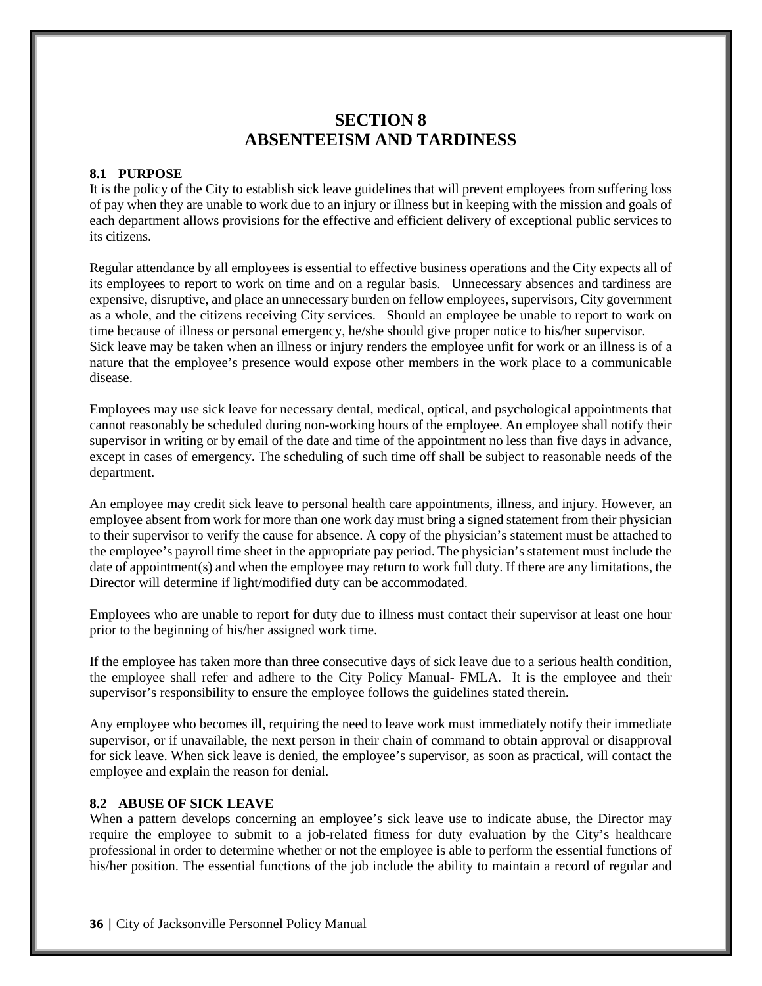# **SECTION 8 ABSENTEEISM AND TARDINESS**

# **8.1 PURPOSE**

It is the policy of the City to establish sick leave guidelines that will prevent employees from suffering loss of pay when they are unable to work due to an injury or illness but in keeping with the mission and goals of each department allows provisions for the effective and efficient delivery of exceptional public services to its citizens.

Regular attendance by all employees is essential to effective business operations and the City expects all of its employees to report to work on time and on a regular basis. Unnecessary absences and tardiness are expensive, disruptive, and place an unnecessary burden on fellow employees, supervisors, City government as a whole, and the citizens receiving City services. Should an employee be unable to report to work on time because of illness or personal emergency, he/she should give proper notice to his/her supervisor. Sick leave may be taken when an illness or injury renders the employee unfit for work or an illness is of a nature that the employee's presence would expose other members in the work place to a communicable disease.

Employees may use sick leave for necessary dental, medical, optical, and psychological appointments that cannot reasonably be scheduled during non-working hours of the employee. An employee shall notify their supervisor in writing or by email of the date and time of the appointment no less than five days in advance, except in cases of emergency. The scheduling of such time off shall be subject to reasonable needs of the department.

An employee may credit sick leave to personal health care appointments, illness, and injury. However, an employee absent from work for more than one work day must bring a signed statement from their physician to their supervisor to verify the cause for absence. A copy of the physician's statement must be attached to the employee's payroll time sheet in the appropriate pay period. The physician's statement must include the date of appointment(s) and when the employee may return to work full duty. If there are any limitations, the Director will determine if light/modified duty can be accommodated.

Employees who are unable to report for duty due to illness must contact their supervisor at least one hour prior to the beginning of his/her assigned work time.

If the employee has taken more than three consecutive days of sick leave due to a serious health condition, the employee shall refer and adhere to the City Policy Manual- FMLA. It is the employee and their supervisor's responsibility to ensure the employee follows the guidelines stated therein.

Any employee who becomes ill, requiring the need to leave work must immediately notify their immediate supervisor, or if unavailable, the next person in their chain of command to obtain approval or disapproval for sick leave. When sick leave is denied, the employee's supervisor, as soon as practical, will contact the employee and explain the reason for denial.

#### **8.2 ABUSE OF SICK LEAVE**

When a pattern develops concerning an employee's sick leave use to indicate abuse, the Director may require the employee to submit to a job-related fitness for duty evaluation by the City's healthcare professional in order to determine whether or not the employee is able to perform the essential functions of his/her position. The essential functions of the job include the ability to maintain a record of regular and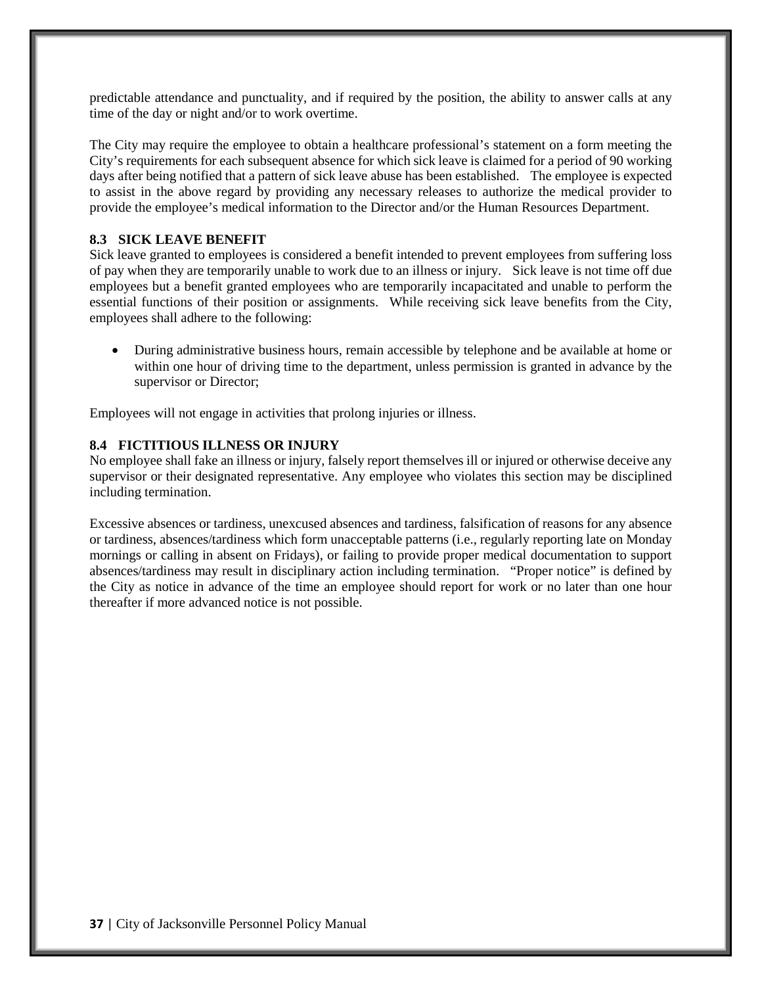predictable attendance and punctuality, and if required by the position, the ability to answer calls at any time of the day or night and/or to work overtime.

The City may require the employee to obtain a healthcare professional's statement on a form meeting the City's requirements for each subsequent absence for which sick leave is claimed for a period of 90 working days after being notified that a pattern of sick leave abuse has been established. The employee is expected to assist in the above regard by providing any necessary releases to authorize the medical provider to provide the employee's medical information to the Director and/or the Human Resources Department.

# **8.3 SICK LEAVE BENEFIT**

Sick leave granted to employees is considered a benefit intended to prevent employees from suffering loss of pay when they are temporarily unable to work due to an illness or injury. Sick leave is not time off due employees but a benefit granted employees who are temporarily incapacitated and unable to perform the essential functions of their position or assignments. While receiving sick leave benefits from the City, employees shall adhere to the following:

• During administrative business hours, remain accessible by telephone and be available at home or within one hour of driving time to the department, unless permission is granted in advance by the supervisor or Director;

Employees will not engage in activities that prolong injuries or illness.

# **8.4 FICTITIOUS ILLNESS OR INJURY**

No employee shall fake an illness or injury, falsely report themselves ill or injured or otherwise deceive any supervisor or their designated representative. Any employee who violates this section may be disciplined including termination.

Excessive absences or tardiness, unexcused absences and tardiness, falsification of reasons for any absence or tardiness, absences/tardiness which form unacceptable patterns (i.e., regularly reporting late on Monday mornings or calling in absent on Fridays), or failing to provide proper medical documentation to support absences/tardiness may result in disciplinary action including termination. "Proper notice" is defined by the City as notice in advance of the time an employee should report for work or no later than one hour thereafter if more advanced notice is not possible.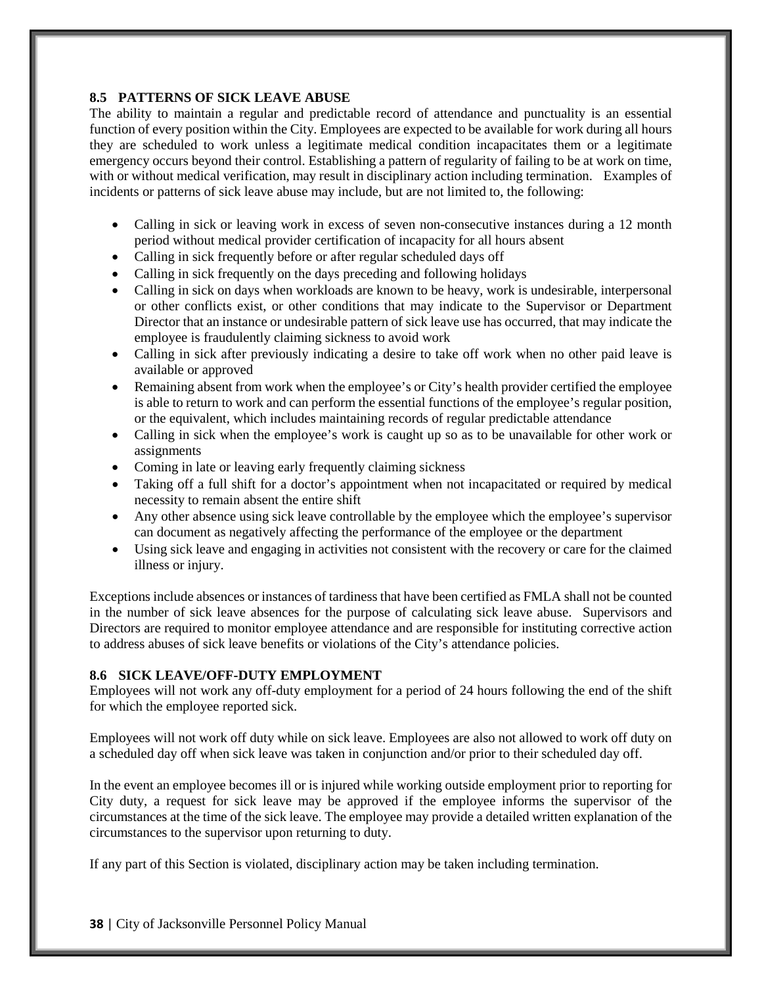## **8.5 PATTERNS OF SICK LEAVE ABUSE**

The ability to maintain a regular and predictable record of attendance and punctuality is an essential function of every position within the City. Employees are expected to be available for work during all hours they are scheduled to work unless a legitimate medical condition incapacitates them or a legitimate emergency occurs beyond their control. Establishing a pattern of regularity of failing to be at work on time, with or without medical verification, may result in disciplinary action including termination. Examples of incidents or patterns of sick leave abuse may include, but are not limited to, the following:

- Calling in sick or leaving work in excess of seven non-consecutive instances during a 12 month period without medical provider certification of incapacity for all hours absent
- Calling in sick frequently before or after regular scheduled days off
- Calling in sick frequently on the days preceding and following holidays
- Calling in sick on days when workloads are known to be heavy, work is undesirable, interpersonal or other conflicts exist, or other conditions that may indicate to the Supervisor or Department Director that an instance or undesirable pattern of sick leave use has occurred, that may indicate the employee is fraudulently claiming sickness to avoid work
- Calling in sick after previously indicating a desire to take off work when no other paid leave is available or approved
- Remaining absent from work when the employee's or City's health provider certified the employee is able to return to work and can perform the essential functions of the employee's regular position, or the equivalent, which includes maintaining records of regular predictable attendance
- Calling in sick when the employee's work is caught up so as to be unavailable for other work or assignments
- Coming in late or leaving early frequently claiming sickness
- Taking off a full shift for a doctor's appointment when not incapacitated or required by medical necessity to remain absent the entire shift
- Any other absence using sick leave controllable by the employee which the employee's supervisor can document as negatively affecting the performance of the employee or the department
- Using sick leave and engaging in activities not consistent with the recovery or care for the claimed illness or injury.

Exceptions include absences or instances of tardiness that have been certified as FMLA shall not be counted in the number of sick leave absences for the purpose of calculating sick leave abuse. Supervisors and Directors are required to monitor employee attendance and are responsible for instituting corrective action to address abuses of sick leave benefits or violations of the City's attendance policies.

# **8.6 SICK LEAVE/OFF-DUTY EMPLOYMENT**

Employees will not work any off-duty employment for a period of 24 hours following the end of the shift for which the employee reported sick.

Employees will not work off duty while on sick leave. Employees are also not allowed to work off duty on a scheduled day off when sick leave was taken in conjunction and/or prior to their scheduled day off.

In the event an employee becomes ill or is injured while working outside employment prior to reporting for City duty, a request for sick leave may be approved if the employee informs the supervisor of the circumstances at the time of the sick leave. The employee may provide a detailed written explanation of the circumstances to the supervisor upon returning to duty.

If any part of this Section is violated, disciplinary action may be taken including termination.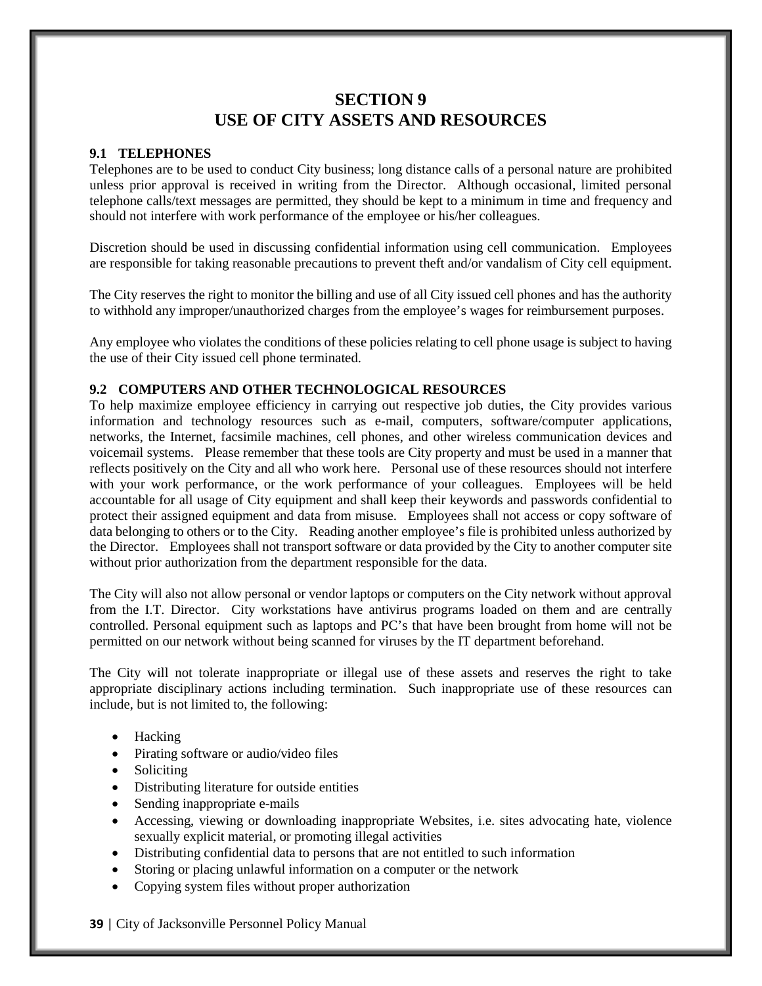# **SECTION 9 USE OF CITY ASSETS AND RESOURCES**

# **9.1 TELEPHONES**

Telephones are to be used to conduct City business; long distance calls of a personal nature are prohibited unless prior approval is received in writing from the Director. Although occasional, limited personal telephone calls/text messages are permitted, they should be kept to a minimum in time and frequency and should not interfere with work performance of the employee or his/her colleagues.

Discretion should be used in discussing confidential information using cell communication. Employees are responsible for taking reasonable precautions to prevent theft and/or vandalism of City cell equipment.

The City reserves the right to monitor the billing and use of all City issued cell phones and has the authority to withhold any improper/unauthorized charges from the employee's wages for reimbursement purposes.

Any employee who violates the conditions of these policies relating to cell phone usage is subject to having the use of their City issued cell phone terminated.

#### **9.2 COMPUTERS AND OTHER TECHNOLOGICAL RESOURCES**

To help maximize employee efficiency in carrying out respective job duties, the City provides various information and technology resources such as e-mail, computers, software/computer applications, networks, the Internet, facsimile machines, cell phones, and other wireless communication devices and voicemail systems. Please remember that these tools are City property and must be used in a manner that reflects positively on the City and all who work here. Personal use of these resources should not interfere with your work performance, or the work performance of your colleagues. Employees will be held accountable for all usage of City equipment and shall keep their keywords and passwords confidential to protect their assigned equipment and data from misuse. Employees shall not access or copy software of data belonging to others or to the City. Reading another employee's file is prohibited unless authorized by the Director. Employees shall not transport software or data provided by the City to another computer site without prior authorization from the department responsible for the data.

The City will also not allow personal or vendor laptops or computers on the City network without approval from the I.T. Director. City workstations have antivirus programs loaded on them and are centrally controlled. Personal equipment such as laptops and PC's that have been brought from home will not be permitted on our network without being scanned for viruses by the IT department beforehand.

The City will not tolerate inappropriate or illegal use of these assets and reserves the right to take appropriate disciplinary actions including termination. Such inappropriate use of these resources can include, but is not limited to, the following:

- Hacking
- Pirating software or audio/video files
- Soliciting
- Distributing literature for outside entities
- Sending inappropriate e-mails
- Accessing, viewing or downloading inappropriate Websites, i.e. sites advocating hate, violence sexually explicit material, or promoting illegal activities
- Distributing confidential data to persons that are not entitled to such information
- Storing or placing unlawful information on a computer or the network
- Copying system files without proper authorization
- **39** | City of Jacksonville Personnel Policy Manual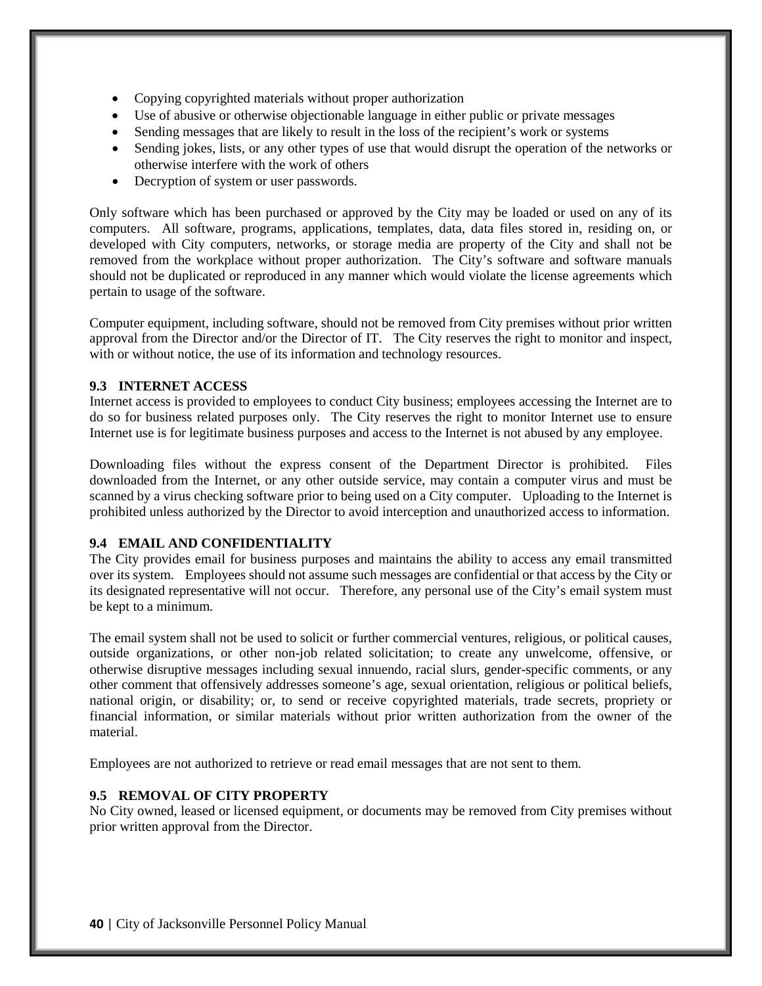- Copying copyrighted materials without proper authorization
- Use of abusive or otherwise objectionable language in either public or private messages
- Sending messages that are likely to result in the loss of the recipient's work or systems
- Sending jokes, lists, or any other types of use that would disrupt the operation of the networks or otherwise interfere with the work of others
- Decryption of system or user passwords.

Only software which has been purchased or approved by the City may be loaded or used on any of its computers. All software, programs, applications, templates, data, data files stored in, residing on, or developed with City computers, networks, or storage media are property of the City and shall not be removed from the workplace without proper authorization. The City's software and software manuals should not be duplicated or reproduced in any manner which would violate the license agreements which pertain to usage of the software.

Computer equipment, including software, should not be removed from City premises without prior written approval from the Director and/or the Director of IT. The City reserves the right to monitor and inspect, with or without notice, the use of its information and technology resources.

#### **9.3 INTERNET ACCESS**

Internet access is provided to employees to conduct City business; employees accessing the Internet are to do so for business related purposes only. The City reserves the right to monitor Internet use to ensure Internet use is for legitimate business purposes and access to the Internet is not abused by any employee.

Downloading files without the express consent of the Department Director is prohibited. Files downloaded from the Internet, or any other outside service, may contain a computer virus and must be scanned by a virus checking software prior to being used on a City computer. Uploading to the Internet is prohibited unless authorized by the Director to avoid interception and unauthorized access to information.

#### **9.4 EMAIL AND CONFIDENTIALITY**

The City provides email for business purposes and maintains the ability to access any email transmitted over its system. Employees should not assume such messages are confidential or that access by the City or its designated representative will not occur. Therefore, any personal use of the City's email system must be kept to a minimum.

The email system shall not be used to solicit or further commercial ventures, religious, or political causes, outside organizations, or other non-job related solicitation; to create any unwelcome, offensive, or otherwise disruptive messages including sexual innuendo, racial slurs, gender-specific comments, or any other comment that offensively addresses someone's age, sexual orientation, religious or political beliefs, national origin, or disability; or, to send or receive copyrighted materials, trade secrets, propriety or financial information, or similar materials without prior written authorization from the owner of the material.

Employees are not authorized to retrieve or read email messages that are not sent to them.

# **9.5 REMOVAL OF CITY PROPERTY**

No City owned, leased or licensed equipment, or documents may be removed from City premises without prior written approval from the Director.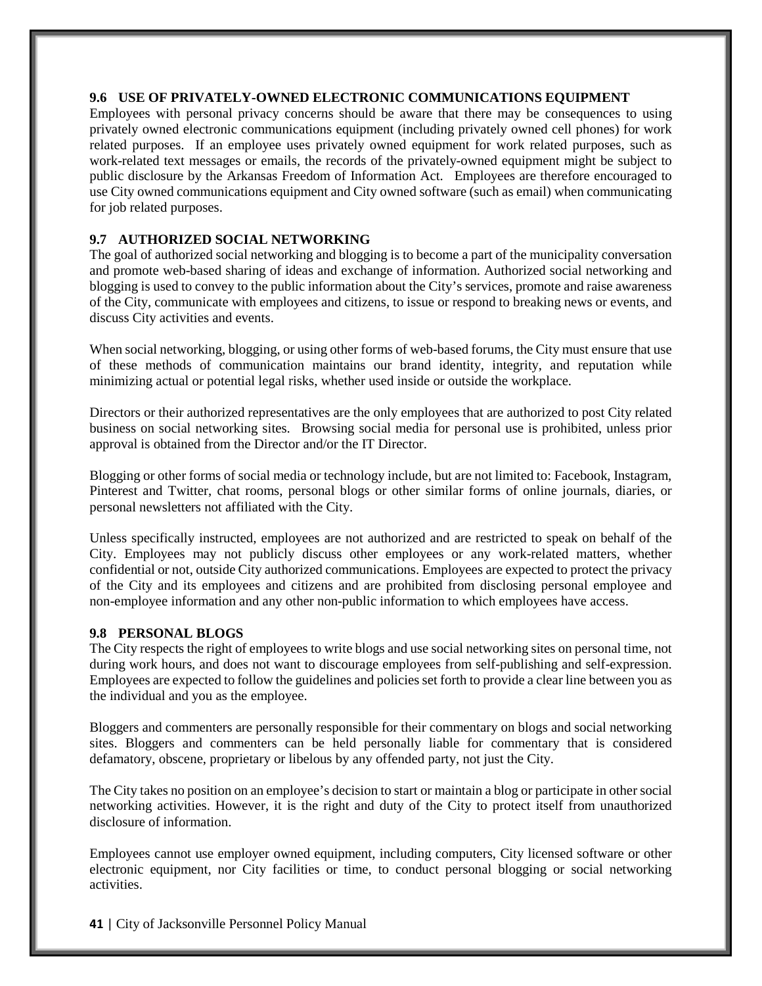#### **9.6 USE OF PRIVATELY-OWNED ELECTRONIC COMMUNICATIONS EQUIPMENT**

Employees with personal privacy concerns should be aware that there may be consequences to using privately owned electronic communications equipment (including privately owned cell phones) for work related purposes. If an employee uses privately owned equipment for work related purposes, such as work-related text messages or emails, the records of the privately-owned equipment might be subject to public disclosure by the Arkansas Freedom of Information Act. Employees are therefore encouraged to use City owned communications equipment and City owned software (such as email) when communicating for job related purposes.

# **9.7 AUTHORIZED SOCIAL NETWORKING**

The goal of authorized social networking and blogging is to become a part of the municipality conversation and promote web-based sharing of ideas and exchange of information. Authorized social networking and blogging is used to convey to the public information about the City's services, promote and raise awareness of the City, communicate with employees and citizens, to issue or respond to breaking news or events, and discuss City activities and events.

When social networking, blogging, or using other forms of web-based forums, the City must ensure that use of these methods of communication maintains our brand identity, integrity, and reputation while minimizing actual or potential legal risks, whether used inside or outside the workplace.

Directors or their authorized representatives are the only employees that are authorized to post City related business on social networking sites. Browsing social media for personal use is prohibited, unless prior approval is obtained from the Director and/or the IT Director.

Blogging or other forms of social media or technology include, but are not limited to: Facebook, Instagram, Pinterest and Twitter, chat rooms, personal blogs or other similar forms of online journals, diaries, or personal newsletters not affiliated with the City.

Unless specifically instructed, employees are not authorized and are restricted to speak on behalf of the City. Employees may not publicly discuss other employees or any work-related matters, whether confidential or not, outside City authorized communications. Employees are expected to protect the privacy of the City and its employees and citizens and are prohibited from disclosing personal employee and non-employee information and any other non-public information to which employees have access.

## **9.8 PERSONAL BLOGS**

The City respects the right of employees to write blogs and use social networking sites on personal time, not during work hours, and does not want to discourage employees from self-publishing and self-expression. Employees are expected to follow the guidelines and policies set forth to provide a clear line between you as the individual and you as the employee.

Bloggers and commenters are personally responsible for their commentary on blogs and social networking sites. Bloggers and commenters can be held personally liable for commentary that is considered defamatory, obscene, proprietary or libelous by any offended party, not just the City.

The City takes no position on an employee's decision to start or maintain a blog or participate in other social networking activities. However, it is the right and duty of the City to protect itself from unauthorized disclosure of information.

Employees cannot use employer owned equipment, including computers, City licensed software or other electronic equipment, nor City facilities or time, to conduct personal blogging or social networking activities.

**41** | City of Jacksonville Personnel Policy Manual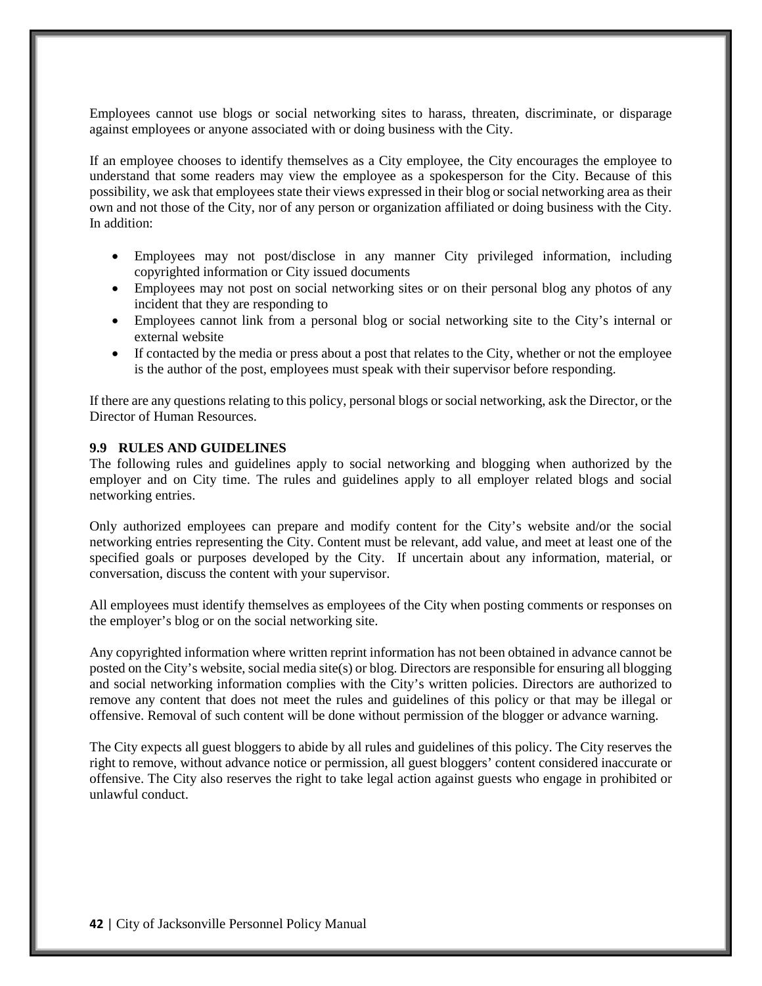Employees cannot use blogs or social networking sites to harass, threaten, discriminate, or disparage against employees or anyone associated with or doing business with the City.

If an employee chooses to identify themselves as a City employee, the City encourages the employee to understand that some readers may view the employee as a spokesperson for the City. Because of this possibility, we ask that employees state their views expressed in their blog or social networking area as their own and not those of the City, nor of any person or organization affiliated or doing business with the City. In addition:

- Employees may not post/disclose in any manner City privileged information, including copyrighted information or City issued documents
- Employees may not post on social networking sites or on their personal blog any photos of any incident that they are responding to
- Employees cannot link from a personal blog or social networking site to the City's internal or external website
- If contacted by the media or press about a post that relates to the City, whether or not the employee is the author of the post, employees must speak with their supervisor before responding.

If there are any questions relating to this policy, personal blogs or social networking, ask the Director, or the Director of Human Resources.

#### **9.9 RULES AND GUIDELINES**

The following rules and guidelines apply to social networking and blogging when authorized by the employer and on City time. The rules and guidelines apply to all employer related blogs and social networking entries.

Only authorized employees can prepare and modify content for the City's website and/or the social networking entries representing the City. Content must be relevant, add value, and meet at least one of the specified goals or purposes developed by the City. If uncertain about any information, material, or conversation, discuss the content with your supervisor.

All employees must identify themselves as employees of the City when posting comments or responses on the employer's blog or on the social networking site.

Any copyrighted information where written reprint information has not been obtained in advance cannot be posted on the City's website, social media site(s) or blog. Directors are responsible for ensuring all blogging and social networking information complies with the City's written policies. Directors are authorized to remove any content that does not meet the rules and guidelines of this policy or that may be illegal or offensive. Removal of such content will be done without permission of the blogger or advance warning.

The City expects all guest bloggers to abide by all rules and guidelines of this policy. The City reserves the right to remove, without advance notice or permission, all guest bloggers' content considered inaccurate or offensive. The City also reserves the right to take legal action against guests who engage in prohibited or unlawful conduct.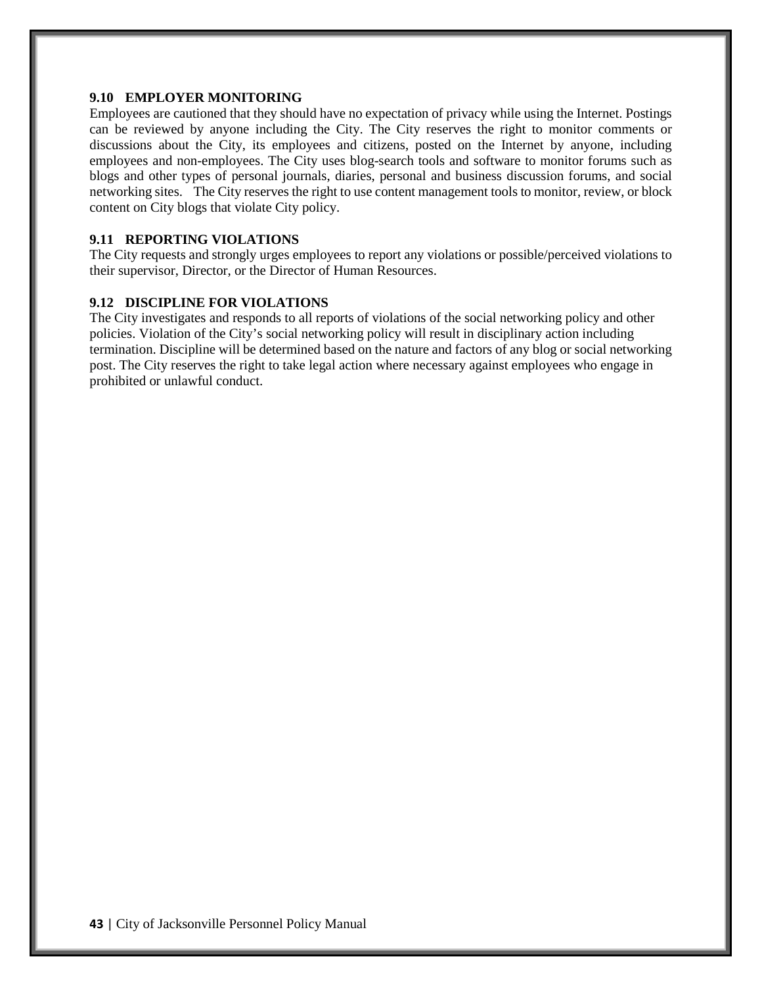#### **9.10 EMPLOYER MONITORING**

Employees are cautioned that they should have no expectation of privacy while using the Internet. Postings can be reviewed by anyone including the City. The City reserves the right to monitor comments or discussions about the City, its employees and citizens, posted on the Internet by anyone, including employees and non-employees. The City uses blog-search tools and software to monitor forums such as blogs and other types of personal journals, diaries, personal and business discussion forums, and social networking sites. The City reserves the right to use content management tools to monitor, review, or block content on City blogs that violate City policy.

#### **9.11 REPORTING VIOLATIONS**

The City requests and strongly urges employees to report any violations or possible/perceived violations to their supervisor, Director, or the Director of Human Resources.

#### **9.12 DISCIPLINE FOR VIOLATIONS**

The City investigates and responds to all reports of violations of the social networking policy and other policies. Violation of the City's social networking policy will result in disciplinary action including termination. Discipline will be determined based on the nature and factors of any blog or social networking post. The City reserves the right to take legal action where necessary against employees who engage in prohibited or unlawful conduct.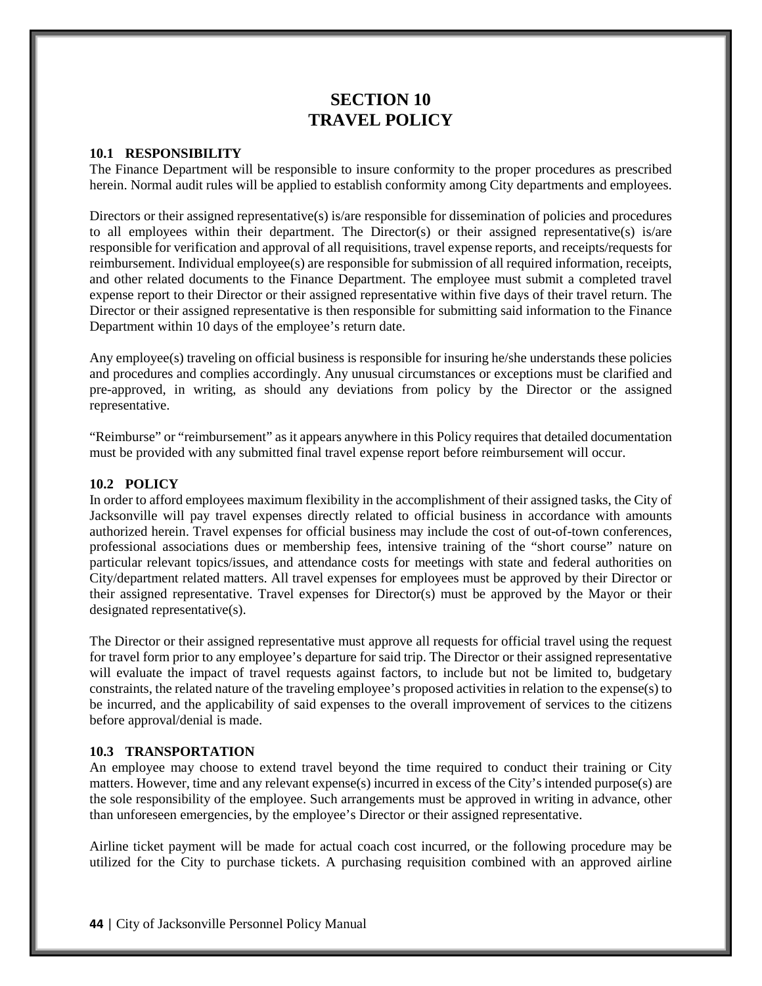# **SECTION 10 TRAVEL POLICY**

#### **10.1 RESPONSIBILITY**

The Finance Department will be responsible to insure conformity to the proper procedures as prescribed herein. Normal audit rules will be applied to establish conformity among City departments and employees.

Directors or their assigned representative(s) is/are responsible for dissemination of policies and procedures to all employees within their department. The Director(s) or their assigned representative(s) is/are responsible for verification and approval of all requisitions, travel expense reports, and receipts/requests for reimbursement. Individual employee(s) are responsible for submission of all required information, receipts, and other related documents to the Finance Department. The employee must submit a completed travel expense report to their Director or their assigned representative within five days of their travel return. The Director or their assigned representative is then responsible for submitting said information to the Finance Department within 10 days of the employee's return date.

Any employee(s) traveling on official business is responsible for insuring he/she understands these policies and procedures and complies accordingly. Any unusual circumstances or exceptions must be clarified and pre-approved, in writing, as should any deviations from policy by the Director or the assigned representative.

"Reimburse" or "reimbursement" as it appears anywhere in this Policy requires that detailed documentation must be provided with any submitted final travel expense report before reimbursement will occur.

#### **10.2 POLICY**

In order to afford employees maximum flexibility in the accomplishment of their assigned tasks, the City of Jacksonville will pay travel expenses directly related to official business in accordance with amounts authorized herein. Travel expenses for official business may include the cost of out-of-town conferences, professional associations dues or membership fees, intensive training of the "short course" nature on particular relevant topics/issues, and attendance costs for meetings with state and federal authorities on City/department related matters. All travel expenses for employees must be approved by their Director or their assigned representative. Travel expenses for Director(s) must be approved by the Mayor or their designated representative(s).

The Director or their assigned representative must approve all requests for official travel using the request for travel form prior to any employee's departure for said trip. The Director or their assigned representative will evaluate the impact of travel requests against factors, to include but not be limited to, budgetary constraints, the related nature of the traveling employee's proposed activities in relation to the expense(s) to be incurred, and the applicability of said expenses to the overall improvement of services to the citizens before approval/denial is made.

#### **10.3 TRANSPORTATION**

An employee may choose to extend travel beyond the time required to conduct their training or City matters. However, time and any relevant expense(s) incurred in excess of the City's intended purpose(s) are the sole responsibility of the employee. Such arrangements must be approved in writing in advance, other than unforeseen emergencies, by the employee's Director or their assigned representative.

Airline ticket payment will be made for actual coach cost incurred, or the following procedure may be utilized for the City to purchase tickets. A purchasing requisition combined with an approved airline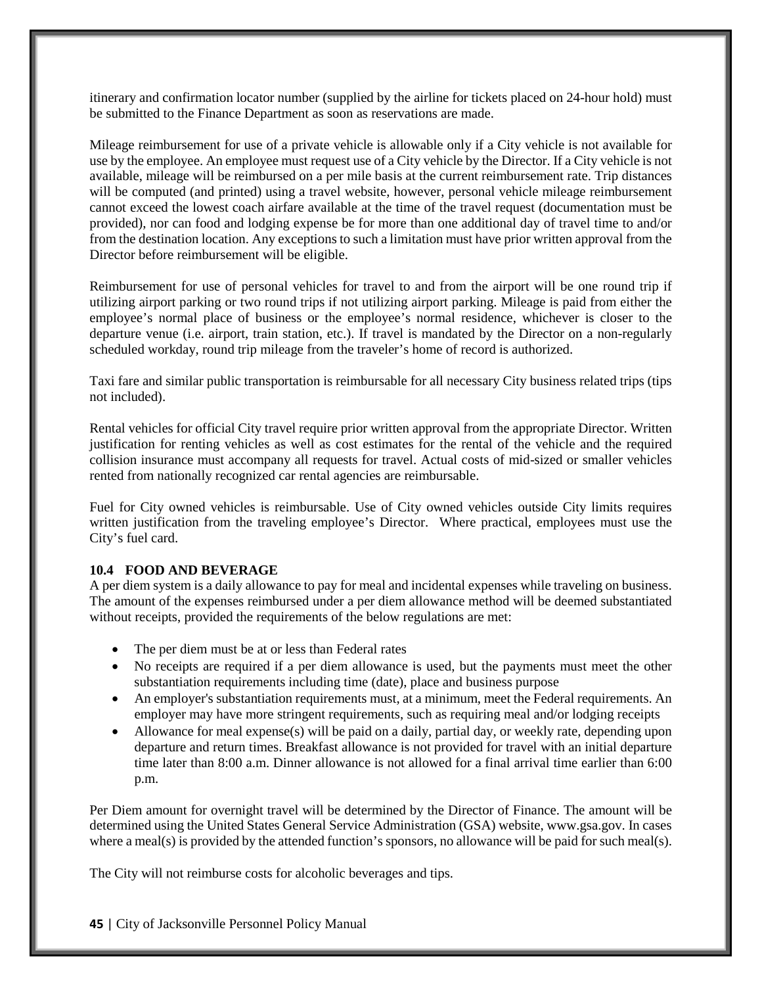itinerary and confirmation locator number (supplied by the airline for tickets placed on 24-hour hold) must be submitted to the Finance Department as soon as reservations are made.

Mileage reimbursement for use of a private vehicle is allowable only if a City vehicle is not available for use by the employee. An employee must request use of a City vehicle by the Director. If a City vehicle is not available, mileage will be reimbursed on a per mile basis at the current reimbursement rate. Trip distances will be computed (and printed) using a travel website, however, personal vehicle mileage reimbursement cannot exceed the lowest coach airfare available at the time of the travel request (documentation must be provided), nor can food and lodging expense be for more than one additional day of travel time to and/or from the destination location. Any exceptions to such a limitation must have prior written approval from the Director before reimbursement will be eligible.

Reimbursement for use of personal vehicles for travel to and from the airport will be one round trip if utilizing airport parking or two round trips if not utilizing airport parking. Mileage is paid from either the employee's normal place of business or the employee's normal residence, whichever is closer to the departure venue (i.e. airport, train station, etc.). If travel is mandated by the Director on a non-regularly scheduled workday, round trip mileage from the traveler's home of record is authorized.

Taxi fare and similar public transportation is reimbursable for all necessary City business related trips (tips not included).

Rental vehicles for official City travel require prior written approval from the appropriate Director. Written justification for renting vehicles as well as cost estimates for the rental of the vehicle and the required collision insurance must accompany all requests for travel. Actual costs of mid-sized or smaller vehicles rented from nationally recognized car rental agencies are reimbursable.

Fuel for City owned vehicles is reimbursable. Use of City owned vehicles outside City limits requires written justification from the traveling employee's Director. Where practical, employees must use the City's fuel card.

#### **10.4 FOOD AND BEVERAGE**

A per diem system is a daily allowance to pay for meal and incidental expenses while traveling on business. The amount of the expenses reimbursed under a per diem allowance method will be deemed substantiated without receipts, provided the requirements of the below regulations are met:

- The per diem must be at or less than Federal rates
- No receipts are required if a per diem allowance is used, but the payments must meet the other substantiation requirements including time (date), place and business purpose
- An employer's substantiation requirements must, at a minimum, meet the Federal requirements. An employer may have more stringent requirements, such as requiring meal and/or lodging receipts
- Allowance for meal expense(s) will be paid on a daily, partial day, or weekly rate, depending upon departure and return times. Breakfast allowance is not provided for travel with an initial departure time later than 8:00 a.m. Dinner allowance is not allowed for a final arrival time earlier than 6:00 p.m.

Per Diem amount for overnight travel will be determined by the Director of Finance. The amount will be determined using the United States General Service Administration (GSA) website, www.gsa.gov. In cases where a meal(s) is provided by the attended function's sponsors, no allowance will be paid for such meal(s).

The City will not reimburse costs for alcoholic beverages and tips.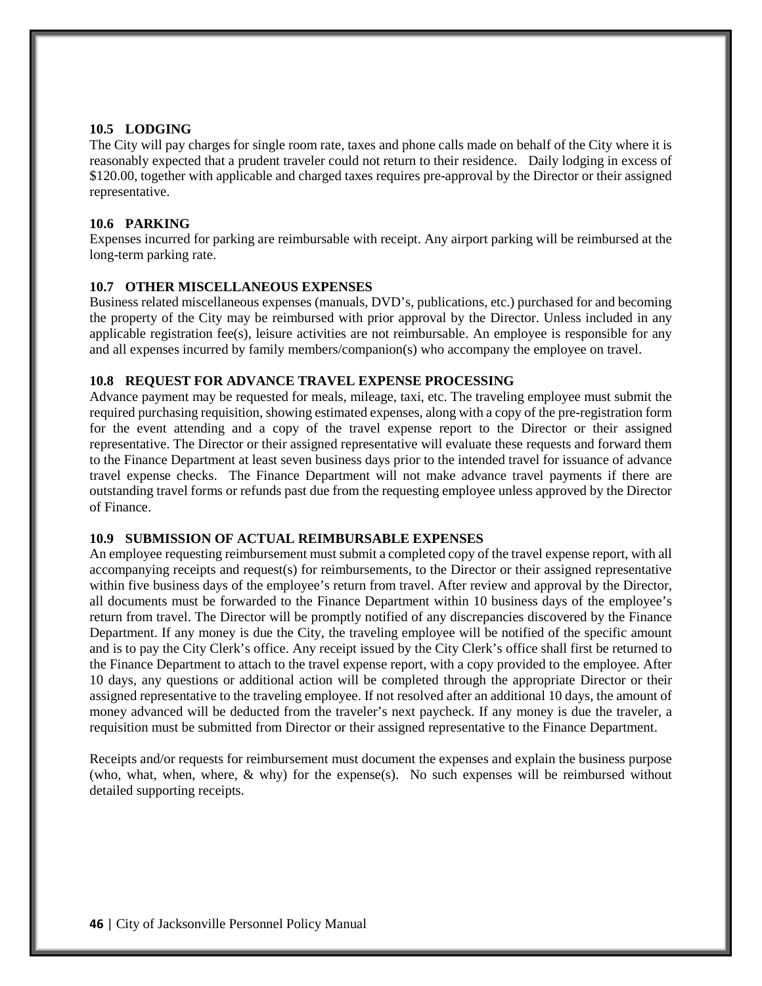#### **10.5 LODGING**

The City will pay charges for single room rate, taxes and phone calls made on behalf of the City where it is reasonably expected that a prudent traveler could not return to their residence. Daily lodging in excess of \$120.00, together with applicable and charged taxes requires pre-approval by the Director or their assigned representative.

## **10.6 PARKING**

Expenses incurred for parking are reimbursable with receipt. Any airport parking will be reimbursed at the long-term parking rate.

## **10.7 OTHER MISCELLANEOUS EXPENSES**

Business related miscellaneous expenses (manuals, DVD's, publications, etc.) purchased for and becoming the property of the City may be reimbursed with prior approval by the Director. Unless included in any applicable registration fee(s), leisure activities are not reimbursable. An employee is responsible for any and all expenses incurred by family members/companion(s) who accompany the employee on travel.

#### **10.8 REQUEST FOR ADVANCE TRAVEL EXPENSE PROCESSING**

Advance payment may be requested for meals, mileage, taxi, etc. The traveling employee must submit the required purchasing requisition, showing estimated expenses, along with a copy of the pre-registration form for the event attending and a copy of the travel expense report to the Director or their assigned representative. The Director or their assigned representative will evaluate these requests and forward them to the Finance Department at least seven business days prior to the intended travel for issuance of advance travel expense checks. The Finance Department will not make advance travel payments if there are outstanding travel forms or refunds past due from the requesting employee unless approved by the Director of Finance.

#### **10.9 SUBMISSION OF ACTUAL REIMBURSABLE EXPENSES**

An employee requesting reimbursement must submit a completed copy of the travel expense report, with all accompanying receipts and request(s) for reimbursements, to the Director or their assigned representative within five business days of the employee's return from travel. After review and approval by the Director, all documents must be forwarded to the Finance Department within 10 business days of the employee's return from travel. The Director will be promptly notified of any discrepancies discovered by the Finance Department. If any money is due the City, the traveling employee will be notified of the specific amount and is to pay the City Clerk's office. Any receipt issued by the City Clerk's office shall first be returned to the Finance Department to attach to the travel expense report, with a copy provided to the employee. After 10 days, any questions or additional action will be completed through the appropriate Director or their assigned representative to the traveling employee. If not resolved after an additional 10 days, the amount of money advanced will be deducted from the traveler's next paycheck. If any money is due the traveler, a requisition must be submitted from Director or their assigned representative to the Finance Department.

Receipts and/or requests for reimbursement must document the expenses and explain the business purpose (who, what, when, where, & why) for the expense(s). No such expenses will be reimbursed without detailed supporting receipts.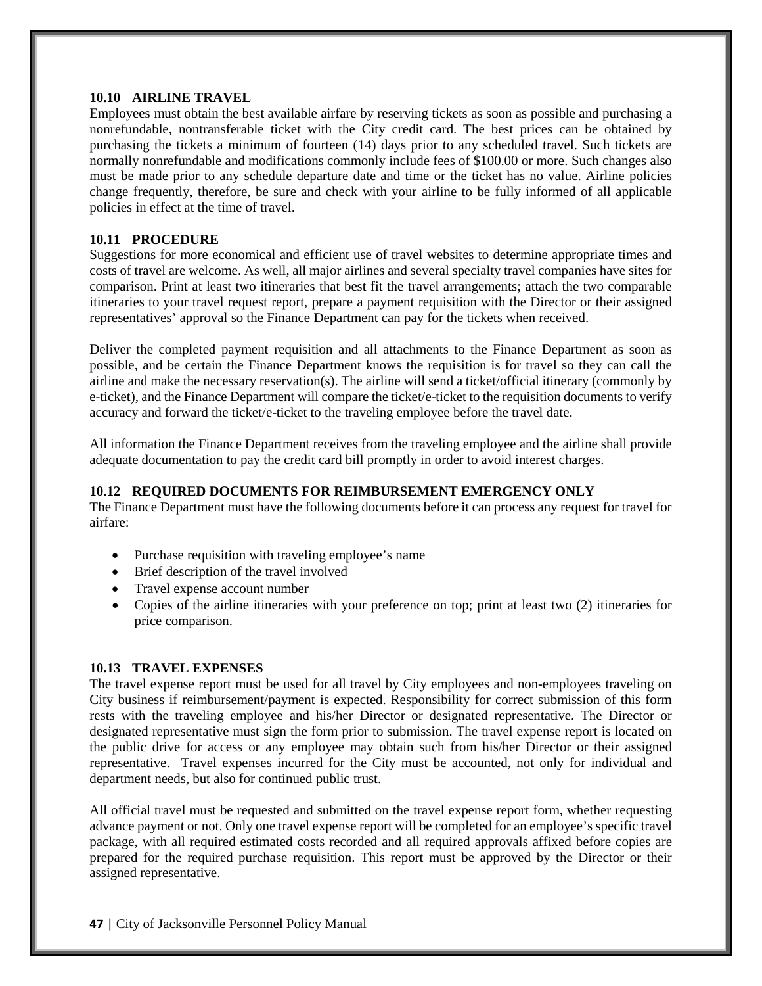#### **10.10 AIRLINE TRAVEL**

Employees must obtain the best available airfare by reserving tickets as soon as possible and purchasing a nonrefundable, nontransferable ticket with the City credit card. The best prices can be obtained by purchasing the tickets a minimum of fourteen (14) days prior to any scheduled travel. Such tickets are normally nonrefundable and modifications commonly include fees of \$100.00 or more. Such changes also must be made prior to any schedule departure date and time or the ticket has no value. Airline policies change frequently, therefore, be sure and check with your airline to be fully informed of all applicable policies in effect at the time of travel.

#### **10.11 PROCEDURE**

Suggestions for more economical and efficient use of travel websites to determine appropriate times and costs of travel are welcome. As well, all major airlines and several specialty travel companies have sites for comparison. Print at least two itineraries that best fit the travel arrangements; attach the two comparable itineraries to your travel request report, prepare a payment requisition with the Director or their assigned representatives' approval so the Finance Department can pay for the tickets when received.

Deliver the completed payment requisition and all attachments to the Finance Department as soon as possible, and be certain the Finance Department knows the requisition is for travel so they can call the airline and make the necessary reservation(s). The airline will send a ticket/official itinerary (commonly by e-ticket), and the Finance Department will compare the ticket/e-ticket to the requisition documents to verify accuracy and forward the ticket/e-ticket to the traveling employee before the travel date.

All information the Finance Department receives from the traveling employee and the airline shall provide adequate documentation to pay the credit card bill promptly in order to avoid interest charges.

#### **10.12 REQUIRED DOCUMENTS FOR REIMBURSEMENT EMERGENCY ONLY**

The Finance Department must have the following documents before it can process any request for travel for airfare:

- Purchase requisition with traveling employee's name
- Brief description of the travel involved
- Travel expense account number
- Copies of the airline itineraries with your preference on top; print at least two (2) itineraries for price comparison.

#### **10.13 TRAVEL EXPENSES**

The travel expense report must be used for all travel by City employees and non-employees traveling on City business if reimbursement/payment is expected. Responsibility for correct submission of this form rests with the traveling employee and his/her Director or designated representative. The Director or designated representative must sign the form prior to submission. The travel expense report is located on the public drive for access or any employee may obtain such from his/her Director or their assigned representative. Travel expenses incurred for the City must be accounted, not only for individual and department needs, but also for continued public trust.

All official travel must be requested and submitted on the travel expense report form, whether requesting advance payment or not. Only one travel expense report will be completed for an employee's specific travel package, with all required estimated costs recorded and all required approvals affixed before copies are prepared for the required purchase requisition. This report must be approved by the Director or their assigned representative.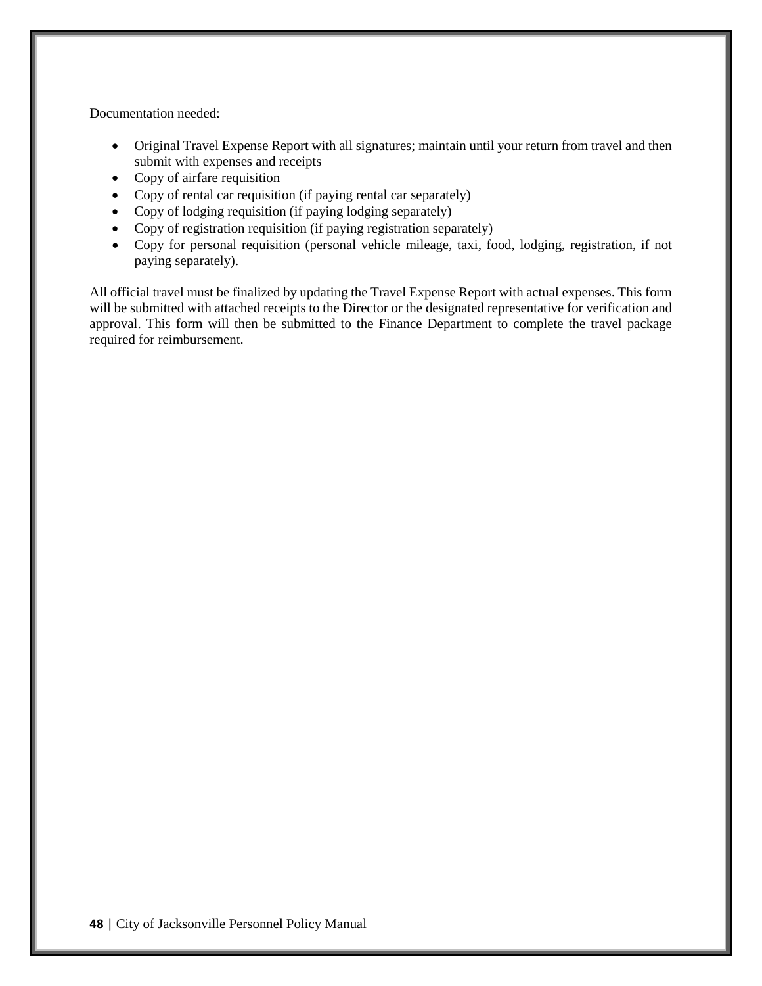Documentation needed:

- Original Travel Expense Report with all signatures; maintain until your return from travel and then submit with expenses and receipts
- Copy of airfare requisition
- Copy of rental car requisition (if paying rental car separately)
- Copy of lodging requisition (if paying lodging separately)
- Copy of registration requisition (if paying registration separately)
- Copy for personal requisition (personal vehicle mileage, taxi, food, lodging, registration, if not paying separately).

All official travel must be finalized by updating the Travel Expense Report with actual expenses. This form will be submitted with attached receipts to the Director or the designated representative for verification and approval. This form will then be submitted to the Finance Department to complete the travel package required for reimbursement.